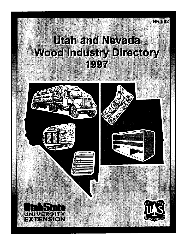# **Utah and Nevada Wood Industry Directory** 1997



NG (ON



**NR 502**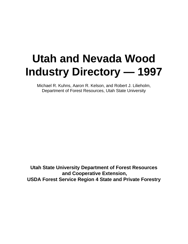## **Utah and Nevada Wood Industry Directory — 1997**

Michael R. Kuhns, Aaron R. Kelson, and Robert J. Lilieholm, Department of Forest Resources, Utah State University

**Utah State University Department of Forest Resources and Cooperative Extension, USDA Forest Service Region 4 State and Private Forestry**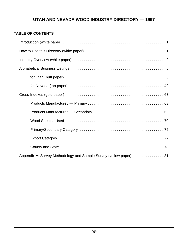#### **UTAH AND NEVADA WOOD INDUSTRY DIRECTORY — 1997**

#### **TABLE OF CONTENTS**

| Appendix A: Survey Methodology and Sample Survey (yellow paper)  81 |
|---------------------------------------------------------------------|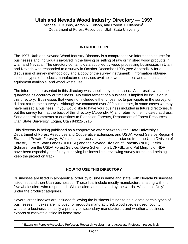### <span id="page-3-0"></span>**Utah and Nevada Wood Industry Directory — 1997**

Michael R. Kuhns, Aaron R. Kelson, and Robert J. Lilieholm<sup>1</sup>, Department of Forest Resources, Utah State University

#### **INTRODUCTION**

The 1997 Utah and Nevada Wood Industry Directory is a comprehensive information source for businesses and individuals involved in the buying or selling of raw or finished wood products in Utah and Nevada. The directory contains data supplied by wood processing businesses in Utah and Nevada who responded to a survey in October-December 1996 (see Appendix A for a discussion of survey methodology and a copy of the survey instrument). Information obtained includes types of products manufactured, services available, wood species and amounts used, equipment available, and wood waste use.

The information presented in this directory was supplied by businesses. As a result, we cannot guarantee its accuracy or timeliness. No endorsement of a business is implied by inclusion in this directory. Businesses that were not included either chose not to participate in the survey, or did not return their surveys. Although we contacted over 800 businesses, in some cases we may have missed a business. If you would like to have your business included in future directories, fill out the survey form at the back of this directory (Appendix A) and return to the indicated address. Send general comments or questions to Extension Forestry, Department of Forest Resources, Utah State University, Logan, Utah 84322-5215.

This directory is being published as a cooperative effort between Utah State University's Department of Forest Resources and Cooperative Extension, and USDA Forest Service Region 4 State and Private Forestry. We also have received valuable assistance from the Utah Division of Forestry, Fire & State Lands (UDFFSL) and the Nevada Division of Forestry (NDF). Keith Schnare from the USDA Forest Service, Dave Schen from UDFFSL, and Pat Murphy of NDF have been especially helpful by supplying business lists, reviewing survey forms, and helping keep the project on track.

#### **HOW TO USE THIS DIRECTORY**

Businesses are listed in alphabetical order by business name and state, with Nevada businesses listed first and then Utah businesses. These lists include mostly manufacturers, along with the few wholesalers who responded. Wholesalers are indicated by the words "Wholesale Only" under the product categories.

Several cross indexes are included following the business listings to help locate certain types of businesses. Indexes are included for products manufactured, wood species used, county, whether a business is mainly a primary or secondary manufacturer, and whether a business exports or markets outside its home state.

<sup>&</sup>lt;sup>1</sup> Extension Forester/Associate Professor, Research Assistant, and Associate Professor, respectively.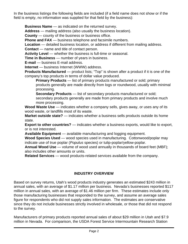<span id="page-4-0"></span>In the business listings the following fields are included (if a field name does not show or if the field is empty, no information was supplied for that field by the business):

**Business Name** — as indicated on the returned survey.

**Address** — mailing address (also usually the business location).

**County** — county of the business or business office.

**Phone and FAX** — business telephone and facsimile numbers.

**Location** — detailed business location, or address if different from mailing address.

**Contact** — name and title of contact person.

**Activity Level** — whether the business is full-time or seasonal.

**Time in Business** — number of years in business.

**E-mail** — business E-mail address.

**Internet** — business Internet (WWW) address.

**Products Manufactured** — product lists; "Top" is shown after a product if it is one of the company's top products in terms of dollar value produced.

**Primary Products** — list of primary products manufactured or sold; primary products generally are made directly from logs or roundwood, usually with minimal processing.

**Secondary Products** — list of secondary products manufactured or sold; secondary products generally are made from primary products and involve much more processing.

**Wood Waste Use** — indicates whether a company sells, gives away, or uses any of its wood waste, or landfills most of its waste.

**Market outside state?** — indicates whether a business sells products outside its home state.

**Export to other countries?** — indicates whether a business exports, would like to export, or is not interested.

**Available Equipment** — available manufacturing and logging equipment.

**Wood Species Used** — wood species used in manufacturing. Cottonwood/poplar may indicate use of true poplar (*Populus* species) or tulip-poplar/yellow-poplar.

**Annual Wood Use** — volume of wood used annually in thousands of board feet (MBF); also includes other amounts or units.

**Related Services** — wood products-related services available from the company.

#### **INDUSTRY OVERVIEW**

Based on survey returns, Utah's wood products industry generates an estimated \$243 million in annual sales, with an average of \$1.17 million per business. Nevada's businesses reported \$117 million in annual sales, with an average of \$1.46 million per firm. These estimates include only those manufacturing businesses that responded to the survey, and assume an average sales figure for respondents who did not supply sales information. The estimates are conservative since they do not include businesses strictly involved in wholesale, or those that did not respond to the survey.

Manufacturers of primary products reported annual sales of about \$29 million in Utah and \$7.9 million in Nevada. For comparison, the USDA Forest Service Intermountain Research Station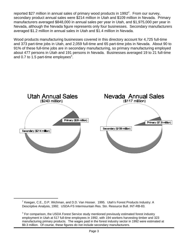reported \$27 million in annual sales of primary wood products in 1992<sup>2</sup>. From our survey, secondary product annual sales were \$214 million in Utah and \$109 million in Nevada. Primary manufacturers averaged \$848,000 in annual sales per year in Utah, and \$1,975,000 per year in Nevada, although the Nevada figure represents only four businesses. Secondary manufacturers averaged \$1.2 million in annual sales in Utah and \$1.4 million in Nevada.

Wood products manufacturing businesses covered in this directory account for 4,725 full-time and 373 part-time jobs in Utah, and 2,059 full-time and 65 part-time jobs in Nevada. About 90 to 91% of these full-time jobs are in secondary manufacturing, so primary manufacturing employed about 477 persons in Utah and 191 persons in Nevada. Businesses averaged 19 to 21 full-time and 0.7 to 1.5 part-time employees<sup>3</sup>.



 $^{2}$  Keegan, C.E., D.P. Wichman, and D.D. Van Hooser. 1995. Utah's Forest Products Industry: A Descriptive Analysis, 1992. USDA-FS Intermountain Res. Stn. Resource Bull. INT-RB-83.

 $3$  For comparison, the USDA Forest Service study mentioned previously estimated forest industry employment in Utah at 517 full-time employees in 1992, with 194 workers harvesting timber and 323 manufacturing primary products. The wages paid in the forest industry sector in 1992 were estimated at \$9.3 million. Of course, these figures do not include secondary manufacturers.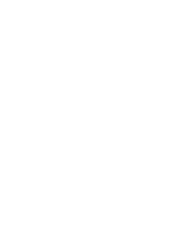<span id="page-6-0"></span>

|                                                                                                                                  | <b>UTAH WOOD PRODUCTS MANUFACTURERS 1997</b>                                              |                                                                                                             |                                                                                                                               |
|----------------------------------------------------------------------------------------------------------------------------------|-------------------------------------------------------------------------------------------|-------------------------------------------------------------------------------------------------------------|-------------------------------------------------------------------------------------------------------------------------------|
| A & Y BUILDING SUPPLY INC<br>PO BOX 129<br><b>PROVO, UT 84603</b><br>Phone: (801) 374-6485<br>Location: 108 W 600 S, Provo, UT   | County: UTAH<br>FAX: (801) 377-2459                                                       | Contact: Jesse Kallbacca, Truss Manager<br><b>Activity Level: Full-Time</b><br>Time in Business: 30 Year(s) |                                                                                                                               |
| <b>Products Manufactured (Top=Main Products)</b><br><b>Primary Products</b><br><b>Wood Waste Use</b>                             | <b>Secondary Products</b><br>Trusses/Structural Top<br>Market outside state?<br><b>No</b> | <b>Available Equipment</b>                                                                                  | <b>Wood Species Used</b><br>Douglas-fir<br><b>Annual Wood Use</b><br><200 MBF<br><b>Related Services</b><br>Other: truss mfr. |
| <b>A TRUSS INC</b><br>1350 E WASHINGTON DAM RD<br>WASHINGTON, UT 84780<br>Phone: (801) 628-3800<br>Location: S of Washington, UT | <b>County: WASHINGTON</b><br>FAX: (801) 674-4338                                          | Contact: Curtis, Bruce Anderson, Owners<br><b>Activity Level: Full-Time</b><br>Time in Business: 3 Year(s)  |                                                                                                                               |
| <b>Products Manufactured (Top=Main Products)</b>                                                                                 |                                                                                           | <b>Available Equipment</b>                                                                                  | <b>Wood Species Used</b>                                                                                                      |
| <b>Primary Products</b>                                                                                                          | <b>Secondary Products</b><br>Trusses/Structural Top                                       | Trim/Cutoff Saw<br><b>Genl Wdwrkng Equip</b><br>Other: 4-blade IDACO                                        | Douglas-fir<br>True Fir                                                                                                       |
| <b>Wood Waste Use</b><br>Give Away<br>Use Internally                                                                             | <b>Market outside state?</b><br>Yes                                                       | saw                                                                                                         | <b>Annual Wood Use</b><br>1,000-5,000 MBF                                                                                     |
|                                                                                                                                  | <b>Export to other countries?</b><br>No, not interested                                   |                                                                                                             | <b>Related Services</b>                                                                                                       |
| <b>ADP/LEMCO</b><br>5970 W DANNON WAY<br>WEST JORDAN, UT 84088<br>Phone: (801) 280-4000                                          | <b>County: SALT LAKE</b><br>FAX: (801) 280-4040                                           | Contact: David L. Hall, President<br><b>Activity Level: Full-Time</b><br>Time in Business: 38 Year(s)       |                                                                                                                               |
| <b>Products Manufactured (Top=Main Products)</b>                                                                                 |                                                                                           | <b>Available Equipment</b>                                                                                  | <b>Wood Species Used</b>                                                                                                      |
| <b>Primary Products</b>                                                                                                          | <b>Secondary Products</b><br>Specialty Items: tackboards,                                 | <b>Genl Wdwrkng Equip</b>                                                                                   | Misc. Hardwoods                                                                                                               |
| <b>Wood Waste Use</b>                                                                                                            | chalkboards, marker boards                                                                |                                                                                                             | <b>Annual Wood Use</b><br>200-500 MBF                                                                                         |
| <b>Most Landfilled</b>                                                                                                           | <b>Market outside state?</b><br>Yes                                                       |                                                                                                             | <b>Related Services</b>                                                                                                       |
|                                                                                                                                  | <b>Export to other countries?</b><br>No, not interested                                   |                                                                                                             |                                                                                                                               |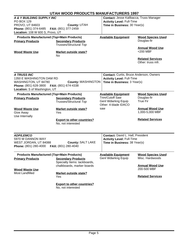|                                                                                                               | <b>UTAH WOOD PRODUCTS MANUFACTURERS 1997</b>                  |                                                                                                        |                                                                              |
|---------------------------------------------------------------------------------------------------------------|---------------------------------------------------------------|--------------------------------------------------------------------------------------------------------|------------------------------------------------------------------------------|
| <b>ADVANTAGE MILL &amp; CABINETS</b><br>2575 S 2700 W #C<br>SALT LAKE CITY, UT 84119<br>Phone: (801) 975-7372 | <b>County: SALT LAKE</b><br>FAX: (801) 972-1840               | Contact: Kim Wallis, Office Manager<br><b>Activity Level: Full-Time</b><br>Time in Business: 6 Year(s) |                                                                              |
| <b>Products Manufactured (Top=Main Products)</b>                                                              |                                                               | <b>Available Equipment</b>                                                                             | <b>Wood Species Used</b><br>Misc. Hardwoods                                  |
| <b>Primary Products</b>                                                                                       | <b>Secondary Products</b><br>Cabinets Top                     | Edger<br>Planer                                                                                        |                                                                              |
| <b>Wood Waste Use</b><br>Give Away                                                                            | Other Secondary:cabinet<br>doors                              | Portable Sawmill<br><b>Trim/Cutoff Saw</b><br><b>Genl Wdwrkng Equip</b>                                | <b>Annual Wood Use</b><br>200-500 MBF                                        |
| Use Internally                                                                                                | <b>Market outside state?</b><br><b>No</b>                     |                                                                                                        | <b>Related Services</b>                                                      |
|                                                                                                               | <b>Export to other countries?</b><br>No, not interested       |                                                                                                        |                                                                              |
| <b>ALPHA WEST LOG HOMES</b>                                                                                   |                                                               | <b>Contact: Charles Goff, Owner</b>                                                                    |                                                                              |
| PO BOX 1421                                                                                                   |                                                               | <b>Activity Level: Full-Time</b>                                                                       |                                                                              |
| ST GEORGE, UT 84771<br>Phone: (801) 628-3714<br>Location: 663 E St. George Blvd., St. George, UT              | <b>County: WASHINGTON</b><br>FAX: (801) 628-5435              | Time in Business: 10 Year(s)                                                                           |                                                                              |
|                                                                                                               |                                                               |                                                                                                        |                                                                              |
| <b>Products Manufactured (Top=Main Products)</b><br><b>Primary Products</b>                                   | <b>Secondary Products</b><br>Bldgs, Log/Timber Top<br>Fencing | <b>Available Equipment</b><br>Genl Wdwrkng Equip                                                       | <b>Wood Species Used</b><br>Douglas-fir<br><b>True Fir</b><br>Lodgepole Pine |
| <b>Wood Waste Use</b>                                                                                         | Sheds/Portable Bldgs<br><b>Trusses/Structural</b>             |                                                                                                        | Ponderosa Pine<br>Misc. Softwoods<br>Misc. Hardwoods                         |
|                                                                                                               | <b>Market outside state?</b><br>Yes                           |                                                                                                        | <b>Annual Wood Use</b><br><200 MBF                                           |
|                                                                                                               | <b>Export to other countries?</b><br>Yes                      |                                                                                                        | <b>Related Services</b><br>Other: mfr. log homes &<br>bldgs.                 |
| <b>AMERICAN TIMBERCRAFT HOMES</b>                                                                             |                                                               | Contact: John A. Nipko, President                                                                      |                                                                              |
| 2331 N 1350 W                                                                                                 |                                                               | <b>Activity Level: Full-Time</b>                                                                       |                                                                              |
| <b>OGDEN, UT 84404</b><br>Phone: (801) 782-0811<br>Location: 455 W 100 N, Ephraim, UT 84627 (mfr. plant)      | <b>County: WEBER</b><br>FAX: (801) 782-0836                   | Time in Business: 5 Year(s)<br>Internet: http://www.planetten.com/ath                                  |                                                                              |
| <b>Products Manufactured (Top=Main Products)</b>                                                              |                                                               | <b>Available Equipment</b>                                                                             | <b>Wood Species Used</b>                                                     |
| <b>Primary Products</b>                                                                                       | <b>Secondary Products</b><br>Bldgs, Log/Timber Top            | Planer<br><b>Trim/Cutoff Saw</b><br>Genl Wdwrkng Equip                                                 | Aspen<br>Douglas-fir<br>Lodgepole Pine                                       |
| <b>Wood Waste Use</b><br>Sell<br>Give Away                                                                    | <b>Market outside state?</b><br><b>Yes</b>                    |                                                                                                        | Misc. Softwoods<br>Misc. Hardwoods                                           |
|                                                                                                               | <b>Export to other countries?</b><br>No, but interested       |                                                                                                        | <b>Annual Wood Use</b><br>500-1,000 MBF                                      |
|                                                                                                               |                                                               |                                                                                                        | <b>Related Services</b><br>Other: home bldg.                                 |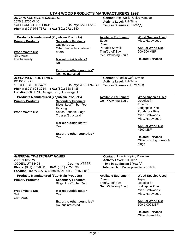| <b>UTAH WOOD PRODUCTS MANUFACTURERS 1997</b>                                                                                                        |                                                                                               |                                                                                                                 |                                                           |  |
|-----------------------------------------------------------------------------------------------------------------------------------------------------|-----------------------------------------------------------------------------------------------|-----------------------------------------------------------------------------------------------------------------|-----------------------------------------------------------|--|
| <b>ANDERSON MILL INC</b><br>1055 W N TEMPLE<br>SALT LAKE CITY, UT 84116<br><b>County: SALT LAKE</b><br>Phone: (801) 322-2112    FAX: (801) 322-2888 |                                                                                               | <b>Contact: Guy Greer, General Manager</b><br><b>Activity Level: Full-Time</b><br>Time in Business: 105 Year(s) |                                                           |  |
| <b>Primary Products</b>                                                                                                                             | <b>Products Manufactured (Top=Main Products)</b><br><b>Secondary Products</b><br>Cabinets Top | <b>Available Equipment</b><br>Planer<br><b>Trim/Cutoff Saw</b><br><b>Genl Wdwrkng Equip</b>                     | <b>Wood Species Used</b><br>Douglas-fir<br>Ponderosa Pine |  |
| <b>Wood Waste Use</b><br>Give Away                                                                                                                  | <b>Export to other countries?</b><br>No, not interested                                       |                                                                                                                 | <b>Annual Wood Use</b><br><200 MBF                        |  |
|                                                                                                                                                     |                                                                                               |                                                                                                                 | <b>Related Services</b>                                   |  |
| 42 N HIGHWAY 89<br>NORTH SALT LAKE, UT 84054<br>Phone: (801) 295-8193   FAX: (801) 295-8193                                                         | <b>County: DAVIS</b>                                                                          | <b>Activity Level: Full-Time</b><br>Time in Business: 4 Year(s)                                                 |                                                           |  |
|                                                                                                                                                     | <b>Products Manufactured (Top=Main Products)</b>                                              | <b>Available Equipment</b>                                                                                      | <b>Wood Species Used</b>                                  |  |
| <b>Primary Products</b>                                                                                                                             | <b>Secondary Products</b><br>Cabinets Top<br>Moldings Top                                     | Planer<br><b>Trim/Cutoff Saw</b><br><b>Genl Wdwrkng Equip</b>                                                   | Aspen<br>Cottonwood/Poplar<br>Douglas-fir                 |  |
| <b>Wood Waste Use</b><br>Give Away                                                                                                                  | Shutters Top<br>Other Secondary: displays                                                     |                                                                                                                 | <b>True Fir</b><br>Lodgepole Pine<br>Ponderosa Pine       |  |
|                                                                                                                                                     | <b>Market outside state?</b><br><b>No</b>                                                     |                                                                                                                 | Spruce<br>Misc. Softwoods<br>Misc. Hardwoods              |  |
|                                                                                                                                                     | <b>Export to other countries?</b><br>No, not interested                                       |                                                                                                                 | Other: red birch<br><b>Annual Wood Use</b><br><200 MBF    |  |
|                                                                                                                                                     |                                                                                               |                                                                                                                 |                                                           |  |

#### **Related Services**

Other: cabinet mfr.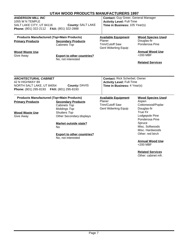|                                                                                                                                                                                           | UTAN WUUD FRUDUUTS MANUFAUTURERS 1997                                                                                                                                                                                    |                                                                                                       |                                                                                                                                                                                                                                                                                                                                       |  |
|-------------------------------------------------------------------------------------------------------------------------------------------------------------------------------------------|--------------------------------------------------------------------------------------------------------------------------------------------------------------------------------------------------------------------------|-------------------------------------------------------------------------------------------------------|---------------------------------------------------------------------------------------------------------------------------------------------------------------------------------------------------------------------------------------------------------------------------------------------------------------------------------------|--|
| <b>ARN'S WOOD SHOP</b><br>950 E HIGHWAY 40<br>VERNAL, UT 84078<br><b>County: UINTAH</b><br>Phone: (801) 789-6881<br>FAX: (801) 789-1542<br>Location: Same as mailing; on highway frontage |                                                                                                                                                                                                                          | <b>Contact: Arn Ufford, Owner</b><br><b>Activity Level: Full-Time</b><br>Time in Business: 16 Year(s) |                                                                                                                                                                                                                                                                                                                                       |  |
| <b>Products Manufactured (Top=Main Products)</b><br><b>Primary Products</b><br><b>Wood Waste Use</b><br>Use Internally                                                                    | <b>Secondary Products</b><br>Cabinets Top<br>Furniture, Indoor Top<br>Specialty Items: crafts,<br>children's furniture<br><b>Market outside state?</b><br>Yes<br><b>Export to other countries?</b><br>No, but interested | <b>Available Equipment</b><br>Planer<br>Genl Wdwrkng Equip                                            | <b>Wood Species Used</b><br>Aspen<br>Cottonwood/Poplar<br>Douglas-fir<br><b>True Fir</b><br>Juniper<br>Lodgepole Pine<br>Pinyon Pine<br>Ponderosa Pine<br>Spruce<br>Misc. Softwoods<br>Misc. Hardwoods<br>Other: redwood, oak,<br>maple, ash<br><b>Annual Wood Use</b><br><200 MBF<br><b>Related Services</b><br><b>Custom Sawing</b> |  |
| <b>ASB CUSTOM WOODSHOP</b><br>96 W 2900 S<br>BOUNTIFUL, UT 84010<br>Phone: (801) 295-9731<br>FAX:                                                                                         | County: DAVIS                                                                                                                                                                                                            | Contact: Pete Fotes, Owner<br><b>Activity Level: Full-Time</b><br>Time in Business: 10 Year(s)        |                                                                                                                                                                                                                                                                                                                                       |  |
| <b>Products Manufactured (Top=Main Products)</b><br><b>Primary Products</b><br><b>Wood Waste Use</b><br>Use Internally                                                                    | <b>Secondary Products</b><br>Cabinets Top<br>Doors Top<br>Furniture, Indoor Top<br><b>Market outside state?</b><br>Yes<br><b>Export to other countries?</b><br>No, not interested                                        | <b>Available Equipment</b><br>Planer<br><b>Trim/Cutoff Saw</b><br>Genl Wdwrkng Equip                  | <b>Wood Species Used</b><br>Aspen<br>Cottonwood/Poplar<br>Douglas-fir<br>Lodgepole Pine<br>Ponderosa Pine<br>Spruce<br>Misc. Hardwoods<br><b>Annual Wood Use</b><br><200 MBF                                                                                                                                                          |  |

**Related Services** Other: fabrication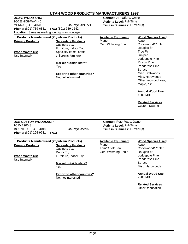|                                                                                                                                                                                      | <b>UTAH WOOD PRODUCTS MANUFACTURERS 1997</b>                                                                                |                                                                                                                                                                                                                                                                              |                                                                                                                                                                                                                                                               |
|--------------------------------------------------------------------------------------------------------------------------------------------------------------------------------------|-----------------------------------------------------------------------------------------------------------------------------|------------------------------------------------------------------------------------------------------------------------------------------------------------------------------------------------------------------------------------------------------------------------------|---------------------------------------------------------------------------------------------------------------------------------------------------------------------------------------------------------------------------------------------------------------|
| <b>BALL FEED &amp; HORSE SUPPLY</b><br><b>PO BOX 159</b><br>MIDVALE, UT 84047<br>Phone: (801) 255-2621<br>Location: 7600 S 700 W, Midvale, UT                                        | <b>County: SALT LAKE</b><br>FAX: (801) 255-5142                                                                             | Contact: R. Becher<br>Time in Business: 29 Year(s)                                                                                                                                                                                                                           |                                                                                                                                                                                                                                                               |
| <b>Products Manufactured (Top=Main Products)</b>                                                                                                                                     |                                                                                                                             | <b>Available Equipment</b>                                                                                                                                                                                                                                                   | <b>Wood Species Used</b>                                                                                                                                                                                                                                      |
| <b>Primary Products</b><br><b>Wood Waste Use</b>                                                                                                                                     | <b>Secondary Products</b><br>Other Secondary: shavings,<br>bedding, sweeping, Wholesale<br>Only                             |                                                                                                                                                                                                                                                                              | <b>Related Services</b>                                                                                                                                                                                                                                       |
| <b>BANDLEY CABINET</b><br>766 E 360 S<br>OREM, UT 84097<br>Phone: (801) 785-5543<br><b>FAX:</b><br>Location: 589 N Geneva Rd, Lindon, UT                                             | County: UTAH                                                                                                                | <b>Contact: Walter Bandley, Owner</b><br><b>Activity Level: Full-Time</b><br>Time in Business: 25 Year(s)                                                                                                                                                                    |                                                                                                                                                                                                                                                               |
| <b>Products Manufactured (Top=Main Products)</b><br><b>Primary Products</b>                                                                                                          | <b>Secondary Products</b><br>Cabinets Top<br>Furniture, Indoor Top                                                          | <b>Available Equipment</b><br><b>Genl Wdwrkng Equip</b>                                                                                                                                                                                                                      | <b>Wood Species Used</b><br>Ponderosa Pine<br>Misc. Hardwoods                                                                                                                                                                                                 |
| <b>Wood Waste Use</b><br>Give Away                                                                                                                                                   | <b>Market outside state?</b><br><b>No</b>                                                                                   |                                                                                                                                                                                                                                                                              | <b>Annual Wood Use</b><br><200 MBF                                                                                                                                                                                                                            |
|                                                                                                                                                                                      | <b>Export to other countries?</b><br>No, but interested                                                                     |                                                                                                                                                                                                                                                                              | <b>Related Services</b><br>Other: custom cabinet<br>making                                                                                                                                                                                                    |
| <b>BEAR RIVER LOG HOMES</b><br>6460 COMBE RD<br><b>OGDEN, UT 84403</b><br>Phone: (208) 787-2946  FAX: (208) 787-2314<br>Location: 567 S Hwy 33, Victor, ID 83455                     | <b>County: WEBER</b>                                                                                                        | Contact: LaRon Hansen, Owner<br><b>Activity Level: Full-Time</b><br>Time in Business: 20 Year(s)                                                                                                                                                                             |                                                                                                                                                                                                                                                               |
| <b>Products Manufactured (Top=Main Products)</b><br><b>Primary Products</b><br>House Logs Top<br>Lumber, Rough<br>Posts<br>Timbers Top<br><b>Wood Waste Use</b><br>Sell<br>Give Away | <b>Secondary Products</b><br><b>Market outside state?</b><br>Yes<br><b>Export to other countries?</b><br>No, but interested | <b>Available Equipment</b><br><b>Band Resaw</b><br><b>Bandsaw Headrig</b><br><b>Chipper Headrig</b><br>Circular Headrig<br>Edger<br>Planer<br><b>Trim/Cutoff Saw</b><br>General Logging Eq<br><b>Crawler Tractor</b><br>Loader<br>Skidder<br><b>Trucks</b><br>Other: bobcats | <b>Wood Species Used</b><br>Douglas-fir<br>Lodgepole Pine<br>Pinyon Pine<br>Spruce<br><b>Annual Wood Use</b><br>500-1,000 MBF<br><b>Related Services</b><br>Logging<br>Log Hauling<br><b>Custom Sawing</b><br><b>Custom Planing</b><br>Other: custom toy mfr. |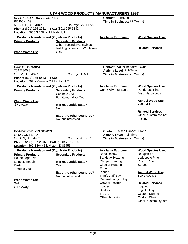|                                                                                                                                                            | <b>UTAH WOOD PRODUCTS MANUFACTURERS 1997</b>                                                                                                                                |                                                                                                  |                                                                                                                                                                                                            |
|------------------------------------------------------------------------------------------------------------------------------------------------------------|-----------------------------------------------------------------------------------------------------------------------------------------------------------------------------|--------------------------------------------------------------------------------------------------|------------------------------------------------------------------------------------------------------------------------------------------------------------------------------------------------------------|
| <b>BEAR RIVER LOG HOMES</b><br>909 S 50 E, BOX 274<br>County: CACHE<br>HYDE PARK, UT 84318<br>Phone: (801) 752-5203<br>FAX:                                |                                                                                                                                                                             | Contact: Nancy C. Lamb, Owner<br><b>Activity Level: Seasonal</b><br>Time in Business: 16 Year(s) |                                                                                                                                                                                                            |
| <b>Products Manufactured (Top=Main Products)</b><br><b>Primary Products</b><br>House Logs Top<br>Other Primary: Wholesale<br>Only<br><b>Wood Waste Use</b> | <b>Secondary Products</b><br>Bldgs, Log/Timber Top<br>Other Secondary: Wholesale<br>Only<br><b>Market outside state?</b><br>Yes<br><b>Export to other countries?</b><br>Yes | <b>Available Equipment</b>                                                                       | <b>Wood Species Used</b><br>Douglas-fir<br><b>True Fir</b><br>Lodgepole Pine<br><b>Annual Wood Use</b><br><200 MBF<br><b>Related Services</b><br><b>Custom Planing</b><br>Other: log home dealer,<br>sales |
| <b>BEESLEY BOOTH &amp; FIXTURE CO</b><br>1644 E 8600 S<br><b>SANDY, UT 84093</b><br>Phone: (801) 255-8287<br>Location: Same as mailing                     | <b>County: SALT LAKE</b><br>FAX:                                                                                                                                            | Contact: Ron Beesley, Owner<br><b>Activity Level: Seasonal</b><br>Time in Business: 32 Year(s)   |                                                                                                                                                                                                            |
| <b>Products Manufactured (Top=Main Products)</b>                                                                                                           |                                                                                                                                                                             | <b>Available Equipment</b>                                                                       | <b>Wood Species Used</b>                                                                                                                                                                                   |
| <b>Primary Products</b>                                                                                                                                    | <b>Secondary Products</b><br>Furniture, Indoor Top                                                                                                                          | <b>Firewood Proc</b><br>Trim/Cutoff Saw<br>Genl Wdwrkng Equip                                    | Douglas-fir<br>Ponderosa Pine<br>Misc. Hardwoods                                                                                                                                                           |
| <b>Wood Waste Use</b><br>Use Internally                                                                                                                    | <b>Market outside state?</b><br>Yes                                                                                                                                         |                                                                                                  | <b>Annual Wood Use</b><br><200 MBF                                                                                                                                                                         |
|                                                                                                                                                            | <b>Export to other countries?</b><br>No, not interested                                                                                                                     |                                                                                                  | <b>Related Services</b><br>Other: custom furniture                                                                                                                                                         |

making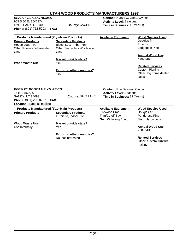#### **Products Manufactured (Top=Main Products) Contact:** James R. Blazzard, Vice-President **Activity Level:** Full-Time **Time in Business:** 55 Year(s) **BLAZZARD LUMBER CO INC** PO BOX 65 KAMAS, UT 84036 **Phone:** (801) 783-4550 **FAX:** (801) 783-4555 **Location:** 525 N Main, Kamas, UT **Available Equipment** Bagging Eq Band Resaw Circular Headrig Edger Planer Sash Gang Saw Trim/Cutoff Saw General Logging Eq Crawler Tractor Loader Skidder **Trucks** Other: mechanical harvestors **Secondary Products** Fencing Paneling Top Treated Wood **Market outside state?** Yes **Export to other countries?**  No, but interested **Primary Products** Firewood House Logs Lumber, Rough " " Green Top " " Air-Dried Top Lumber, Dimension Top " " Air-Dried Top Mine Props Poles Posts Timbers Top **Wood Waste Use** Sell **Wood Species Used** Aspen Cottonwood/Poplar Douglas-fir True Fir Lodgepole Pine Ponderosa Pine Spruce **Annual Wood Use** 1,000-5,000 MBF **Related Services** Logging Road Building Log Hauling Custom Sawing Custom Planing Custom Drying **County:** SUMMIT **UTAH WOOD PRODUCTS MANUFACTURERS 1997**

| <b>BOWEN ENTERPRISES</b><br>PO BOX 12005<br><b>OGDEN, UT 84412</b><br><b>Phone:</b> (801) 621-3626 <b>FAX:</b> (801) 621-3626<br>Location: 839 W 17th St, Ogden, UT | <b>County: WEBER</b>                                    | <b>Contact: Gary Bowen, Owner</b><br><b>Activity Level: Full-Time</b><br>Time in Business: 22 Year(s) |                                                           |
|---------------------------------------------------------------------------------------------------------------------------------------------------------------------|---------------------------------------------------------|-------------------------------------------------------------------------------------------------------|-----------------------------------------------------------|
| <b>Products Manufactured (Top=Main Products)</b>                                                                                                                    |                                                         | <b>Available Equipment</b>                                                                            | <b>Wood Species Used</b>                                  |
| <b>Primary Products</b>                                                                                                                                             | <b>Secondary Products</b><br>Boxes Top<br>Doors Top     | Bagging Eq<br><b>Band Resaw</b><br><b>Genl Wdwrkng Equip</b>                                          | Aspen<br>Douglas-fir<br>Lodgepole Pine                    |
| <b>Wood Waste Use</b><br>Sell                                                                                                                                       | Pallets Top<br>Market outside state?<br>Yes             | <b>Crawler Tractor</b><br><b>Trucks</b>                                                               | <b>Annual Wood Use</b><br>200-500 MBF                     |
|                                                                                                                                                                     | <b>Export to other countries?</b><br>No, but interested |                                                                                                       | <b>Related Services</b><br>Other: recycle wood<br>pallets |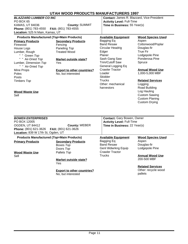|                                                                                                                      | <b>UTAH WOOD PRODUCTS MANUFACTURERS 1997</b>                                                                                                                                                                                                        |                                                                                                                                         |                                                                                                                                                                                                |
|----------------------------------------------------------------------------------------------------------------------|-----------------------------------------------------------------------------------------------------------------------------------------------------------------------------------------------------------------------------------------------------|-----------------------------------------------------------------------------------------------------------------------------------------|------------------------------------------------------------------------------------------------------------------------------------------------------------------------------------------------|
| <b>BOXER INC, THE</b><br>1810 W FORTUNE RD<br>SALT LAKE CITY, UT 84104<br>Phone: (801) 972-0151  FAX: (801) 972-6771 | <b>County: SALT LAKE</b><br>Location: N side Calif. Ave (1300 S) just before Redwood Rd                                                                                                                                                             | <b>Contact: Larry Coates, President</b><br><b>Activity Level: Full-Time</b><br>Time in Business: 18 Year(s)<br>E-Mail: boxerslc@aol.com |                                                                                                                                                                                                |
| <b>Primary Products</b><br><b>Wood Waste Use</b><br>Give Away<br>Use Internally                                      | <b>Products Manufactured (Top=Main Products)</b><br><b>Secondary Products</b><br>Boxes Top<br>Pallets Top<br>Other Secondary: skids, crates<br><b>Market outside state?</b><br><b>No</b><br><b>Export to other countries?</b><br>No, not interested | <b>Available Equipment</b><br><b>Band Resaw</b><br>Planer<br><b>Trim/Cutoff Saw</b><br>Genl Wdwrkng Equip                               | <b>Wood Species Used</b><br>Lodgepole Pine<br>Pinyon Pine<br>Ponderosa Pine<br><b>Annual Wood Use</b><br><200 MBF<br><b>Related Services</b><br>Other: custom boxes,<br>crates, pallets, skids |
| <b>BYWATER PRODUCTS</b><br>340 N 400 W<br><b>HYRUM, UT 84319</b><br>Phone: (801) 245-6126                            | County: CACHE<br>FAX: (801) 245-7946                                                                                                                                                                                                                | Contact: Deverl Bywater, Owner<br><b>Activity Level: Full-Time</b><br>Time in Business: 18 Year(s)                                      |                                                                                                                                                                                                |
| <b>Primary Products</b><br><b>Wood Waste Use</b><br>Use Internally                                                   | <b>Products Manufactured (Top=Main Products)</b><br><b>Secondary Products</b><br>Cabinets Top<br>Moldings Top<br><b>Market outside state?</b><br><b>No</b><br><b>Export to other countries?</b><br>No, not interested                               | <b>Available Equipment</b><br>Edger<br>Planer<br><b>Trim/Cutoff Saw</b><br>Genl Wdwrkng Equip                                           | <b>Wood Species Used</b><br>Misc. Hardwoods<br>Other: particle board, MDF<br><b>Annual Wood Use</b><br><200 MBF<br><b>Related Services</b><br>Other: custom cabinet mfr.                       |
| <b>C &amp; S MILLWORKS</b><br>1520 W 2650 S<br><b>OGDEN, UT 84401</b><br>Phone: (801) 394-0102                       | <b>County: WEBER</b><br>FAX: (801) 394-0102                                                                                                                                                                                                         | Contact: Ewan Chapple, Ceo<br><b>Activity Level: Full-Time</b><br>Time in Business: 6 Year(s)                                           |                                                                                                                                                                                                |
| <b>Primary Products</b><br><b>Wood Waste Use</b><br>Give Away                                                        | <b>Products Manufactured (Top=Main Products)</b><br><b>Secondary Products</b><br>Moldings Top<br><b>Market outside state?</b><br>Yes                                                                                                                | <b>Available Equipment</b>                                                                                                              | <b>Wood Species Used</b><br>Misc. Softwoods<br>Misc. Hardwoods<br><b>Annual Wood Use</b><br><200 MBF                                                                                           |
|                                                                                                                      |                                                                                                                                                                                                                                                     |                                                                                                                                         | <b>Related Services</b><br>Other: commercial<br>millwork mfr.                                                                                                                                  |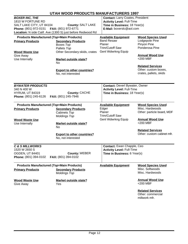|                                                                                                                                                                    | <b>UTAH WOOD PRODUCTS MANUFACTURERS 1997</b>                                                                                                |                                                                                                                         |                                                                                                                                |
|--------------------------------------------------------------------------------------------------------------------------------------------------------------------|---------------------------------------------------------------------------------------------------------------------------------------------|-------------------------------------------------------------------------------------------------------------------------|--------------------------------------------------------------------------------------------------------------------------------|
| <b>C S WOOD INDUSTRIES</b><br>3620 S 500 W<br>SALT LAKE CITY, UT 84115<br><b>County: SALT LAKE</b><br>Phone: (801) 262-7741  FAX: (801) 262-7772                   |                                                                                                                                             | Contact: Bert Helton, Purchasing Manager<br><b>Activity Level: Full-Time</b><br>Time in Business: 25 Year(s)            |                                                                                                                                |
| <b>Products Manufactured (Top=Main Products)</b><br><b>Primary Products</b><br><b>Wood Waste Use</b>                                                               | <b>Secondary Products</b><br>Cabinets Top<br>Specialty Items: commercial<br>cabinets, store fixtures<br><b>Market outside state?</b><br>Yes | <b>Available Equipment</b><br>Planer<br><b>Trim/Cutoff Saw</b><br>Genl Wdwrkng Equip                                    | <b>Wood Species Used</b><br>Ponderosa Pine<br>Misc. Hardwoods<br><b>Annual Wood Use</b><br><200 MBF<br><b>Related Services</b> |
| <b>CABINETS BY GILES &amp; SONS</b><br><b>PO BOX 514</b><br>HEBER CITY, UT 84032<br>Phone: (801) 654-5908<br>Location: 280 W Hwy 189, near airport, Heber City, UT | <b>Export to other countries?</b><br>No, not interested<br><b>County: WASATCH</b><br>FAX: (801) 654-4443                                    | Contact: Joe Giles, Owner<br><b>Activity Level: Full-Time</b><br>Time in Business: 3 Year(s)                            |                                                                                                                                |
| <b>Products Manufactured (Top=Main Products)</b><br><b>Primary Products</b><br><b>Wood Waste Use</b><br>Give Away                                                  | <b>Secondary Products</b><br>Cabinets Top<br>Doors Top<br>Furniture, Indoor Top<br>Other Secondary: any custom<br>woodwork                  | <b>Available Equipment</b><br>Bagging Eq<br><b>Band Resaw</b><br>Planer<br><b>Trim/Cutoff Saw</b><br>Genl Wdwrkng Equip | <b>Wood Species Used</b><br>Lodgepole Pine<br>Misc. Hardwoods<br><b>Annual Wood Use</b><br><200 MBF<br><b>Related Services</b> |
|                                                                                                                                                                    | <b>Market outside state?</b><br>No<br><b>Export to other countries?</b><br>No, not interested                                               |                                                                                                                         | <b>Custom Sawing</b><br><b>Custom Planing</b><br>Other: cabinet making                                                         |
| <b>CABNICON</b><br>200 W 810 S #115-5<br>HURRICANE, UT 84737<br>Phone: (801) 635-2724<br>FAX:<br>Location: 345 W State St, Hurricane, UT                           | <b>County: WASHINGTON</b>                                                                                                                   | Contact: Brian J. Jones, Owner<br><b>Activity Level: Full-Time</b><br>Time in Business: 10 Year(s)                      |                                                                                                                                |
| <b>Products Manufactured (Top=Main Products)</b><br><b>Primary Products</b><br><b>Wood Waste Use</b><br>Give Away                                                  | <b>Secondary Products</b><br>Cabinets Top<br>Furniture, Indoor Top<br>Moldings Top                                                          | <b>Available Equipment</b><br><b>Genl Wdwrkng Equip</b>                                                                 | <b>Wood Species Used</b><br>Misc. Hardwoods<br>Other: cherry, hickory,<br>alder<br><b>Annual Wood Use</b><br>$<$ 200 MBF       |
|                                                                                                                                                                    | <b>Export to other countries?</b><br>No, not interested                                                                                     |                                                                                                                         | <b>Related Services</b><br>Other: custom cabinet mfr.                                                                          |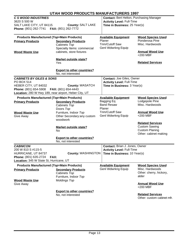|                                                                                                                                                                                                                                                              | <b>UTAH WOOD PRODUCTS MANUFACTURERS 1997</b>                                                                                                                                                                                                                         |                                                                                                                                                                                  |                                                                                                                                                                                                                                                                                                          |
|--------------------------------------------------------------------------------------------------------------------------------------------------------------------------------------------------------------------------------------------------------------|----------------------------------------------------------------------------------------------------------------------------------------------------------------------------------------------------------------------------------------------------------------------|----------------------------------------------------------------------------------------------------------------------------------------------------------------------------------|----------------------------------------------------------------------------------------------------------------------------------------------------------------------------------------------------------------------------------------------------------------------------------------------------------|
| <b>CACHE VALLEY COUNTER TOPS INC</b><br>PO BOX 126<br>RICHMOND, UT 84333<br><b>County: CACHE</b><br>Phone: (801) 258-2174   FAX: (801) 258-3703<br>Location: 28 N 200 W, Richmond, UT                                                                        |                                                                                                                                                                                                                                                                      | Contact: Dan Tyler, General Manager<br><b>Activity Level: Full-Time</b><br>Time in Business: 20 Year(s)                                                                          |                                                                                                                                                                                                                                                                                                          |
| <b>Products Manufactured (Top=Main Products)</b><br><b>Primary Products</b><br><b>Wood Waste Use</b><br>Give Away                                                                                                                                            | <b>Secondary Products</b><br>Other Secondary: counter tops<br><b>Market outside state?</b><br>Yes<br><b>Export to other countries?</b><br>No, not interested                                                                                                         | <b>Available Equipment</b><br><b>Genl Wdwrkng Equip</b>                                                                                                                          | <b>Wood Species Used</b><br>Misc. Hardwoods<br>Other: particle board<br><b>Annual Wood Use</b><br>500-1,000 MBF<br><b>Related Services</b>                                                                                                                                                               |
| <b>CALDERS FOREST PRODUCTS</b><br>PO BOX 1701<br>VERNAL, UT 84078<br>Phone: (801) 789-5441<br>Location: 1370 N 500 E, Vernal, UT                                                                                                                             | <b>County: UINTAH</b><br>FAX:                                                                                                                                                                                                                                        | Contact: Craig Calder, Owner<br><b>Activity Level: Full-Time</b>                                                                                                                 |                                                                                                                                                                                                                                                                                                          |
| <b>Products Manufactured (Top=Main Products)</b><br><b>Primary Products</b><br>Firewood<br>House Logs<br>Lumber, Rough<br>" " Green Top<br>" " Air-Dried Top<br>Mine Props<br>Poles<br>Posts<br><b>Wood Waste Use</b><br>Sell<br>Give Away<br>Use Internally | <b>Secondary Products</b><br>Bldgs, Log/Timber<br>Bldgs, Pole<br>Fencing<br>Furniture, Indoor<br>Furniture, Outdoor<br>Moldings<br>Paneling<br><b>Treated Wood</b><br><b>Market outside state?</b><br>Yes<br><b>Export to other countries?</b><br>No, but interested | <b>Available Equipment</b><br>Circular Headrig<br>Debarker<br>Planer<br><b>Trim/Cutoff Saw</b><br>Genl Wdwrkng Equip<br>General Logging Eq<br>Loader<br>Skidder<br><b>Trucks</b> | <b>Wood Species Used</b><br>Aspen<br>Cottonwood/Poplar<br>Douglas-fir<br><b>True Fir</b><br>Lodgepole Pine<br>Ponderosa Pine<br>Spruce<br><b>Annual Wood Use</b><br><200 MBF<br><b>Related Services</b><br>Logging<br>Log Hauling<br><b>Custom Sawing</b><br>Other: specialty items<br>such as hand peel |
| <b>CALLS DESIGN INC</b><br><b>48 E UTOPIA AVE</b><br>SALT LAKE CITY, UT 84115<br>Phone: (801) 466-2671  FAX: (801) 487-7242                                                                                                                                  | <b>County: SALT LAKE</b>                                                                                                                                                                                                                                             | <b>Contact: Joel Kath, Operations Manager</b><br><b>Activity Level: Full-Time</b><br>Time in Business: 15 Year(s)<br>E-Mail: callsdesign@sisna.com                               |                                                                                                                                                                                                                                                                                                          |
| <b>Products Manufactured (Top=Main Products)</b><br><b>Primary Products</b><br><b>Wood Waste Use</b><br>Give Away                                                                                                                                            | <b>Secondary Products</b><br>Furniture, Indoor Top<br><b>Market outside state?</b><br>Yes<br><b>Export to other countries?</b><br>No, not interested                                                                                                                 | <b>Available Equipment</b><br>Genl Wdwrkng Equip                                                                                                                                 | <b>Wood Species Used</b><br>Misc. Hardwoods<br><b>Annual Wood Use</b><br><200 MBF<br><b>Related Services</b><br><b>Custom Sawing</b><br><b>Custom Planing</b>                                                                                                                                            |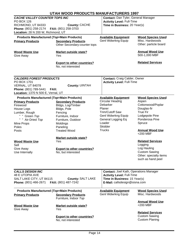| <b>CAMPFIRE WOOD PRODUCTS</b>                                                                      |                                                                                               | <b>Contact: Richard Jensen, Owner</b>                            |                                                               |
|----------------------------------------------------------------------------------------------------|-----------------------------------------------------------------------------------------------|------------------------------------------------------------------|---------------------------------------------------------------|
| <b>PO BOX 203</b><br>BICKNELL, UT 84715<br>Phone: (801) 425-3489    FAX:                           | <b>County: WAYNE</b>                                                                          | <b>Activity Level: Full-Time</b><br>Time in Business: 30 Year(s) |                                                               |
| Location: S of River Dr on Fremont River, Torrey, UT                                               |                                                                                               |                                                                  |                                                               |
| <b>Products Manufactured (Top=Main Products)</b>                                                   |                                                                                               | <b>Available Equipment</b>                                       | <b>Wood Species Used</b>                                      |
| <b>Primary Products</b><br>Firewood<br>Poles<br>Posts                                              | <b>Secondary Products</b><br>Fencing<br>Specialty Items: planters,<br>ornamental landscape    | Firewood Proc<br>Genl Wdwrkng Equip                              | Aspen<br>Juniper<br>Pinyon Pine<br>Ponderosa Pine<br>Spruce   |
| <b>Wood Waste Use</b>                                                                              | <b>Market outside state?</b><br>No<br><b>Export to other countries?</b><br>No, but interested |                                                                  | <b>Annual Wood Use</b><br><200 MBF<br><b>Related Services</b> |
| <b>CASCADE MTN RESOURCES</b><br>PO BOX 9                                                           |                                                                                               | <b>Activity Level: Full-Time</b>                                 | <b>Contact: Michael Orndorff, Resource Manager</b>            |
| WELLINGTON, UT 84542<br>Phone: (801) 637-4633    FAX:<br>Location: 1860 W Ridge Rd, Wellington, UT | <b>County: CARBON</b>                                                                         | Time in Business: 4 Year(s)                                      |                                                               |
| <b>Products Manufactured (Top=Main Products)</b><br><b>Primary Products</b>                        | <b>Secondary Products</b>                                                                     | <b>Available Equipment</b><br><b>Band Resaw</b>                  | <b>Wood Species Used</b><br>Douglas-fir                       |

**Secondary Products**

**Market outside state?**

No, but interested

**Export to other countries?** 

Yes

**Primary Products**

Lumber, Rough Top " " Air-Dried Top

**Wood Waste Use**

Chips Top

Sell

Band Resaw Bandsaw Headrig Chipper Headrig **Debarker** Edger Kiln Planer

True Fir

Spruce

Logging Road Building Log Hauling Custom Sawing Custom Planing

Lodgepole Pine

**Annual Wood Use** >5,000 MBF

**Related Services**

Trim/Cutoff Saw General Logging Eq Crawler Tractor

Loader Skidder **Trucks**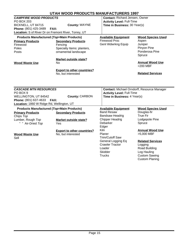| <b>CENTRAL PALLET CO</b><br>454 S 500 W<br>SALT LAKE CITY, UT 84101<br>Phone: (801) 537-5300  FAX: (801) 537-5300<br>Location: 500 S 500 W, SLC<br><b>Primary Products</b><br><b>Wood Waste Use</b><br>Give Away<br>Use Internally | <b>County: SALT LAKE</b><br><b>Products Manufactured (Top=Main Products)</b><br><b>Secondary Products</b><br>Pallets Top<br><b>Market outside state?</b><br>Yes<br><b>Export to other countries?</b><br>No, but interested | ו טום ווואוסו אס וסוואוסוס<br><b>Contact: Carl Flynn, General Manager</b><br><b>Activity Level: Full-Time</b><br>Time in Business: 6 Year(s)<br><b>Available Equipment</b><br><b>Trim/Cutoff Saw</b><br>Genl Wdwrkng Equip<br>General Logging Eq<br>Other: bandsaw pallet<br>dismantler | <b>Wood Species Used</b><br>Misc. Softwoods<br>Misc. Hardwoods<br><b>Annual Wood Use</b><br>Volume Unknown<br>Other amounts/units:<br>recycle; no new wood<br>used                                                   |
|------------------------------------------------------------------------------------------------------------------------------------------------------------------------------------------------------------------------------------|----------------------------------------------------------------------------------------------------------------------------------------------------------------------------------------------------------------------------|-----------------------------------------------------------------------------------------------------------------------------------------------------------------------------------------------------------------------------------------------------------------------------------------|----------------------------------------------------------------------------------------------------------------------------------------------------------------------------------------------------------------------|
|                                                                                                                                                                                                                                    |                                                                                                                                                                                                                            |                                                                                                                                                                                                                                                                                         | <b>Related Services</b>                                                                                                                                                                                              |
| <b>CHALLENGER PALLET &amp; SUPPLY INC</b><br>8201 S STATE ST BLDG 2A<br>MIDVALE, UT 84047<br>Phone: (801) 568-1366                                                                                                                 | <b>County: SALT LAKE</b><br>FAX:                                                                                                                                                                                           | Contact: Brian Gardner, Manager<br><b>Activity Level: Full-Time</b><br>Time in Business: 27 Year(s)                                                                                                                                                                                     |                                                                                                                                                                                                                      |
| <b>Primary Products</b><br><b>Wood Waste Use</b><br>Sell                                                                                                                                                                           | <b>Products Manufactured (Top=Main Products)</b><br><b>Secondary Products</b><br>Pallets Top<br><b>Market outside state?</b><br>Yes<br><b>Export to other countries?</b><br>No, but interested                             | <b>Available Equipment</b><br><b>Trim/Cutoff Saw</b><br>Genl Wdwrkng Equip                                                                                                                                                                                                              | <b>Wood Species Used</b><br>Aspen<br>Douglas-fir<br>Lodgepole Pine<br>Ponderosa Pine<br>Spruce<br>Misc. Hardwoods<br><b>Annual Wood Use</b><br>500-1,000 MBF<br><b>Related Services</b><br>Other: custom pallet mfr. |
| <b>CREATIVE CABINETS &amp; MILLWORK</b><br><b>369 W MAIN</b><br><b>HYRUM, UT 84321</b><br><b>County: CACHE</b><br>Phone: (801) 245-0738<br>FAX: (801) 245-0346                                                                     |                                                                                                                                                                                                                            | <b>Contact: Mark Humphreys, Vice President</b><br><b>Activity Level: Full-Time</b><br>Time in Business: 7 Year(s)                                                                                                                                                                       |                                                                                                                                                                                                                      |
| <b>Primary Products</b><br><b>Wood Waste Use</b><br>Give Away                                                                                                                                                                      | <b>Products Manufactured (Top=Main Products)</b><br><b>Secondary Products</b><br>Cabinets Top<br>Doors Top<br><b>Market outside state?</b><br>Yes<br><b>Export to other countries?</b><br>No, not interested               | <b>Available Equipment</b><br>Planer<br><b>Trim/Cutoff Saw</b><br>Genl Wdwrkng Equip                                                                                                                                                                                                    | <b>Wood Species Used</b><br>Misc. Softwoods<br>Misc. Hardwoods<br><b>Annual Wood Use</b><br>$<$ 200 MBF<br><b>Related Services</b>                                                                                   |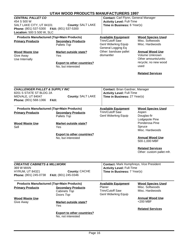| <b>CUSTOM DESIGN KITCHENS</b><br>94 E 500 S<br><b>PROVO, UT 84606</b><br><b>County: UTAH</b> |                                                                    | <b>Contact: Kelly Thurgood, Owner</b><br><b>Activity Level: Full-Time</b><br>Time in Business: 16 Year(s) |                                               |
|----------------------------------------------------------------------------------------------|--------------------------------------------------------------------|-----------------------------------------------------------------------------------------------------------|-----------------------------------------------|
| Phone: (801) 375-2771  FAX:                                                                  |                                                                    |                                                                                                           |                                               |
|                                                                                              | <b>Products Manufactured (Top=Main Products)</b>                   | <b>Available Equipment</b>                                                                                | <b>Wood Species Used</b>                      |
| <b>Primary Products</b>                                                                      | <b>Secondary Products</b><br>Cabinets Top<br>Furniture, Indoor Top | Planer<br>Trim/Cutoff Saw<br>Genl Wdwrkng Equip                                                           | Cottonwood/Poplar<br>Ponderosa Pine<br>Spruce |
| <b>Wood Waste Use</b><br>Sell                                                                | Moldings Top                                                       |                                                                                                           | Misc. Hardwoods<br>Other: walnut              |
| Give Away                                                                                    | Market outside state?<br>No.                                       |                                                                                                           | <b>Annual Wood Use</b><br>$<$ 200 MBF         |
|                                                                                              | <b>Export to other countries?</b><br>No, not interested            |                                                                                                           | <b>Related Services</b><br>Custom Planing     |

| <b>CUSTOM FIREWOOD</b><br>3277 N MAIN ST |                                                  | <b>Contact:</b> Lee Stevens, Owner<br><b>Activity Level: Full-Time</b> |                          |
|------------------------------------------|--------------------------------------------------|------------------------------------------------------------------------|--------------------------|
| <b>LOGAN, UT 84341</b>                   | County: CACHE                                    | Time in Business: 15 Year(s)                                           |                          |
| Phone: (801) 752-5029                    | <b>FAX:</b>                                      |                                                                        |                          |
|                                          | <b>Products Manufactured (Top=Main Products)</b> | <b>Available Equipment</b>                                             | <b>Wood Species Used</b> |
| <b>Primary Products</b>                  | <b>Secondary Products</b>                        | Firewood Proc                                                          | Aspen                    |
| Firewood                                 | <b>Christmas Trees</b>                           | Portable Sawmill                                                       | Cottonwood/Poplar        |
| Lumber, Rough Top                        | Fencing                                          | Trim/Cutoff Saw                                                        | Douglas-fir              |
| " " Green Top                            |                                                  | General Logging Eq                                                     | True Fir                 |
| Poles Top                                | <b>Market outside state?</b>                     | Cable Yarder                                                           | Juniper                  |
| Posts Top                                | No.                                              | Crawler Tractor                                                        | Lodgepole Pine           |
| Ties, RR                                 |                                                  | Loader                                                                 | Spruce                   |
| Timbers                                  | <b>Export to other countries?</b>                | Skidder                                                                | Misc. Softwoods          |
|                                          | No, not interested                               | Trucks                                                                 | Misc. Hardwoods          |
| <b>Wood Waste Use</b>                    |                                                  |                                                                        | <b>Annual Wood Use</b>   |
| Sell                                     |                                                  |                                                                        | 200-500 MBF              |

**Related Services**

Logging Road Building Log Hauling Custom Sawing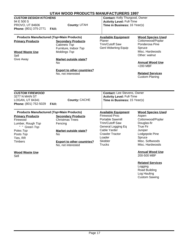| <b>UTAH WOOD PRODUCTS MANUFACTURERS 1997</b>                                                                                                                                                                                              |                                                                                                                                                                                      |                                                                                                                                                                                                        |                                                                                                                                                                                       |  |
|-------------------------------------------------------------------------------------------------------------------------------------------------------------------------------------------------------------------------------------------|--------------------------------------------------------------------------------------------------------------------------------------------------------------------------------------|--------------------------------------------------------------------------------------------------------------------------------------------------------------------------------------------------------|---------------------------------------------------------------------------------------------------------------------------------------------------------------------------------------|--|
| <b>DAVIS BROTHERS CABINETMAKERS</b><br>540 W 400 S<br><b>GENOLA, UT 84655</b><br>Phone: (801) 754-3152                                                                                                                                    | County: UTAH<br>FAX: (801) 754-5322                                                                                                                                                  | <b>Contact: Alan Davis, President</b><br><b>Activity Level: Full-Time</b><br>Time in Business: 24 Year(s)                                                                                              |                                                                                                                                                                                       |  |
| <b>Products Manufactured (Top=Main Products)</b><br><b>Primary Products</b><br><b>Wood Waste Use</b><br>Give Away                                                                                                                         | <b>Secondary Products</b><br>Cabinets Top<br>Furniture, Indoor Top<br>Moldings Top<br><b>Market outside state?</b><br>Yes<br><b>Export to other countries?</b><br>No, but interested | <b>Available Equipment</b><br><b>Genl Wdwrkng Equip</b>                                                                                                                                                | <b>Wood Species Used</b><br>Douglas-fir<br>Ponderosa Pine<br>Spruce<br>Other: domestic &<br>imported hardwoods<br><b>Annual Wood Use</b><br><200 MBF<br><b>Related Services</b>       |  |
| <b>DINGMAN LUMBER CO</b><br><b>PO BOX 873</b><br>HUNTINGTON, UT 84528<br>Phone: (801) 653-2300                                                                                                                                            | <b>County: EMERY</b><br>FAX:<br>Location: 1980 E Hwy 155, Cleveland, UT; 19 mi S of Price                                                                                            | Contact: Norm Dingman, Owner<br><b>Activity Level: Full-Time</b><br>Time in Business: 11 Year(s)                                                                                                       |                                                                                                                                                                                       |  |
| <b>Products Manufactured (Top=Main Products)</b><br><b>Primary Products</b><br>Chips<br>Firewood<br>Lumber, Rough Top<br>" " Green Top<br>" " Air-Dried Top<br>Lumber, Dimension Top<br>" " Green Top<br>" " Air-Dried Top<br>Timbers Top | <b>Secondary Products</b><br>Fencing<br><b>Market outside state?</b><br>No.<br><b>Export to other countries?</b><br>No, but interested                                               | <b>Available Equipment</b><br>Circular Headrig<br>Edger<br>Firewood Proc<br>Planer<br>Trim/Cutoff Saw<br>Genl Wdwrkng Equip<br>General Logging Eq<br><b>Crawler Tractor</b><br>Loader<br><b>Trucks</b> | <b>Wood Species Used</b><br>Aspen<br>Cottonwood/Poplar<br>Douglas-fir<br><b>True Fir</b><br>Ponderosa Pine<br>Spruce<br><b>Annual Wood Use</b><br><200 MBF<br><b>Related Services</b> |  |
| <b>Wood Waste Use</b><br>Sell                                                                                                                                                                                                             |                                                                                                                                                                                      |                                                                                                                                                                                                        | Logging<br>Road Building<br>Log Hauling<br><b>Custom Sawing</b>                                                                                                                       |  |

Custom Planing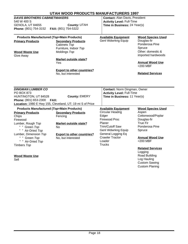|                                                                                                                                                          | <b>UTAH WOOD PRODUCTS MANUFACTURERS 1997</b>                       |                                                                                                                       |                                                                                |  |
|----------------------------------------------------------------------------------------------------------------------------------------------------------|--------------------------------------------------------------------|-----------------------------------------------------------------------------------------------------------------------|--------------------------------------------------------------------------------|--|
| <b>DIXIE COMPONENT SYSTEMS INC</b><br>353 N 3050 E<br><b>County: WASHINGTON</b><br>ST GEORGE, UT 84790<br>Phone: (801) 628-3649<br>FAX: (801) 674-9815   |                                                                    | Contact: Larry Carter, Manager<br><b>Activity Level: Full-Time</b><br>Time in Business: 12 Year(s)                    |                                                                                |  |
| <b>Products Manufactured (Top=Main Products)</b><br><b>Primary Products</b>                                                                              | <b>Secondary Products</b><br>Trusses/Structural Top                | <b>Available Equipment</b><br>Sash Gang Saw<br><b>Trim/Cutoff Saw</b>                                                 | <b>Wood Species Used</b><br>Douglas-fir<br><b>Annual Wood Use</b>              |  |
| <b>Wood Waste Use</b><br>Sell<br>Give Away                                                                                                               | <b>Market outside state?</b><br>Yes                                |                                                                                                                       | 1,000-5,000 MBF<br><b>Related Services</b>                                     |  |
|                                                                                                                                                          | <b>Export to other countries?</b><br>No, not interested            |                                                                                                                       |                                                                                |  |
| <b>ELLIS PLANING MILL</b><br>986 MOUNTAIN RD<br><b>OGDEN, UT 84404</b><br>Phone: (801) 394-6851<br>Location: 2658 Wall Ave, Ogden, UT                    | <b>County: WEBER</b><br>FAX:                                       | Contact: Ralph P. Ellis, President<br><b>Activity Level: Full-Time</b><br>Time in Business: 91 Year(s)                |                                                                                |  |
| <b>Products Manufactured (Top=Main Products)</b><br><b>Primary Products</b>                                                                              | <b>Secondary Products</b><br>Cabinets Top<br>Doors Top             | <b>Available Equipment</b><br><b>Band Resaw</b><br>Planer<br><b>Trim/Cutoff Saw</b>                                   | <b>Wood Species Used</b><br>Aspen<br>Misc. Softwoods<br>Misc. Hardwoods        |  |
| <b>Wood Waste Use</b><br>Give Away<br>Use Internally                                                                                                     | Flooring<br>Furniture, Indoor<br>Moldings Top<br><b>Shutters</b>   | <b>Genl Wdwrkng Equip</b>                                                                                             | <b>Annual Wood Use</b><br><200 MBF                                             |  |
|                                                                                                                                                          | Windows<br><b>Market outside state?</b><br>No                      |                                                                                                                       | <b>Related Services</b><br><b>Custom Sawing</b><br><b>Custom Planing</b>       |  |
|                                                                                                                                                          | <b>Export to other countries?</b><br>No, not interested            |                                                                                                                       |                                                                                |  |
| <b>EMPIRE MILL &amp; CABINET</b><br>3768 S 300 W<br>SALT LAKE CITY, UT 84115<br><b>County: SALT LAKE</b><br>Phone: (801) 262-5559<br>FAX: (801) 262-6022 |                                                                    | <b>Contact:</b> Kristina Mathers, General Manager<br><b>Activity Level: Full-Time</b><br>Time in Business: 18 Year(s) |                                                                                |  |
| <b>Products Manufactured (Top=Main Products)</b><br><b>Primary Products</b>                                                                              | <b>Secondary Products</b><br>Cabinets Top<br>Furniture, Indoor Top | <b>Available Equipment</b><br>Genl Wdwrkng Equip                                                                      | <b>Wood Species Used</b><br>Cottonwood/Poplar<br>Douglas-fir<br>Lodgepole Pine |  |
| <b>Wood Waste Use</b><br>Give Away                                                                                                                       | Moldings Top<br><b>Market outside state?</b><br>No.                |                                                                                                                       | Pinyon Pine<br>Ponderosa Pine<br>Misc. Softwoods<br>Misc. Hardwoods            |  |
|                                                                                                                                                          | <b>Export to other countries?</b><br>No, not interested            |                                                                                                                       | <b>Annual Wood Use</b><br>200-500 MBF                                          |  |
|                                                                                                                                                          |                                                                    |                                                                                                                       | <b>Related Services</b><br><b>Custom Sawing</b><br><b>Custom Planing</b>       |  |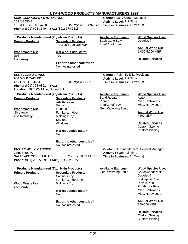|                                                                                                                                                                                                              | <b>UTAH WOOD PRODUCTS MANUFACTURERS 1997</b>                                                                                                                                                                                                                                                        |                                                                                                                   |                                                                                                                                                                                                                                                                                                                            |  |
|--------------------------------------------------------------------------------------------------------------------------------------------------------------------------------------------------------------|-----------------------------------------------------------------------------------------------------------------------------------------------------------------------------------------------------------------------------------------------------------------------------------------------------|-------------------------------------------------------------------------------------------------------------------|----------------------------------------------------------------------------------------------------------------------------------------------------------------------------------------------------------------------------------------------------------------------------------------------------------------------------|--|
| <b>ENABLE INDUSTRIES INC</b><br>2640 INDUSTRIAL DR<br>OGDEN, UT 84401-3206<br><b>County: WEBER</b><br>FAX: (801) 621-6625<br>Phone: (801) 621-6595                                                           |                                                                                                                                                                                                                                                                                                     | <b>Contact: Timothy Winder</b><br><b>Activity Level: Full-Time</b><br>Time in Business: 15 Year(s)                |                                                                                                                                                                                                                                                                                                                            |  |
| <b>Products Manufactured (Top=Main Products)</b><br><b>Primary Products</b><br><b>Wood Waste Use</b><br>Give Away                                                                                            | <b>Secondary Products</b><br>Boxes Top<br>Furniture, Indoor<br>Pallets Top<br>Specialty Items: work stations<br><b>Market outside state?</b><br>No.<br><b>Export to other countries?</b><br>No, but interested                                                                                      | <b>Available Equipment</b><br><b>Genl Wdwrkng Equip</b>                                                           | <b>Wood Species Used</b><br>Douglas-fir<br>True Fir<br>Misc. Softwoods<br>Misc. Hardwoods<br><b>Annual Wood Use</b><br><200 MBF<br><b>Related Services</b><br>Other: mfr. packing crates                                                                                                                                   |  |
| <b>FETZERS' INC</b><br>1436 S WEST TEMPLE<br>SALT LAKE CITY, UT 84115<br><b>County: SALT LAKE</b><br>Phone: (801) 484-6103  FAX: (801) 484-6122                                                              |                                                                                                                                                                                                                                                                                                     | <b>Contact: Richard Fetzer, President</b><br><b>Activity Level: Full-Time</b><br>Time in Business: 87 Year(s)     |                                                                                                                                                                                                                                                                                                                            |  |
| <b>Products Manufactured (Top=Main Products)</b><br><b>Primary Products</b><br><b>Wood Waste Use</b><br><b>Most Landfilled</b>                                                                               | <b>Secondary Products</b><br>Cabinets Top<br>Doors<br>Furniture, Indoor<br>Moldings<br>Paneling Top<br>Specialty Items: architectural<br>millwork, store fixtures<br>Other Secondary:custom<br>library furniture<br><b>Market outside state?</b><br>Yes<br><b>Export to other countries?</b><br>Yes | <b>Available Equipment</b><br>Planer<br>Genl Wdwrkng Equip                                                        | <b>Wood Species Used</b><br>Cottonwood/Poplar<br>Douglas-fir<br>Ponderosa Pine<br>Misc. Softwoods<br>Misc. Hardwoods<br>Other: cherry, walnut,<br>exotics<br><b>Annual Wood Use</b><br><200 MBF<br>Other amounts/units:<br>200-500,000 sqft panel<br>stock<br><b>Related Services</b><br>Other: veneer matching &<br>layup |  |
| <b>FIELDCREST CABINET/WHITE FLAME</b><br>PO BOX 160157<br>CLEARFIELD, UT 84016<br><b>County: DAVIS</b><br>Phone: (801) 773-9663<br>FAX: (801) 773-9631<br>Location: Freeport Center Bldg D-6, Clearfield, UT |                                                                                                                                                                                                                                                                                                     | <b>Contact: Wayne Field, President</b><br><b>Activity Level: Full-Time</b><br>Time in Business: 30 Year(s)        |                                                                                                                                                                                                                                                                                                                            |  |
| <b>Products Manufactured (Top=Main Products)</b><br><b>Primary Products</b><br>Other Primary: wood pellets<br>from scrap                                                                                     | <b>Secondary Products</b><br>Cabinets Top<br><b>Market outside state?</b><br>Yes                                                                                                                                                                                                                    | <b>Available Equipment</b><br>Bagging Eq<br><b>Bandsaw Headrig</b><br><b>Kiln</b><br>Planer<br>Genl Wdwrkng Equip | <b>Wood Species Used</b><br>Misc. Hardwoods<br>Other: oak, maple<br><b>Annual Wood Use</b><br>200-500 MBF                                                                                                                                                                                                                  |  |
| <b>Wood Waste Use</b><br>Use Internally                                                                                                                                                                      | <b>Export to other countries?</b>                                                                                                                                                                                                                                                                   | Loader                                                                                                            | <b>Related Services</b>                                                                                                                                                                                                                                                                                                    |  |

#### Use Internally

Yes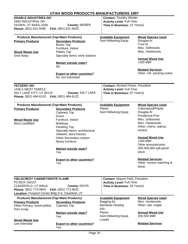|                                                                                                                                   | <b>UTAH WOOD PRODUCTS MANUFACTURERS 1997</b>                                                                                               |                                                                                                         |                                                                                                                                               |
|-----------------------------------------------------------------------------------------------------------------------------------|--------------------------------------------------------------------------------------------------------------------------------------------|---------------------------------------------------------------------------------------------------------|-----------------------------------------------------------------------------------------------------------------------------------------------|
| <b>FINE LINE CABINETS</b><br>479 N 200 W<br>CEDAR CITY, UT 84720<br>Phone: (801) 586-4466                                         | County: IRON<br>FAX: (801) 586-4466                                                                                                        | <b>Contact: Ronald Riddle, Owner</b><br><b>Activity Level: Full-Time</b><br>Time in Business: 5 Year(s) |                                                                                                                                               |
| <b>Products Manufactured (Top=Main Products)</b><br><b>Primary Products</b><br><b>Wood Waste Use</b>                              | <b>Secondary Products</b><br>Cabinets Top<br><b>Market outside state?</b><br>No<br><b>Export to other countries?</b><br>No, not interested | <b>Available Equipment</b><br>Planer<br><b>Genl Wdwrkng Equip</b>                                       | <b>Wood Species Used</b><br>Misc. Hardwoods<br><b>Annual Wood Use</b><br><200 MBF<br><b>Related Services</b><br>Other: install cabinets, trim |
| <b>FINE WOODWORKS</b><br>827 S STATE<br>RICHMOND, UT 84333<br>Phone: (801) 258-5101<br>FAX:<br>Location: 800 S 38 E, Richmond, UT | <b>County: CACHE</b>                                                                                                                       | Contact: Glenn Leonard, Owner<br><b>Activity Level: Full-Time</b><br>Time in Business: 10 Year(s)       |                                                                                                                                               |
| <b>Products Manufactured (Top=Main Products)</b><br><b>Primary Products</b>                                                       | <b>Secondary Products</b><br>Cabinets Top<br>Doors Top                                                                                     | <b>Available Equipment</b><br><b>Band Resaw</b><br>Planer<br><b>Trim/Cutoff Saw</b>                     | <b>Wood Species Used</b><br>Misc. Hardwoods<br>Other: cherry, maple                                                                           |
| <b>Wood Waste Use</b><br>Give Away<br>Use Internally                                                                              | Furniture, Indoor Top<br><b>Market outside state?</b><br>No                                                                                | <b>Genl Wdwrkng Equip</b>                                                                               | <b>Annual Wood Use</b><br><200 MBF<br><b>Related Services</b>                                                                                 |
|                                                                                                                                   | <b>Export to other countries?</b><br>No, not interested                                                                                    |                                                                                                         |                                                                                                                                               |
| <b>FIRM BILT MILL &amp; MOLDING</b><br>247 W 1400 S<br>SALT LAKE CITY, UT 84115<br>Phone: (801) 486-5471<br>FAX:                  | <b>County: SALT LAKE</b>                                                                                                                   | Contact: Chris Bellamy, Manager<br><b>Activity Level: Full-Time</b><br>Time in Business: 26 Year(s)     |                                                                                                                                               |
| <b>Products Manufactured (Top=Main Products)</b><br><b>Primary Products</b>                                                       | <b>Secondary Products</b><br>Moldings<br>Windows                                                                                           | <b>Available Equipment</b><br><b>Band Resaw</b><br>Finger Jointer<br>Planer                             | <b>Wood Species Used</b><br>Douglas-fir<br>Ponderosa Pine<br>Misc. Softwoods                                                                  |
| <b>Wood Waste Use</b><br>Give Away                                                                                                | <b>Market outside state?</b><br>No                                                                                                         | <b>Trim/Cutoff Saw</b><br><b>Genl Wdwrkng Equip</b>                                                     | Misc. Hardwoods<br><b>Related Services</b>                                                                                                    |
|                                                                                                                                   | <b>Export to other countries?</b><br>No, not interested                                                                                    |                                                                                                         | <b>Custom Sawing</b><br><b>Custom Planing</b>                                                                                                 |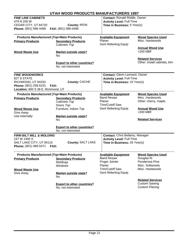| <b>FISHLAKE LUMBER CO</b>                             |                                   | <b>Contact: Lynn Anderson, Owner</b> |                          |  |
|-------------------------------------------------------|-----------------------------------|--------------------------------------|--------------------------|--|
| PO BOX L<br>BEAVER, UT 84713<br><b>County: BEAVER</b> |                                   | <b>Activity Level: Full-Time</b>     |                          |  |
|                                                       |                                   | Time in Business: 22 Year(s)         |                          |  |
| Phone: (801) 438-5453                                 | FAX: (801) 438-5477               |                                      |                          |  |
| Location: 1 mi N of Beaver on old Hwy 91              |                                   |                                      |                          |  |
| <b>Products Manufactured (Top=Main Products)</b>      |                                   | <b>Available Equipment</b>           | <b>Wood Species Used</b> |  |
| <b>Primary Products</b>                               | <b>Secondary Products</b>         | Circular Headrig                     | Aspen                    |  |
| Chips                                                 |                                   | Edger                                | Douglas-fir              |  |
| Lumber, Rough                                         | <b>Market outside state?</b>      | Planer                               | <b>True Fir</b>          |  |
| " " Green Top                                         | No                                | <b>Trim/Cutoff Saw</b>               | Ponderosa Pine           |  |
| " " Air-Dried Top                                     |                                   | General Logging Eq                   | Spruce                   |  |
| Poles                                                 | <b>Export to other countries?</b> | <b>Crawler Tractor</b>               | Other: aromatic redcedar |  |
| Posts                                                 | No, but interested                | Loader                               |                          |  |
| Timbers                                               |                                   | Skidder                              | <b>Annual Wood Use</b>   |  |
| Other Primary: landscape                              |                                   | <b>Trucks</b>                        | 500-1,000 MBF            |  |
| timbers, sawdust                                      |                                   | Other: road grader                   |                          |  |
|                                                       |                                   |                                      | <b>Related Services</b>  |  |
|                                                       |                                   |                                      | Logging<br>Road Building |  |
| <b>Wood Waste Use</b>                                 |                                   |                                      |                          |  |
| Sell                                                  |                                   |                                      | Log Hauling              |  |
| Give Away                                             |                                   |                                      | <b>Custom Sawing</b>     |  |
|                                                       |                                   |                                      |                          |  |
|                                                       |                                   |                                      |                          |  |
|                                                       |                                   |                                      |                          |  |
| FIT RITE WOOD PRODUCTS                                |                                   | Contact: Larry Hansen, Owner         |                          |  |
| 201 N MAIN                                            |                                   | <b>Activity Level: Full-Time</b>     |                          |  |
| <b>SALEM, UT 84653</b>                                | County: UTAH                      | Time in Business: 10 Year(s)         |                          |  |
| Phone: (801) 423-2229                                 | FAX:                              |                                      |                          |  |
|                                                       |                                   |                                      |                          |  |
| <b>Products Manufactured (Top=Main Products)</b>      |                                   | <b>Available Equipment</b>           | <b>Wood Species Used</b> |  |
| <b>Primary Products</b>                               | <b>Secondary Products</b>         | Edger                                | Misc. Hardwoods          |  |
| Lumber, Rough Top                                     | Flooring Top                      | Kiln                                 | Other: oak               |  |
| " " Air-Dried Top                                     | Paneling                          | Planer                               |                          |  |
| Lumber, Dimension Top                                 |                                   | Portable Sawmill                     | <b>Annual Wood Use</b>   |  |
| " " Kiln-Dried Top                                    | <b>Market outside state?</b>      | Genl Wdwrkng Equip                   | <200 MBF                 |  |
|                                                       | No.                               |                                      |                          |  |
|                                                       |                                   |                                      | <b>Related Services</b>  |  |
| <b>Wood Waste Use</b>                                 | <b>Export to other countries?</b> |                                      | <b>Custom Sawing</b>     |  |
| Give Away                                             | No, not interested                |                                      | <b>Custom Drying</b>     |  |

Give Away

Other: wood flooring mfr.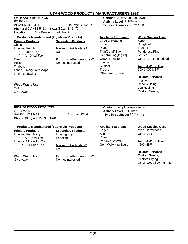|                                                                | <u>UTAH WOOD PRODUCTS MANUFACTURERS 1997</u> |                                                 |                                                   |  |
|----------------------------------------------------------------|----------------------------------------------|-------------------------------------------------|---------------------------------------------------|--|
| <b>FONDELL WOODWORK INC</b>                                    |                                              |                                                 | <b>Contact: Sheila Beckstrand, Office Manager</b> |  |
| <b>1657 N STATE</b>                                            |                                              |                                                 | <b>Activity Level: Full-Time</b>                  |  |
| <b>LEHI, UT 84043</b>                                          | County: UTAH                                 | Time in Business: 13 Year(s)                    |                                                   |  |
| Phone: (801) 768-4467                                          | FAX: (801) 768-4469                          |                                                 |                                                   |  |
| Location: Same as mailing                                      |                                              |                                                 |                                                   |  |
| <b>Products Manufactured (Top=Main Products)</b>               |                                              | <b>Available Equipment</b>                      | <b>Wood Species Used</b>                          |  |
| <b>Primary Products</b>                                        | <b>Secondary Products</b>                    | Edger                                           | Cottonwood/Poplar                                 |  |
|                                                                | Cabinets Top                                 | Planer                                          | Misc. Hardwoods                                   |  |
|                                                                | Furniture, Indoor Top                        | Trim/Cutoff Saw                                 |                                                   |  |
| <b>Wood Waste Use</b>                                          | Moldings Top                                 | Genl Wdwrkng Equip                              | <b>Annual Wood Use</b>                            |  |
| Sell                                                           | Other Secondary: store fixtures              |                                                 | 200-500 MBF                                       |  |
| Give Away                                                      |                                              |                                                 |                                                   |  |
|                                                                | <b>Market outside state?</b>                 |                                                 | <b>Related Services</b>                           |  |
|                                                                | Yes                                          |                                                 |                                                   |  |
|                                                                |                                              |                                                 |                                                   |  |
|                                                                | <b>Export to other countries?</b>            |                                                 |                                                   |  |
|                                                                | No. but interested                           |                                                 |                                                   |  |
| <b>FOREST PRODUCTS SALES INC</b>                               |                                              | <b>Contact: Tom Butterfield, President</b>      |                                                   |  |
| PO BOX 57367                                                   |                                              | <b>Activity Level: Full-Time</b>                |                                                   |  |
| SALT LAKE CITY, UT 84157-0367                                  | <b>County: SALT LAKE</b>                     | Time in Business: 25 Year(s)                    |                                                   |  |
| Phone: (801) 262-6428                                          | FAX: (801) 262-9822                          |                                                 |                                                   |  |
| Location: 249 W Vine St, Murray, UT                            |                                              |                                                 |                                                   |  |
| <b>Products Manufactured (Top=Main Products)</b>               |                                              | <b>Available Equipment</b>                      | <b>Wood Species Used</b>                          |  |
| <b>Primary Products</b>                                        | <b>Secondary Products</b>                    | <b>Band Resaw</b>                               | Douglas-fir                                       |  |
|                                                                | Fencing Top                                  | Kiln                                            | Lodgepole Pine                                    |  |
|                                                                | Treated Wood Top                             | Pressure Trtng Eq                               | Spruce                                            |  |
| <b>Wood Waste Use</b>                                          |                                              | <b>Trim/Cutoff Saw</b>                          | Other: cedar                                      |  |
| Sell                                                           | <b>Market outside state?</b>                 |                                                 |                                                   |  |
| Give Away                                                      | Yes                                          |                                                 | <b>Annual Wood Use</b>                            |  |
|                                                                |                                              |                                                 | 1,000-5,000 MBF                                   |  |
|                                                                | <b>Export to other countries?</b>            |                                                 |                                                   |  |
|                                                                | No, not interested                           |                                                 | <b>Related Services</b>                           |  |
|                                                                |                                              |                                                 | <b>Custom Sawing</b>                              |  |
|                                                                |                                              |                                                 |                                                   |  |
|                                                                |                                              |                                                 |                                                   |  |
|                                                                |                                              |                                                 |                                                   |  |
| <b>FORESTWOOD CABINETRY</b>                                    |                                              | <b>Contact: Marvin Fischer, General Manager</b> |                                                   |  |
| PO BOX 840300<br>HILDALE, UT 84784                             | <b>County: WASHINGTON</b>                    | <b>Activity Level: Full-Time</b>                |                                                   |  |
|                                                                |                                              | Time in Business: 22 Year(s)                    |                                                   |  |
| Phone: (801) 874-2321<br>Location: 745 N State St, Hildale, UT | FAX: (801) 874-2255                          |                                                 |                                                   |  |
|                                                                |                                              |                                                 |                                                   |  |

| Location: 745 N State St, Hildale, UT            |                                                                    |                                            |                                                       |
|--------------------------------------------------|--------------------------------------------------------------------|--------------------------------------------|-------------------------------------------------------|
| <b>Products Manufactured (Top=Main Products)</b> |                                                                    | <b>Available Equipment</b>                 | <b>Wood Species Used</b>                              |
| <b>Primary Products</b>                          | <b>Secondary Products</b><br>Cabinets Top<br>Furniture, Indoor Top | Planer<br>Sash Gang Saw<br>Trim/Cutoff Saw | Lodgepole Pine<br>Misc. Hardwoods                     |
| <b>Wood Waste Use</b><br>Sell                    | Moldings Top                                                       | Genl Wdwrkng Equip                         | <b>Annual Wood Use</b><br>200-500 MBF                 |
| Give Away<br>Use Internally                      | Market outside state?<br>Yes.                                      |                                            | <b>Related Services</b><br>Other: custom cabinet mfr. |
|                                                  | <b>Export to other countries?</b>                                  |                                            |                                                       |

No, not interested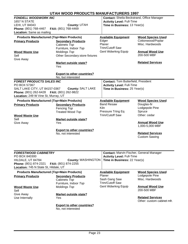| <b>FRONTIER LUMBER</b>                                                |                                                         | <b>Contact: Kelly Young, President</b>     |                                                 |  |
|-----------------------------------------------------------------------|---------------------------------------------------------|--------------------------------------------|-------------------------------------------------|--|
| <b>PO BOX 186</b>                                                     |                                                         | <b>Activity Level: Full-Time</b>           |                                                 |  |
| LAPOINT, UT 84039                                                     | <b>County: UINTAH</b>                                   | Time in Business: 17 Year(s)               |                                                 |  |
| Phone: (801) 247-2521<br>FAX:<br>Location: 11500 East Rd, Lapoint, UT |                                                         |                                            |                                                 |  |
|                                                                       |                                                         |                                            |                                                 |  |
| <b>Products Manufactured (Top=Main Products)</b>                      |                                                         | <b>Available Equipment</b>                 | <b>Wood Species Used</b>                        |  |
| <b>Primary Products</b>                                               | <b>Secondary Products</b>                               | Circular Headrig<br>Other: house log lathe | Douglas-fir<br>Lodgepole Pine                   |  |
| Chips                                                                 |                                                         |                                            | Ponderosa Pine                                  |  |
| Firewood<br>House Logs Top                                            | <b>Market outside state?</b><br>Yes                     |                                            | Spruce                                          |  |
| Lumber, Rough                                                         |                                                         |                                            |                                                 |  |
| " " Air-Dried Top                                                     | <b>Export to other countries?</b>                       |                                            | <b>Annual Wood Use</b>                          |  |
| Mine Props                                                            | No, but interested                                      |                                            | 1,000-5,000 MBF                                 |  |
| Poles                                                                 |                                                         |                                            |                                                 |  |
| Posts Top                                                             |                                                         |                                            | <b>Related Services</b>                         |  |
| Timbers Top                                                           |                                                         |                                            | Other: house logs                               |  |
| <b>Wood Waste Use</b><br>Sell<br>Give Away                            |                                                         |                                            |                                                 |  |
| <b>G C CABINETS</b>                                                   |                                                         | Contact: Carlos Gianfelice, Owner          |                                                 |  |
| 620 S MAIN ST                                                         |                                                         | <b>Activity Level: Full-Time</b>           |                                                 |  |
| SPANISH FORK, UT 84660                                                | <b>County: UTAH</b>                                     | Time in Business: 5 Year(s)                |                                                 |  |
| Phone: (801) 798-0323  FAX: (801) 798-0602                            |                                                         |                                            |                                                 |  |
|                                                                       |                                                         |                                            |                                                 |  |
| <b>Products Manufactured (Top=Main Products)</b>                      |                                                         | <b>Available Equipment</b>                 | <b>Wood Species Used</b>                        |  |
| <b>Primary Products</b>                                               | <b>Secondary Products</b>                               | Planer                                     | Misc. Hardwoods                                 |  |
|                                                                       | Cabinets Top                                            | <b>Trim/Cutoff Saw</b>                     |                                                 |  |
|                                                                       | Furniture, Indoor Top                                   | Genl Wdwrkng Equip                         | <b>Annual Wood Use</b>                          |  |
| <b>Wood Waste Use</b>                                                 |                                                         |                                            | <200 MBF                                        |  |
| Give Away                                                             | Market outside state?                                   |                                            |                                                 |  |
|                                                                       | No.                                                     |                                            | <b>Related Services</b><br><b>Custom Sawing</b> |  |
|                                                                       |                                                         |                                            |                                                 |  |
|                                                                       | <b>Export to other countries?</b><br>No, not interested |                                            |                                                 |  |
|                                                                       |                                                         |                                            |                                                 |  |
| <b>GARRETT CUSTOM CABINETS</b>                                        |                                                         | Contact: Jay Garrett, President            |                                                 |  |
| 2417 W 350 N #2 BOX 67-2                                              |                                                         | <b>Activity Level: Full-Time</b>           |                                                 |  |
|                                                                       |                                                         |                                            |                                                 |  |
|                                                                       |                                                         |                                            |                                                 |  |
| HURRICANE, UT 84737<br>Phone: (801) 635-0644<br>FAX:                  | <b>County: WASHINGTON</b>                               | Time in Business: 4 Year(s)                |                                                 |  |
|                                                                       |                                                         |                                            |                                                 |  |
| <b>Products Manufactured (Top=Main Products)</b>                      |                                                         | <b>Available Equipment</b>                 | <b>Wood Species Used</b>                        |  |
| <b>Primary Products</b>                                               | <b>Secondary Products</b>                               | Planer                                     | Misc. Hardwoods                                 |  |
|                                                                       | Cabinets Top                                            | Genl Wdwrkng Equip                         |                                                 |  |
|                                                                       | Doors Top                                               |                                            | <b>Annual Wood Use</b>                          |  |
| <b>Wood Waste Use</b>                                                 | Furniture, Indoor Top                                   |                                            | <200 MBF                                        |  |
| Give Away                                                             |                                                         |                                            |                                                 |  |
|                                                                       | <b>Market outside state?</b>                            |                                            | <b>Related Services</b>                         |  |
|                                                                       | No                                                      |                                            |                                                 |  |
|                                                                       | <b>Export to other countries?</b>                       |                                            |                                                 |  |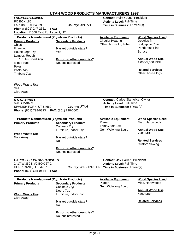| <b>UTAH WOOD PRODUCTS MANUFACTURERS 1997</b>                                                                                                                    |                                                                                                                                                                                                     |                                                                                                                                                                         |                                                                                                                                                                                                                      |  |
|-----------------------------------------------------------------------------------------------------------------------------------------------------------------|-----------------------------------------------------------------------------------------------------------------------------------------------------------------------------------------------------|-------------------------------------------------------------------------------------------------------------------------------------------------------------------------|----------------------------------------------------------------------------------------------------------------------------------------------------------------------------------------------------------------------|--|
| <b>GEARHART WOODWORKING CO</b><br>635 REDROCK RD<br>ST GEORGE, UT 84770<br><b>County: WASHINGTON</b><br>Phone: (801) 628-9474<br>FAX:                           |                                                                                                                                                                                                     | <b>Contact: Dan Gearhart, President</b><br><b>Activity Level: Full-Time</b><br>Time in Business: 6 Year(s)                                                              |                                                                                                                                                                                                                      |  |
| <b>Products Manufactured (Top=Main Products)</b><br><b>Primary Products</b><br><b>Wood Waste Use</b><br>Give Away<br>Use Internally                             | <b>Secondary Products</b><br>Cabinets Top<br>Doors Top<br>Furniture, Indoor Top<br>Moldings<br><b>Market outside state?</b><br><b>No</b><br><b>Export to other countries?</b><br>No, not interested | <b>Available Equipment</b><br>Planer<br>Genl Wdwrkng Equip                                                                                                              | <b>Wood Species Used</b><br>Misc. Hardwoods<br>Other: oak, maple, cherry<br><b>Annual Wood Use</b><br><200 MBF<br><b>Related Services</b><br>Other: custom cabinet<br>making                                         |  |
| <b>HALLMARK MOLDINGS INC</b><br>1810 W FORTUNE RD # F<br>SALT LAKE CITY, UT 84104<br><b>County: SALT LAKE</b><br>Phone: (801) 972-7096<br>FAX: (801) 972-7044   |                                                                                                                                                                                                     | Contact: Sherman Gayon, President<br><b>Activity Level: Full-Time</b><br>Time in Business: 5 Year(s)                                                                    |                                                                                                                                                                                                                      |  |
| <b>Products Manufactured (Top=Main Products)</b><br><b>Primary Products</b><br><b>Wood Waste Use</b><br>Give Away                                               | <b>Secondary Products</b><br>Moldings Top<br><b>Market outside state?</b><br>Yes<br><b>Export to other countries?</b><br>No, but interested                                                         | <b>Available Equipment</b><br>Genl Wdwrkng Equip                                                                                                                        | <b>Wood Species Used</b><br>Cottonwood/Poplar<br>Misc. Hardwoods<br>Other: eastern white pine,<br>cherry, alder<br><b>Annual Wood Use</b><br>200-500 MBF<br><b>Related Services</b><br>Other: custom molding<br>mfr. |  |
| <b>HANSEN LUMBER CO</b><br><b>RR 1 BOX 82</b><br>FAIRVIEW, UT 84629<br>Phone: (801) 427-3815                                                                    | <b>County: SANPETE</b><br>FAX: (801) 427-3313                                                                                                                                                       | Contact: Larry R. Hansen, President<br><b>Activity Level: Full-Time</b>                                                                                                 |                                                                                                                                                                                                                      |  |
| <b>Products Manufactured (Top=Main Products)</b><br><b>Primary Products</b><br>Lumber, Rough Top<br>" " Green Top<br>" " Air-Dried Top<br><b>Wood Waste Use</b> | <b>Secondary Products</b><br><b>Market outside state?</b><br>No<br><b>Export to other countries?</b><br>No, not interested                                                                          | <b>Available Equipment</b><br>Circular Headrig<br>Edger<br><b>Trim/Cutoff Saw</b><br>General Logging Eq<br><b>Crawler Tractor</b><br>Loader<br>Skidder<br><b>Trucks</b> | <b>Wood Species Used</b><br><b>Annual Wood Use</b><br>500-1,000 MBF<br><b>Related Services</b><br>Logging<br>Log Hauling                                                                                             |  |

Page 25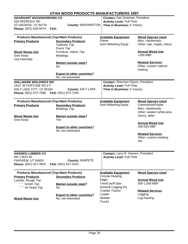| <b>UTAH WOOD PRODUCTS MANUFACTURERS 1997</b>                                                                                                                                                         |                                                                                                                                                                                                    |                                                                                                                                                                             |                                                                                                                                                                                         |  |
|------------------------------------------------------------------------------------------------------------------------------------------------------------------------------------------------------|----------------------------------------------------------------------------------------------------------------------------------------------------------------------------------------------------|-----------------------------------------------------------------------------------------------------------------------------------------------------------------------------|-----------------------------------------------------------------------------------------------------------------------------------------------------------------------------------------|--|
| <b>HEBER VALLEY LOG &amp; LUMBER LLC</b><br>2375 S HIGHWAY 40<br>HEBER CITY, UT 84032<br>Phone: (801) 654-5156<br><b>Location: Same as address</b>                                                   | <b>County: WASATCH</b><br>FAX: (801) 654-3655                                                                                                                                                      | Contact: Jim Burr, Owner<br><b>Activity Level: Full-Time</b><br>Time in Business: 14 Year(s)                                                                                |                                                                                                                                                                                         |  |
| <b>Products Manufactured (Top=Main Products)</b>                                                                                                                                                     |                                                                                                                                                                                                    | <b>Available Equipment</b>                                                                                                                                                  | <b>Wood Species Used</b>                                                                                                                                                                |  |
| <b>Primary Products</b><br>Firewood<br>House Logs Top<br>Lumber, Rough Top<br>Green Top<br>" " Air-Dried Top<br>Lumber, Dimension<br>" " Green Top<br>" " Air-Dried Top<br>Poles<br>Posts<br>Timbers | <b>Secondary Products</b><br>Bldgs, Log/Timber Top<br>Fencing<br>Flooring<br>Moldings<br>Pallets<br><b>Market outside state?</b><br>Yes<br><b>Export to other countries?</b><br>No, not interested | <b>Band Resaw</b><br>Circular Headrig<br>Edger<br>Firewood Proc<br>Planer<br><b>Portable Sawmill</b><br><b>Trim/Cutoff Saw</b><br>Veneer Lathe<br><b>Genl Wdwrkng Equip</b> | Aspen<br>Douglas-fir<br><b>True Fir</b><br>Lodgepole Pine<br>Ponderosa Pine<br>Spruce<br><b>Annual Wood Use</b><br>1,000-5,000 MBF<br><b>Related Services</b><br>Logging<br>Log Hauling |  |
| <b>Wood Waste Use</b><br>Sell                                                                                                                                                                        |                                                                                                                                                                                                    |                                                                                                                                                                             | <b>Custom Sawing</b>                                                                                                                                                                    |  |
| <b>HEBER WOOD CLASSICS</b><br>67 S 500 W<br>HEBER CITY, UT 84032<br>Phone: (801) 654-3603<br>Location: Same as mailing                                                                               | County: WASATCH<br>FAX:                                                                                                                                                                            | <b>Contact: Mark Provost, Owner</b><br><b>Activity Level: Full-Time</b><br>Time in Business: 17 Year(s)                                                                     |                                                                                                                                                                                         |  |
| <b>Products Manufactured (Top=Main Products)</b><br><b>Drimary Products Cocondary Products</b>                                                                                                       |                                                                                                                                                                                                    | <b>Available Equipment</b><br><b>Planer</b>                                                                                                                                 | <b>Wood Species Used</b><br>Misc Softwoods                                                                                                                                              |  |

| <b>HEBER WOOD CLASSICS</b><br>67 S 500 W<br>HEBER CITY, UT 84032<br>Phone: (801) 654-3603<br>Location: Same as mailing | <b>County: WASATCH</b><br><b>FAX:</b>                   | <b>Contact: Mark Provost, Owner</b><br><b>Activity Level: Full-Time</b><br>Time in Business: 17 Year(s) |                                                           |
|------------------------------------------------------------------------------------------------------------------------|---------------------------------------------------------|---------------------------------------------------------------------------------------------------------|-----------------------------------------------------------|
| <b>Products Manufactured (Top=Main Products)</b>                                                                       |                                                         | <b>Available Equipment</b>                                                                              | <b>Wood Species Used</b>                                  |
| <b>Primary Products</b>                                                                                                | <b>Secondary Products</b><br>Cabinets Top               | Planer<br><b>Genl Wdwrkng Equip</b>                                                                     | Misc. Softwoods<br>Misc. Hardwoods<br>Other: pines, oaks, |
| <b>Wood Waste Use</b><br>Use Internally<br><b>Most Landfilled</b>                                                      | Market outside state?<br>No                             |                                                                                                         | maples, ashes                                             |
|                                                                                                                        | <b>Export to other countries?</b><br>No, not interested |                                                                                                         | <b>Related Services</b>                                   |
| <b>HEIRLOOM CABINETRY</b><br>667 E 200 S<br>PAYSON, UT 84651<br>Phone: (801) 489-1250                                  | County: UTAH<br>FAX: (801) 489-8493                     | Contact: Ken Wilson, Shop Foreman<br><b>Activity Level: Full-Time</b><br>Time in Business: 2 Year(s)    |                                                           |
|                                                                                                                        | Location: Springville Ind Pk, 1190 N Spring Crk PI #E   |                                                                                                         |                                                           |
| <b>Products Manufactured (Top=Main Products)</b><br><b>Primary Products</b>                                            | <b>Secondary Products</b><br>Cabinets Top               | <b>Available Equipment</b><br>Edger<br>Planer                                                           | <b>Wood Species Used</b><br>Misc. Hardwoods               |
| <b>Wood Waste Use</b><br>Give Away                                                                                     | Market outside state?<br>No                             | <b>Genl Wdwrkng Equip</b>                                                                               | <b>Annual Wood Use</b><br>$<$ 200 MBF                     |
|                                                                                                                        | <b>Export to other countries?</b><br>No, not interested |                                                                                                         | <b>Related Services</b><br>Other: custom cabinet mfr.     |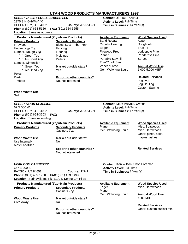|                                                                                                                                                        | <b>UTAH WOOD PRODUCTS MANUFACTURERS 1997</b>                                                                                                                                                                                                                             |                                                                                                                                                                                                                                         |                                                                                                                                                                                                                                             |  |
|--------------------------------------------------------------------------------------------------------------------------------------------------------|--------------------------------------------------------------------------------------------------------------------------------------------------------------------------------------------------------------------------------------------------------------------------|-----------------------------------------------------------------------------------------------------------------------------------------------------------------------------------------------------------------------------------------|---------------------------------------------------------------------------------------------------------------------------------------------------------------------------------------------------------------------------------------------|--|
| <b>HERITAGE WOODWORKS</b><br>241 S 100 W<br>SPRINGVILLE, UT 84663<br>County: UTAH<br>Phone: (801) 489-8242<br>FAX: (801) 489-0175                      |                                                                                                                                                                                                                                                                          | Contact: Ellen Zimmerman, Owner<br><b>Activity Level: Full-Time</b><br>Time in Business: 10 Year(s)                                                                                                                                     |                                                                                                                                                                                                                                             |  |
| <b>Primary Products</b><br><b>Wood Waste Use</b><br>Give Away                                                                                          | <b>Products Manufactured (Top=Main Products)</b><br><b>Secondary Products</b><br>Furniture, Indoor Top<br>Specialty Items: Victorian<br>cutwork<br><b>Market outside state?</b><br>No<br><b>Export to other countries?</b>                                               | <b>Available Equipment</b><br><b>Genl Wdwrkng Equip</b>                                                                                                                                                                                 | <b>Wood Species Used</b><br>Cottonwood/Poplar<br>Douglas-fir<br>Ponderosa Pine<br>Misc. Softwoods<br>Misc. Hardwoods<br><b>Annual Wood Use</b><br><200 MBF                                                                                  |  |
| <b>HUETTER MILL &amp; CABINET CO</b><br><b>5805 S STATE ST</b><br>MURRAY, UT 84157<br>Phone: (801) 266-3222                                            | No, but interested<br><b>County: SALT LAKE</b><br>FAX: (801) 263-0425                                                                                                                                                                                                    | Contact: Roy A. DeSimone, Manager<br><b>Activity Level: Full-Time</b><br>Time in Business: 50 Year(s)                                                                                                                                   | <b>Related Services</b>                                                                                                                                                                                                                     |  |
| <b>Primary Products</b><br>Lumber, Dimension<br>" " Kiln-Dried Top<br><b>Wood Waste Use</b><br>Give Away                                               | <b>Products Manufactured (Top=Main Products)</b><br><b>Secondary Products</b><br>Cabinets Top<br>Doors<br>Furniture, Indoor<br>Moldings Top<br>Paneling Top<br>Windows<br><b>Market outside state?</b><br>Yes<br><b>Export to other countries?</b><br>No, but interested | <b>Available Equipment</b><br>Bagging Eq<br><b>Band Resaw</b><br>Planer<br><b>Trim/Cutoff Saw</b><br>Genl Wdwrkng Equip<br>Other: straight line saw                                                                                     | <b>Wood Species Used</b><br>Cottonwood/Poplar<br>Lodgepole Pine<br>Ponderosa Pine<br>Misc. Hardwoods<br>Other: redwood<br><b>Related Services</b><br><b>Custom Sawing</b><br><b>Custom Planing</b><br>Other: architectural<br>millwork mfr. |  |
| <b>J A NORTON CONSTRUCTION</b><br>5208 KILKARE LOOP<br>WOODLAND, UT 84036<br>Phone: (801) 783-4764<br><b>Primary Products</b><br><b>Wood Waste Use</b> | <b>County: SUMMIT</b><br>FAX: (801) 783-4764<br><b>Products Manufactured (Top=Main Products)</b><br><b>Secondary Products</b><br>Bldgs, Log/Timber Top<br>Bldgs, Pole Top<br>Sheds/Portable Bldgs Top<br><b>Market outside state?</b><br>Yes                             | <b>Contact: Jim Norton, Owner</b><br><b>Activity Level: Full-Time</b><br>Time in Business: 23 Year(s)<br>E-Mail: postfrmg@allwest.net<br>Internet: http://www.allwest.net/postframe<br><b>Available Equipment</b><br>Genl Wdwrkng Equip | <b>Wood Species Used</b><br>Douglas-fir<br><b>Annual Wood Use</b><br><200 MBF<br><b>Related Services</b>                                                                                                                                    |  |
|                                                                                                                                                        | <b>Export to other countries?</b><br>No, not interested                                                                                                                                                                                                                  |                                                                                                                                                                                                                                         |                                                                                                                                                                                                                                             |  |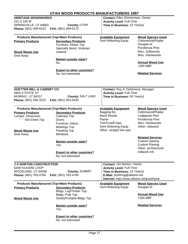|                                                                                                                                                             | <b>UTAH WOOD PRODUCTS MANUFACTURERS 1997</b>                                                                          |                                                                                                            |                                                                                |
|-------------------------------------------------------------------------------------------------------------------------------------------------------------|-----------------------------------------------------------------------------------------------------------------------|------------------------------------------------------------------------------------------------------------|--------------------------------------------------------------------------------|
| <b>J B CUSTOM WOODWORKS INC</b><br>PO BOX 71235<br>SALT LAKE CITY, UT 84171-0235<br><b>County: SALT LAKE</b><br>Phone: (801) 273-0495   FAX: (801) 273-1614 |                                                                                                                       | Contact: Vaughn, Jeff Belnap, President<br><b>Activity Level: Full-Time</b><br>Time in Business: 5 Year(s) |                                                                                |
|                                                                                                                                                             | <b>Products Manufactured (Top=Main Products)</b>                                                                      | <b>Available Equipment</b>                                                                                 | <b>Wood Species Used</b>                                                       |
| <b>Primary Products</b><br><b>Wood Waste Use</b><br>Use Internally                                                                                          | <b>Secondary Products</b><br>Fencing Top<br>Furniture, Outdoor Top<br>Other Secondary: decks<br>Market outside state? | <b>Band Resaw</b><br>Planer<br>Genl Wdwrkng Equip                                                          | Douglas-fir<br>True Fir<br>Ponderosa Pine<br>Misc. Softwoods<br>Other: redwood |
|                                                                                                                                                             | No.<br><b>Export to other countries?</b><br>No, not interested                                                        |                                                                                                            | <b>Annual Wood Use</b><br>$<$ 200 MBF<br><b>Related Services</b>               |
|                                                                                                                                                             |                                                                                                                       |                                                                                                            | Other: custom redwood<br>decks, etc.                                           |

| <b>JAMES PETERSEN LOGGING INC</b>                |                                   | Contact: Danny, Jeannie Petersen, Pres., Sec. |                                 |  |
|--------------------------------------------------|-----------------------------------|-----------------------------------------------|---------------------------------|--|
| 1267 S VERMILLION DR                             |                                   |                                               | <b>Activity Level: Seasonal</b> |  |
| <b>KANAB, UT 84741</b>                           | <b>County: KANE</b>               | Time in Business: 22 Year(s)                  |                                 |  |
| Phone: (801) 644-2475   FAX: (801) 644-2475      |                                   |                                               |                                 |  |
| Location: 1236 N Hwy 89a, Fredonia, AZ           |                                   |                                               |                                 |  |
| <b>Products Manufactured (Top=Main Products)</b> |                                   | <b>Available Equipment</b>                    | <b>Wood Species Used</b>        |  |
| <b>Primary Products</b>                          | <b>Secondary Products</b>         | Bandsaw Headrig                               | Aspen                           |  |
| Chips                                            | Fencing                           | <b>Chipper Headrig</b>                        | Douglas-fir                     |  |
| Firewood                                         |                                   | Debarker                                      | Ponderosa Pine                  |  |
| House Logs                                       | <b>Market outside state?</b>      | Edger                                         | Spruce                          |  |
| Lumber, Rough Top                                | Yes.                              | Planer                                        |                                 |  |
| " " Green Top                                    |                                   | Portable Sawmill                              | <b>Annual Wood Use</b>          |  |
| " " Air-Dried Top                                | <b>Export to other countries?</b> | Trim/Cutoff Saw                               | 500-1.000 MBF                   |  |
| Lumber, Dimension Top                            | No, not interested                | General Logging Eq                            |                                 |  |
| " " Green Top                                    |                                   | Crawler Tractor                               | <b>Related Services</b>         |  |
| " " Air-Dried Top                                |                                   | Loader                                        | Logging                         |  |
| Mine Props                                       |                                   | Skidder                                       | Log Hauling                     |  |
| Poles Top                                        |                                   | <b>Trucks</b>                                 | <b>Custom Sawing</b>            |  |
| Posts                                            |                                   |                                               |                                 |  |
| Ties, RR                                         |                                   |                                               |                                 |  |

#### **Wood Waste Use**

Sell Give Away

Timbers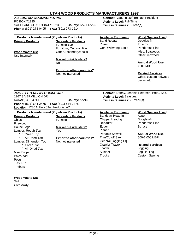|                                                                                                                                                                                               | UTAH WOOD PRODUCTS MANUFACTURERS 1997                                                                                                                                                                         |                                                                                                                  |                                                                                                                                                                                                                                                       |  |
|-----------------------------------------------------------------------------------------------------------------------------------------------------------------------------------------------|---------------------------------------------------------------------------------------------------------------------------------------------------------------------------------------------------------------|------------------------------------------------------------------------------------------------------------------|-------------------------------------------------------------------------------------------------------------------------------------------------------------------------------------------------------------------------------------------------------|--|
| <b>KARMAN KITCHENS INC</b><br>6000 S STRATLER ST<br><b>County: SALT LAKE</b><br>SALT LAKE CITY, UT 84107<br>Phone: (801) 268-3581<br>FAX: (801) 281-6405<br>Location: Mailing address, Murray |                                                                                                                                                                                                               | <b>Contact: Hank Schmidt, Vice President</b><br><b>Activity Level: Full-Time</b><br>Time in Business: 31 Year(s) |                                                                                                                                                                                                                                                       |  |
| <b>Products Manufactured (Top=Main Products)</b><br><b>Primary Products</b>                                                                                                                   | <b>Secondary Products</b><br>Cabinets Top                                                                                                                                                                     | <b>Available Equipment</b><br>Bagging Eq<br><b>Trim/Cutoff Saw</b><br>Genl Wdwrkng Equip                         | <b>Wood Species Used</b><br>Other: red oak, hard<br>maple, cherry                                                                                                                                                                                     |  |
| <b>Wood Waste Use</b><br>Give Away                                                                                                                                                            | <b>Market outside state?</b><br>Yes                                                                                                                                                                           |                                                                                                                  | <b>Annual Wood Use</b><br>1,000-5,000 MBF                                                                                                                                                                                                             |  |
|                                                                                                                                                                                               | <b>Export to other countries?</b><br>No, but interested                                                                                                                                                       |                                                                                                                  | <b>Related Services</b>                                                                                                                                                                                                                               |  |
| <b>KLASSY WOOD DESIGN</b><br>1866 W 2000 N<br>HELPER, UT 84526<br>Phone: (801) 637-8925<br>Location: Carbonville                                                                              | <b>County: CARBON</b><br>FAX: (801) 637-8925                                                                                                                                                                  | Contact: Greg R. Poulos, Owner<br><b>Activity Level: Full-Time</b><br>Time in Business: 5 Year(s)                |                                                                                                                                                                                                                                                       |  |
| <b>Products Manufactured (Top=Main Products)</b><br><b>Primary Products</b><br><b>Wood Waste Use</b><br>Give Away                                                                             | <b>Secondary Products</b><br>Cabinets Top<br>Furniture, Indoor Top<br>Moldings Top<br><b>Market outside state?</b><br><b>No</b><br><b>Export to other countries?</b>                                          | <b>Available Equipment</b><br><b>Genl Wdwrkng Equip</b>                                                          | <b>Wood Species Used</b><br>Misc. Softwoods<br>Misc. Hardwoods<br><b>Annual Wood Use</b><br><200 MBF<br><b>Related Services</b>                                                                                                                       |  |
| <b>LANE HUGHES WOODWORKING</b><br>767 W SOUTH TEMPLE<br>SALT LAKE CITY, UT 84104<br>Phone: (801) 533-0707<br>Location: Same as address                                                        | No, not interested<br><b>County: SALT LAKE</b><br>FAX:                                                                                                                                                        | Contact: Lane Hughes, Owner<br><b>Activity Level: Full-Time</b><br>Time in Business: 2 Year(s)                   |                                                                                                                                                                                                                                                       |  |
| <b>Products Manufactured (Top=Main Products)</b><br><b>Primary Products</b><br><b>Wood Waste Use</b><br>Give Away                                                                             | <b>Secondary Products</b><br><b>Boxes</b><br>Cabinets Top<br>Furniture, Indoor Top<br>Furniture, Outdoor Top<br><b>Market outside state?</b><br>No<br><b>Export to other countries?</b><br>No, not interested | <b>Available Equipment</b><br>Planer<br><b>Trim/Cutoff Saw</b><br><b>Genl Wdwrkng Equip</b>                      | <b>Wood Species Used</b><br>Cottonwood/Poplar<br>Douglas-fir<br>Misc. Softwoods<br>Misc. Hardwoods<br><b>Annual Wood Use</b><br><200 MBF<br><b>Related Services</b><br><b>Custom Sawing</b><br><b>Custom Planing</b><br>Other: general<br>woodworking |  |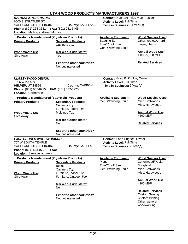| <b>LEAVITT LUMBER CO</b>                                                                                                                     |                                                                                                                                                                                                    | <b>Contact: Stanley Leavitt, President</b>                                                                    |                                                                                                                                                                                                    |
|----------------------------------------------------------------------------------------------------------------------------------------------|----------------------------------------------------------------------------------------------------------------------------------------------------------------------------------------------------|---------------------------------------------------------------------------------------------------------------|----------------------------------------------------------------------------------------------------------------------------------------------------------------------------------------------------|
| PO BOX 96<br><b>KAMAS, UT 84036</b><br>Phone: (801) 783-4678  FAX: (801) 783-4384<br>Location: 395 S 300 E, Kamas, UT                        | <b>County: SUMMIT</b>                                                                                                                                                                              | <b>Activity Level: Full-Time</b><br>Time in Business: 25 Year(s)                                              |                                                                                                                                                                                                    |
| <b>Products Manufactured (Top=Main Products)</b>                                                                                             |                                                                                                                                                                                                    | <b>Available Equipment</b>                                                                                    | <b>Wood Species Used</b>                                                                                                                                                                           |
| <b>Primary Products</b><br>Lumber, Rough Top<br>" " Air-Dried Top<br>Lumber, Dimension Top                                                   | <b>Secondary Products</b><br>Pallets<br><b>Market outside state?</b>                                                                                                                               | <b>Band Resaw</b><br>Circular Headrig<br>Debarker<br>Edger                                                    | Aspen<br>True Fir<br>Lodgepole Pine<br>Ponderosa Pine                                                                                                                                              |
| " " Air-Dried Top<br>Mine Props<br>Ties, RR                                                                                                  | Yes<br><b>Export to other countries?</b>                                                                                                                                                           | Planer<br><b>Trim/Cutoff Saw</b><br>General Logging Eq<br><b>Crawler Tractor</b>                              | Spruce<br><b>Annual Wood Use</b><br>1,000-5,000 MBF                                                                                                                                                |
| Timbers Top<br><b>Wood Waste Use</b><br>Sell                                                                                                 | No, not interested                                                                                                                                                                                 | Loader<br>Skidder<br><b>Trucks</b>                                                                            | <b>Related Services</b><br>Logging<br>Road Building<br>Log Hauling<br><b>Custom Sawing</b><br><b>Custom Planing</b>                                                                                |
| <b>LMCC INC</b><br>919 N 1250 W<br>CENTERVILLE, UT 84014<br>Phone: (801) 298-3668    FAX: (801) 298-3681                                     | <b>County: DAVIS</b><br>Location: Mailing address; W of I-15 off of Centerville exit                                                                                                               | <b>Contact: Arnie Melby, Owner</b><br><b>Activity Level: Full-Time</b><br>Time in Business: 9 Year(s)         |                                                                                                                                                                                                    |
|                                                                                                                                              |                                                                                                                                                                                                    |                                                                                                               |                                                                                                                                                                                                    |
| <b>Products Manufactured (Top=Main Products)</b><br><b>Primary Products</b><br>Chips<br>Firewood<br><b>Wood Waste Use</b><br>Most Landfilled | <b>Secondary Products</b><br>Boxes Top<br>Pallets Top<br>Specialty Items: specialty cut<br>items<br><b>Market outside state?</b><br>No.<br><b>Export to other countries?</b><br>No, but interested | <b>Available Equipment</b><br><b>Trim/Cutoff Saw</b><br><b>Genl Wdwrkng Equip</b><br>Other: 2x4 notching tool | <b>Wood Species Used</b><br>Aspen<br>Cottonwood/Poplar<br>Douglas-fir<br>Lodgepole Pine<br>Pinyon Pine<br>Ponderosa Pine<br>Spruce<br>Misc. Softwoods<br><b>Annual Wood Use</b><br>1,000-5,000 MBF |
|                                                                                                                                              |                                                                                                                                                                                                    |                                                                                                               | <b>Related Services</b><br><b>Custom Sawing</b>                                                                                                                                                    |

Other: custom pallets, skids, boxes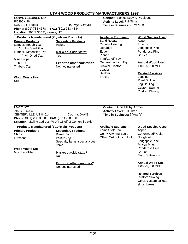|                                                                                                                                                        | <b>UTAH WOOD PRODUCTS MANUFACTURERS 1997</b>                                                                                                                                                                                                                                                      |                                                                                                                                |                                                                                                                                                                                                              |  |
|--------------------------------------------------------------------------------------------------------------------------------------------------------|---------------------------------------------------------------------------------------------------------------------------------------------------------------------------------------------------------------------------------------------------------------------------------------------------|--------------------------------------------------------------------------------------------------------------------------------|--------------------------------------------------------------------------------------------------------------------------------------------------------------------------------------------------------------|--|
| <b>LOG-POLE ENTERPRISES INC</b><br>171 E 900 S<br><b>PROVO, UT 84606</b><br>County: UTAH<br>Phone: (801) 373-5340<br>FAX: (801) 374-2810               |                                                                                                                                                                                                                                                                                                   | <b>Contact: David Donaldson, General Manager</b><br><b>Activity Level: Full-Time</b><br>Time in Business: 45 Year(s)           |                                                                                                                                                                                                              |  |
| <b>Primary Products</b><br><b>Wood Waste Use</b><br>Sell<br>Give Away<br>Use Internally                                                                | <b>Products Manufactured (Top=Main Products)</b><br><b>Secondary Products</b><br>Fencing Top<br>Furniture, Indoor Top<br>Furniture, Outdoor<br><b>Treated Wood</b><br>Specialty Items: railings<br><b>Market outside state?</b><br>Yes<br><b>Export to other countries?</b><br>No, but interested | <b>Available Equipment</b><br><b>Band Resaw</b><br>Planer<br><b>Trim/Cutoff Saw</b>                                            | <b>Wood Species Used</b><br>Aspen<br>Lodgepole Pine<br>Misc. Hardwoods<br>Other: willow<br><b>Annual Wood Use</b><br>200-500 MBF<br><b>Related Services</b><br><b>Custom Sawing</b><br><b>Custom Planing</b> |  |
| <b>LONETREE LOG HOMES</b><br><b>PO BOX 705</b><br>CEDAR CITY, UT 84720<br>Phone: (435) 586-6023<br>Location: 2071 N Main St; 1/4 mi S of I-15 exit #62 | County: IRON<br>FAX: (435) 586-6052                                                                                                                                                                                                                                                               | Contact: Dan Wiarda, President<br><b>Activity Level: Full-Time</b><br>Time in Business: 13 Year(s)<br>E-Mail: lonetree@ted.net |                                                                                                                                                                                                              |  |
| <b>Primary Products</b><br>House Logs Top<br><b>Wood Waste Use</b>                                                                                     | <b>Products Manufactured (Top=Main Products)</b><br><b>Secondary Products</b><br><b>Market outside state?</b><br>Yes<br><b>Export to other countries?</b><br>No, not interested                                                                                                                   | <b>Available Equipment</b><br>Planer<br><b>Trim/Cutoff Saw</b><br>Other: blade resaw                                           | <b>Wood Species Used</b><br>Lodgepole Pine<br>Ponderosa Pine<br>Spruce<br><b>Annual Wood Use</b><br>200-500 MBF<br><b>Related Services</b>                                                                   |  |
| <b>MACK ROUNDY LOGGING</b><br>100 N 150 E<br>GLENDALE, UT 84729<br>Phone: (801) 648-2422                                                               | <b>County: KANE</b><br>FAX:<br>Location: Glendale, UT; Hwy 89 30 mi N of AZ border<br><b>Products Manufactured (Top=Main Products)</b>                                                                                                                                                            | Contact: Mack N. Roundy, Owner<br><b>Activity Level: Seasonal</b><br><b>Available Equipment</b>                                | <b>Wood Species Used</b>                                                                                                                                                                                     |  |
| <b>Primary Products</b><br>Other Primary: sawlogs for<br>mills, Wholesale Only                                                                         | <b>Secondary Products</b><br><b>Market outside state?</b><br><b>No</b>                                                                                                                                                                                                                            |                                                                                                                                | Aspen<br>Douglas-fir<br>True Fir<br>Ponderosa Pine<br>Spruce                                                                                                                                                 |  |
| <b>Wood Waste Use</b>                                                                                                                                  | <b>Export to other countries?</b><br>No, but interested                                                                                                                                                                                                                                           |                                                                                                                                | <b>Annual Wood Use</b><br>1,000-5,000 MBF<br><b>Related Services</b><br>Logging<br>Other: falling and bucking<br>only                                                                                        |  |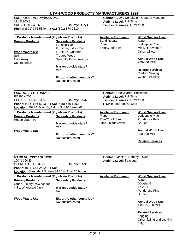|                                                                                                                                                                                         | <b>UTAH WOOD PRODUCTS MANUFACTURERS 1997</b>                                                                                                                                         |                                                                                                                |                                                                                                                                                                                                                |
|-----------------------------------------------------------------------------------------------------------------------------------------------------------------------------------------|--------------------------------------------------------------------------------------------------------------------------------------------------------------------------------------|----------------------------------------------------------------------------------------------------------------|----------------------------------------------------------------------------------------------------------------------------------------------------------------------------------------------------------------|
| <b>MICHAEL SEITER &amp; CO INC</b><br>PO BOX 315<br>HEBER CITY, UT 84032<br><b>County: WASATCH</b><br>Phone: (801) 654-0601<br>FAX: (801) 654-0613<br>Location: 790 S 300 W, Heber City |                                                                                                                                                                                      | <b>Contact: Michael Seiter, President</b><br><b>Activity Level: Full-Time</b><br>Time in Business: 15 Year(s)  |                                                                                                                                                                                                                |
| <b>Products Manufactured (Top=Main Products)</b><br><b>Primary Products</b><br><b>Wood Waste Use</b><br>Give Away                                                                       | <b>Secondary Products</b><br>Cabinets Top<br>Doors Top<br>Moldings Top<br><b>Market outside state?</b><br>Yes<br><b>Export to other countries?</b><br>No, but interested             | <b>Available Equipment</b><br>Edger<br><b>Trim/Cutoff Saw</b><br><b>Genl Wdwrkng Equip</b>                     | <b>Wood Species Used</b><br>Misc. Hardwoods<br><b>Annual Wood Use</b><br><200 MBF<br><b>Related Services</b>                                                                                                   |
| <b>MIDWEST CABINETS</b><br>1320 W 7900 S<br>WEST JORDAN, UT 84088<br>Phone: (801) 566-2175   FAX: (801) 266-9548<br>Location: 1 blk S of 7800 S 2nd bldg from corner                    | <b>County: SALT LAKE</b>                                                                                                                                                             | <b>Contact: Raul Garcia, Owner</b><br><b>Activity Level: Full-Time</b><br>Time in Business: 8 Year(s)          |                                                                                                                                                                                                                |
| <b>Products Manufactured (Top=Main Products)</b><br><b>Primary Products</b><br><b>Wood Waste Use</b><br>Give Away                                                                       | <b>Secondary Products</b><br>Cabinets Top<br>Doors Top<br>Furniture, Indoor Top<br><b>Market outside state?</b><br>Yes<br><b>Export to other countries?</b><br>No, but interested    | <b>Available Equipment</b><br><b>Genl Wdwrkng Equip</b>                                                        | <b>Wood Species Used</b><br>Lodgepole Pine<br>Misc. Hardwoods<br>Other: particle board,<br>plywood, melamine<br><b>Annual Wood Use</b><br>200-500 MBF<br><b>Related Services</b><br>Other: custom cabinet mfr. |
| <b>MOUNTAIN TECH MILL &amp; CABINET</b><br>4800 S 150 W # 35<br>MURRAY, UT 84107<br>Phone: (801) 269-1878                                                                               | <b>County: SALT LAKE</b><br>FAX: (801) 265-2021                                                                                                                                      | <b>Contact: Eric Lassig, Vice President</b><br><b>Activity Level: Full-Time</b><br>Time in Business: 5 Year(s) |                                                                                                                                                                                                                |
| <b>Products Manufactured (Top=Main Products)</b><br><b>Primary Products</b><br><b>Wood Waste Use</b><br>Give Away<br>Use Internally                                                     | <b>Secondary Products</b><br>Cabinets Top<br>Furniture, Indoor Top<br>Moldings Top<br><b>Market outside state?</b><br>No.<br><b>Export to other countries?</b><br>No, not interested | <b>Available Equipment</b><br>Planer<br>Genl Wdwrkng Equip                                                     | <b>Wood Species Used</b><br>Misc. Softwoods<br>Misc. Hardwoods<br><b>Annual Wood Use</b><br><200 MBF<br><b>Related Services</b><br>Other: cabinetry                                                            |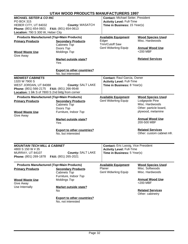|                                                                                                                                                                                                                                                                         | <b>UTAH WOOD PRODUCTS MANUFACTURERS 1997</b>                                                                                                                                        |                                                                                                                       |                                                                                                                                                          |
|-------------------------------------------------------------------------------------------------------------------------------------------------------------------------------------------------------------------------------------------------------------------------|-------------------------------------------------------------------------------------------------------------------------------------------------------------------------------------|-----------------------------------------------------------------------------------------------------------------------|----------------------------------------------------------------------------------------------------------------------------------------------------------|
| <b>MOUNTAIN VALLEY LOG HOMES INC</b><br>135 S MAIN ST #101-105<br>HEBER CITY, UT 84032<br><b>County: WASATCH</b><br>Phone: (801) 654-5791<br>FAX: (801) 654-5840<br>Location: 400 W Hwy 189, Heber City, UT                                                             |                                                                                                                                                                                     | Contact: Gilbert C. Olsen, General Mgr, President<br><b>Activity Level: Full-Time</b><br>Time in Business: 12 Year(s) |                                                                                                                                                          |
|                                                                                                                                                                                                                                                                         |                                                                                                                                                                                     |                                                                                                                       |                                                                                                                                                          |
| <b>Products Manufactured (Top=Main Products)</b><br><b>Primary Products</b><br>House Logs<br>Lumber, Rough<br>" " Green Top<br>" " Air-Dried Top<br>Lumber, Dimension<br>" " Air-Dried Top<br>" " Kiln-Dried Top<br>Other Primary: T&G boards,<br><b>Wholesale Only</b> | <b>Secondary Products</b><br>Bldgs, Log/Timber<br>Doors<br>Flooring<br>Paneling<br><b>Trusses/Structural</b><br>Windows<br>Other Secondary: Wholesale<br>Only                       | <b>Available Equipment</b>                                                                                            | <b>Wood Species Used</b><br>Douglas-fir<br>Lodgepole Pine<br>Ponderosa Pine<br>Spruce<br><b>Annual Wood Use</b><br>>5,000 MBF<br><b>Related Services</b> |
|                                                                                                                                                                                                                                                                         | <b>Market outside state?</b>                                                                                                                                                        |                                                                                                                       |                                                                                                                                                          |
| <b>Wood Waste Use</b>                                                                                                                                                                                                                                                   | Yes<br><b>Export to other countries?</b>                                                                                                                                            |                                                                                                                       |                                                                                                                                                          |
| <b>MOUNTAIN WOODWORKS</b>                                                                                                                                                                                                                                               | No, but interested                                                                                                                                                                  | Contact: Kevin Malon, Owner                                                                                           |                                                                                                                                                          |
| PO BOX 624<br><b>PARK CITY, UT 84060</b><br>Phone: (801) 645-8835                                                                                                                                                                                                       | <b>County: SUMMIT</b><br>FAX:                                                                                                                                                       |                                                                                                                       |                                                                                                                                                          |
| <b>Products Manufactured (Top=Main Products)</b>                                                                                                                                                                                                                        |                                                                                                                                                                                     | <b>Available Equipment</b>                                                                                            | <b>Wood Species Used</b>                                                                                                                                 |
| <b>Primary Products</b><br>House Logs<br>Other Primary: log siding,<br><b>Wholesale Only</b><br><b>Wood Waste Use</b>                                                                                                                                                   | <b>Secondary Products</b><br>Bldgs, Log/Timber<br>Fencing<br>Furniture, Indoor<br>Furniture, Outdoor<br>Specialty Items: fireplace<br>mantles<br>Other Secondary: Wholesale<br>Only |                                                                                                                       | <b>Related Services</b>                                                                                                                                  |
|                                                                                                                                                                                                                                                                         |                                                                                                                                                                                     |                                                                                                                       |                                                                                                                                                          |
| <b>NEWMAN WOOD SYSTEMS</b><br><b>11442 S STATE ST</b><br>DRAPER, UT 84020<br>Phone: (801) 553-8220<br>Location: Same as address                                                                                                                                         | <b>County: SALT LAKE</b><br>FAX: (801) 553-8297                                                                                                                                     | <b>Contact: Paul Newman, President</b><br><b>Activity Level: Full-Time</b><br>Time in Business: 3 Year(s)             |                                                                                                                                                          |
| <b>Products Manufactured (Top=Main Products)</b>                                                                                                                                                                                                                        |                                                                                                                                                                                     | <b>Available Equipment</b>                                                                                            | <b>Wood Species Used</b>                                                                                                                                 |
| <b>Primary Products</b>                                                                                                                                                                                                                                                 | <b>Secondary Products</b><br>Specialty Items: stairways                                                                                                                             | Planer<br>Genl Wdwrkng Equip                                                                                          | Cottonwood/Poplar<br><b>True Fir</b><br>Misc. Softwoods                                                                                                  |
| <b>Wood Waste Use</b><br>Give Away                                                                                                                                                                                                                                      | <b>Market outside state?</b><br>Yes                                                                                                                                                 |                                                                                                                       | Misc. Hardwoods<br>Other: various hardwoods                                                                                                              |
|                                                                                                                                                                                                                                                                         | <b>Export to other countries?</b><br>Yes                                                                                                                                            |                                                                                                                       | <b>Annual Wood Use</b><br>$<$ 200 MBF                                                                                                                    |
|                                                                                                                                                                                                                                                                         |                                                                                                                                                                                     |                                                                                                                       | <b>Related Services</b><br>Other: custom millwork;<br>mostly hardwoods                                                                                   |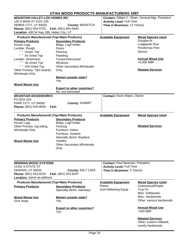|                                                                                                                                                                                                                             | <b>UTAH WOOD PRODUCTS MANUFACTURERS 1997</b>                                                                                                                                                                                      |                                                                                                                                                        |                                                                                                                                                                                       |
|-----------------------------------------------------------------------------------------------------------------------------------------------------------------------------------------------------------------------------|-----------------------------------------------------------------------------------------------------------------------------------------------------------------------------------------------------------------------------------|--------------------------------------------------------------------------------------------------------------------------------------------------------|---------------------------------------------------------------------------------------------------------------------------------------------------------------------------------------|
| <b>NORTHROP LOG HOMES</b><br>6145 W 13900 S<br>RIVERTON, UT 84065<br>Phone: (801) 254-1806                                                                                                                                  | <b>County: SALT LAKE</b><br>FAX:                                                                                                                                                                                                  | Contact: Norris Northrop, Owner<br><b>Activity Level: Full-Time</b><br>Time in Business: 18 Year(s)                                                    |                                                                                                                                                                                       |
| <b>Products Manufactured (Top=Main Products)</b><br><b>Primary Products</b><br>Firewood<br>House Logs<br>Lumber, Rough<br>" " Green Top<br>Poles<br>Posts<br><b>Timbers</b><br><b>Wood Waste Use</b><br>Sell<br>Give Away   | <b>Secondary Products</b><br>Bldgs, Log/Timber<br>Bldgs, Pole<br>Furniture, Indoor<br>Furniture, Outdoor<br>Sheds/Portable Bldgs<br><b>Market outside state?</b><br>No<br><b>Export to other countries?</b><br>No, not interested | <b>Available Equipment</b><br>Circular Headrig<br><b>Genl Wdwrkng Equip</b><br>General Logging Eq<br><b>Crawler Tractor</b><br>Loader<br><b>Trucks</b> | <b>Wood Species Used</b><br>Douglas-fir<br>Lodgepole Pine<br>Pinyon Pine<br>Ponderosa Pine<br><b>Annual Wood Use</b><br><200 MBF<br><b>Related Services</b><br>Logging<br>Log Hauling |
| <b>OLYMPIA CABINET MFG &amp; SALES CO</b><br>1537 S 700 W<br>SALT LAKE CITY, UT 84104<br>Phone: (801) 972-4050<br>Location: Same as mailing                                                                                 | <b>County: SALT LAKE</b><br><b>FAX:</b>                                                                                                                                                                                           | <b>Activity Level: Full-Time</b><br>Time in Business: 40 Year(s)                                                                                       |                                                                                                                                                                                       |
| <b>Products Manufactured (Top=Main Products)</b><br><b>Primary Products</b><br><b>Wood Waste Use</b><br>Give Away                                                                                                           | <b>Secondary Products</b><br>Cabinets Top<br><b>Market outside state?</b><br>Yes<br><b>Export to other countries?</b><br>No, not interested                                                                                       | <b>Available Equipment</b><br>Planer<br><b>Trim/Cutoff Saw</b><br>Genl Wdwrkng Equip                                                                   | <b>Wood Species Used</b><br>Misc. Hardwoods<br><b>Annual Wood Use</b><br>500-1,000 MBF<br><b>Related Services</b>                                                                     |
| <b>ONE GOOD TURN</b><br>6064 S 300 W #11<br>MURRAY, UT 84107<br>Phone: (801) 266-1578                                                                                                                                       | <b>County: SALT LAKE</b><br>FAX: (801) 265-3547                                                                                                                                                                                   | Contact: Wayne Knuteson, President<br><b>Activity Level: Full-Time</b><br>Time in Business: 25 Year(s)                                                 |                                                                                                                                                                                       |
| <b>Products Manufactured (Top=Main Products)</b><br><b>Primary Products</b><br>Lumber, Rough Top<br>" " Green Top<br>" " Air-Dried Top<br>Lumber, Dimension Top<br>" " Green Top<br>" " Air-Dried Top<br>" " Kiln-Dried Top | <b>Secondary Products</b><br><b>Market outside state?</b><br>Yes<br><b>Export to other countries?</b><br>Yes                                                                                                                      | <b>Available Equipment</b><br><b>Genl Wdwrkng Equip</b>                                                                                                | <b>Wood Species Used</b><br>Aspen<br>Spruce<br>Misc. Hardwoods<br>Other: exotics<br><b>Related Services</b>                                                                           |

#### **Wood Waste Use**

Give Away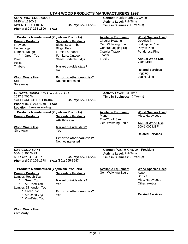|                                                                                                                                                                                                         | <b>UTAH WOOD PRODUCTS MANUFACTURERS 1997</b>                                                                                                                                                   |                                                                                                                    |                                                                                                                                                                                 |  |
|---------------------------------------------------------------------------------------------------------------------------------------------------------------------------------------------------------|------------------------------------------------------------------------------------------------------------------------------------------------------------------------------------------------|--------------------------------------------------------------------------------------------------------------------|---------------------------------------------------------------------------------------------------------------------------------------------------------------------------------|--|
| <b>PAUL MAGLEBY CUSTOM MILLWORK</b><br><b>BOX 988</b><br>OREM, UT 84059<br><b>County: UTAH</b><br>Phone: (801) 785-9998<br>FAX: (801) 785-9994<br>Location: 1291 W Center St, Lindon, UT; just off I-15 |                                                                                                                                                                                                | <b>Contact: Brian Capt, Production Manager</b><br><b>Activity Level: Full-Time</b><br>Time in Business: 15 Year(s) |                                                                                                                                                                                 |  |
| <b>Products Manufactured (Top=Main Products)</b><br><b>Primary Products</b><br><b>Wood Waste Use</b><br>Sell<br>Give Away<br><b>Most Landfilled</b>                                                     | <b>Secondary Products</b><br>Cabinets Top<br>Furniture, Indoor Top<br>Furniture, Outdoor Top<br><b>Market outside state?</b><br>No.<br><b>Export to other countries?</b><br>No, but interested | <b>Available Equipment</b><br>Bagging Eq<br>Genl Wdwrkng Equip                                                     | <b>Wood Species Used</b><br>Douglas-fir<br>Misc. Hardwoods<br><b>Annual Wood Use</b><br><200 MBF<br><b>Related Services</b><br>Other: cabinetry, homes,<br>dim. lumber          |  |
| <b>PIONEER SAWDUST</b><br>621 FULTON ST<br>SALT LAKE CITY, UT 84014<br><b>County: SALT LAKE</b><br>Phone: (801) 972-4432    FAX: (801) 975-7076<br>Location: 621 S 2500 W, SLC                          |                                                                                                                                                                                                | Contact: Duncan H. Brockbank, General Manager<br><b>Activity Level: Full-Time</b><br>Time in Business: 30 Year(s)  |                                                                                                                                                                                 |  |
| <b>Products Manufactured (Top=Main Products)</b><br><b>Primary Products</b><br><b>Wood Waste Use</b><br>Sell                                                                                            | <b>Secondary Products</b><br>Specialty Items: sawdust,<br>shavings, sweeping compound<br><b>Market outside state?</b><br>Yes<br><b>Export to other countries?</b><br>No, not interested        | <b>Available Equipment</b><br>Bagging Eq<br>Other: grinder, blower,<br>augers, screener, mixer                     | <b>Wood Species Used</b><br>Ponderosa Pine<br><b>Annual Wood Use</b><br>Volume Unknown<br>Other amounts/units:<br>3,600 tons of sawdust<br><b>Related Services</b>              |  |
| <b>PRESTWICH PALLET CO</b><br>1451 S 1700 W<br>SPRINGVILLE, UT 84663<br>Phone: (801) 489-1186                                                                                                           | County: UTAH<br>FAX: (801) 489-6860                                                                                                                                                            | <b>Contact: Riley Prestwich, President</b><br><b>Activity Level: Full-Time</b>                                     |                                                                                                                                                                                 |  |
| <b>Products Manufactured (Top=Main Products)</b><br><b>Primary Products</b>                                                                                                                             | <b>Secondary Products</b><br>Boxes Top<br>Fencing Top                                                                                                                                          | <b>Available Equipment</b><br><b>Trim/Cutoff Saw</b><br>Genl Wdwrkng Equip                                         | <b>Wood Species Used</b><br>Aspen<br>Douglas-fir<br>True Fir                                                                                                                    |  |
| <b>Wood Waste Use</b><br>Give Away                                                                                                                                                                      | Pallets Top<br><b>Market outside state?</b><br><b>No</b><br><b>Export to other countries?</b><br>No, but interested                                                                            |                                                                                                                    | Lodgepole Pine<br>Ponderosa Pine<br>Spruce<br>Misc. Softwoods<br>Misc. Hardwoods<br><b>Annual Wood Use</b><br>>5,000 MBF<br><b>Related Services</b><br>Other: mfr. wood pallets |  |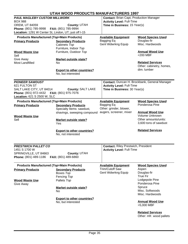|                                                                                                                             | <b>UTAH WOOD PRODUCTS MANUFACTURERS 1997</b>                                                                                                                                                         |                                                                                                                                       |                                                                                                                                                                                                                                                    |
|-----------------------------------------------------------------------------------------------------------------------------|------------------------------------------------------------------------------------------------------------------------------------------------------------------------------------------------------|---------------------------------------------------------------------------------------------------------------------------------------|----------------------------------------------------------------------------------------------------------------------------------------------------------------------------------------------------------------------------------------------------|
| <b>RD LOGGING CO</b><br>1198 W 1130 N<br>ST GEORGE, UT 84770<br>Phone: (801) 674-0166                                       | <b>County: WASHINGTON</b><br>FAX: (801) 674-0188                                                                                                                                                     | <b>Contact: Rick Nelson, Owner</b><br><b>Activity Level: Full-Time</b><br>Time in Business: 3 Year(s)                                 |                                                                                                                                                                                                                                                    |
| <b>Products Manufactured (Top=Main Products)</b><br><b>Primary Products</b><br><b>Wood Waste Use</b><br>Give Away           | <b>Secondary Products</b><br>Cabinets Top<br>Furniture, Indoor Top<br>Furniture, Outdoor Top<br><b>Market outside state?</b><br><b>No</b><br><b>Export to other countries?</b><br>No, but interested | <b>Available Equipment</b><br>Genl Wdwrkng Equip                                                                                      | <b>Wood Species Used</b><br>Lodgepole Pine<br>Ponderosa Pine<br>Misc. Hardwoods<br><b>Annual Wood Use</b><br><200 MBF<br><b>Related Services</b>                                                                                                   |
| <b>RANDY SORENSON &amp; ASSOC</b><br>9869 TONYA DR<br>SANDY, UT 84070<br>Phone: (801) 572-2760<br>Location: Same as mailing | <b>County: SALT LAKE</b><br>FAX: (801) 572-1748                                                                                                                                                      | <b>Contact: Randy Sorenson, Owner</b><br><b>Activity Level: Seasonal</b><br>Time in Business: 7 Year(s)<br>E-Mail: rdsorenson@aol.com |                                                                                                                                                                                                                                                    |
| <b>Products Manufactured (Top=Main Products)</b><br><b>Primary Products</b><br><b>Wood Waste Use</b><br>Give Away           | <b>Secondary Products</b><br>Furniture, Indoor Top<br>Furniture, Outdoor Top<br><b>Market outside state?</b><br>No                                                                                   | <b>Available Equipment</b><br>Planer<br>Genl Wdwrkng Equip                                                                            | <b>Wood Species Used</b><br>Cottonwood/Poplar<br>Douglas-fir<br>Ponderosa Pine<br>Misc. Softwoods<br>Misc. Hardwoods<br><b>Annual Wood Use</b><br><200 MBF<br><b>Related Services</b>                                                              |
| <b>RED MOUNTAIN WOODWORK</b><br>630 N 3050 E STE B-1<br>ST GEORGE, UT 84790-9090<br>Phone: (801) 628-7754                   | <b>County: WASHINGTON</b><br>FAX:                                                                                                                                                                    | Contact: John Harmon, Owner<br><b>Activity Level: Full-Time</b><br>Time in Business: 20 Year(s)                                       |                                                                                                                                                                                                                                                    |
| <b>Products Manufactured (Top=Main Products)</b><br><b>Primary Products</b><br><b>Wood Waste Use</b><br>Give Away           | <b>Secondary Products</b><br>Cabinets Top<br>Furniture, Indoor Top<br><b>Market outside state?</b><br>Yes<br><b>Export to other countries?</b><br>No, but interested                                 | <b>Available Equipment</b><br>Genl Wdwrkng Equip                                                                                      | <b>Wood Species Used</b><br>Cottonwood/Poplar<br>Ponderosa Pine<br>Misc. Hardwoods<br>Other: maple, oak, cherry,<br>alder, birch<br><b>Annual Wood Use</b><br><200 MBF<br><b>Related Services</b><br><b>Custom Sawing</b><br><b>Custom Planing</b> |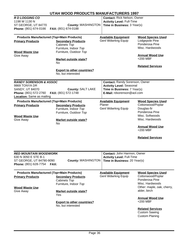#### **Products Manufactured (Top=Main Products) Contact:** Rex Sessions, Owner **Activity Level:** Full-Time **Time in Business:** 15 Year(s) **REX'S FOREST PRODUCTS** PO BOX 313 CENTERVILLE, UT 84014 **Phone:** (801) 295-4086 **FAX: Location:** 2436 W Andrews Ave, CENTERVILLE, UT **Available Equipment** Firewood Proc Portable Sawmill Trim/Cutoff Saw General Logging Eq Crawler Tractor **Trucks Secondary Products** Fencing Pallets Specialty Items: wood turnings **Market outside state?** No **Export to other countries?**  No, not interested **Primary Products** Lumber, Rough " " Green Top " " Air-Dried Top Lumber, Dimension " " Green Top " " Air-Dried Top Timbers **Wood Waste Use** Sell **Wood Species Used** Aspen Cottonwood/Poplar Douglas-fir True Fir Lodgepole Pine Ponderosa Pine Spruce Misc. Hardwoods **Annual Wood Use** <200 MBF **Related Services** Custom Sawing **County:** SALT LAKE **UTAH WOOD PRODUCTS MANUFACTURERS 1997**

| <b>RIVERHOUSE DESIGN</b>                                |                                   | <b>Contact: Russell G. Ross, President</b> |                          |
|---------------------------------------------------------|-----------------------------------|--------------------------------------------|--------------------------|
| 7880 S 1300 W                                           |                                   | <b>Activity Level: Full-Time</b>           |                          |
| WEST JORDAN, UT 84088                                   | <b>County: SALT LAKE</b>          | Time in Business: 7 Year(s)                |                          |
| <b>Phone:</b> (801) 565-8993 <b>FAX:</b> (801) 565-9086 |                                   |                                            |                          |
| <b>Location:</b> Same as address                        |                                   |                                            |                          |
| <b>Products Manufactured (Top=Main Products)</b>        |                                   | <b>Available Equipment</b>                 | <b>Wood Species Used</b> |
| <b>Primary Products</b>                                 | <b>Secondary Products</b>         | Planer                                     | Aspen                    |
|                                                         | Cabinets Top                      | Trim/Cutoff Saw                            | Cottonwood/Poplar        |
|                                                         | Doors Top                         | <b>Genl Wdwrkng Equip</b>                  | True Fir                 |
| <b>Wood Waste Use</b>                                   | Furniture, Indoor Top             |                                            | Ponderosa Pine           |
| Give Away                                               | Moldings                          |                                            | Spruce                   |
|                                                         |                                   |                                            | Misc. Hardwoods          |
|                                                         | Market outside state?             |                                            |                          |
|                                                         | Yes.                              |                                            | <b>Annual Wood Use</b>   |
|                                                         |                                   |                                            | $<$ 200 MBF              |
|                                                         | <b>Export to other countries?</b> |                                            |                          |
|                                                         | No, but interested                |                                            | <b>Related Services</b>  |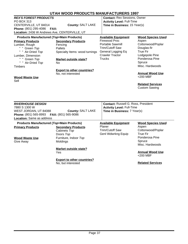|                                                                                                                                                                         | UTAH WOOD PRODUCTS MANUFACTURERS 1997                                                                                                                               |                                                                                                                                               |                                                                                                                                                                                                                                                   |
|-------------------------------------------------------------------------------------------------------------------------------------------------------------------------|---------------------------------------------------------------------------------------------------------------------------------------------------------------------|-----------------------------------------------------------------------------------------------------------------------------------------------|---------------------------------------------------------------------------------------------------------------------------------------------------------------------------------------------------------------------------------------------------|
| <b>ROBERTS MANUFACTURING INC</b><br>120 W 300 S<br>AMERICAN FORK, UT 84003<br>County: UTAH<br>Phone: (801) 756-6016  FAX: (801) 756-5758                                |                                                                                                                                                                     | <b>Contact: Merrill Roberts, General Manager</b><br><b>Activity Level: Full-Time</b><br>Time in Business: 24 Year(s)<br>E-Mail: clark@mcr.net |                                                                                                                                                                                                                                                   |
| <b>Products Manufactured (Top=Main Products)</b><br><b>Primary Products</b><br><b>Wood Waste Use</b><br>Give Away<br>Most Landfilled                                    | <b>Secondary Products</b><br>Furniture, Indoor Top<br><b>Market outside state?</b><br>Yes<br><b>Export to other countries?</b><br>No, but interested                | <b>Available Equipment</b><br>Planer<br>Genl Wdwrkng Equip                                                                                    | <b>Wood Species Used</b><br>Ponderosa Pine<br>Other: particle board,<br>alder, red oak<br><b>Annual Wood Use</b><br><200 MBF<br><b>Related Services</b><br>Other: furniture mfr.                                                                  |
| <b>ROBERTSON CABINETS INC</b><br>10029 N WILLOW CT<br>County: UTAH<br>CEDAR HILLS, UT 84062<br>Phone: (801) 785-2006<br>FAX:<br>Location: 901 S MAIN ST, Pleasant Grove |                                                                                                                                                                     | <b>Contact: Jerry Robertson, President</b><br><b>Activity Level: Full-Time</b><br>Time in Business: 13 Year(s)                                |                                                                                                                                                                                                                                                   |
| <b>Products Manufactured (Top=Main Products)</b><br><b>Primary Products</b><br><b>Wood Waste Use</b><br>Give Away<br>Use Internally                                     | <b>Secondary Products</b><br>Cabinets Top<br>Furniture, Indoor Top<br><b>Market outside state?</b><br>No<br><b>Export to other countries?</b><br>No, not interested | <b>Available Equipment</b><br>Bagging Eq<br>Planer<br><b>Trim/Cutoff Saw</b><br>Genl Wdwrkng Equip                                            | <b>Wood Species Used</b><br>Cottonwood/Poplar<br>Ponderosa Pine<br>Misc. Softwoods<br>Misc. Hardwoods<br>Other: cherry, hickory<br><b>Annual Wood Use</b><br><200 MBF<br><b>Related Services</b><br><b>Custom Sawing</b><br><b>Custom Planing</b> |
| <b>ROCKY MOUNTAIN WOODS</b><br>146 E 310 N, PO BOX 21<br>County: UTAH<br><b>SALEM, UT 84653</b><br>Phone: (801) 423-1522<br>FAX: (801) 423-2608                         |                                                                                                                                                                     | <b>Contact: Brian Braithwaite, Owner</b><br><b>Activity Level: Full-Time</b><br>E-Mail: rocky@ltsnet.com                                      |                                                                                                                                                                                                                                                   |
| <b>Products Manufactured (Top=Main Products)</b><br><b>Primary Products</b><br><b>Wood Waste Use</b><br>Use Internally                                                  | <b>Secondary Products</b><br>Cabinets Top<br>Doors Top<br>Moldings Top<br>Market outside state?<br>No<br><b>Export to other countries?</b><br>No, but interested    | <b>Available Equipment</b><br>Planer<br><b>Trim/Cutoff Saw</b><br><b>Genl Wdwrkng Equip</b>                                                   | <b>Wood Species Used</b><br>Misc. Hardwoods<br><b>Annual Wood Use</b><br>200-500 MBF<br><b>Related Services</b><br><b>Custom Sawing</b><br><b>Custom Planing</b>                                                                                  |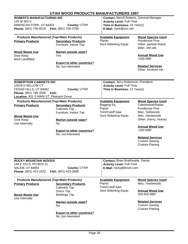|                                                                                                                                                                                                                                                                                                           | <b>UTAH WOOD PRODUCTS MANUFACTURERS 1997</b>                                                                                |                                                                                                                                                                                                                                 |                                                                                                                                                                                                                                                                       |
|-----------------------------------------------------------------------------------------------------------------------------------------------------------------------------------------------------------------------------------------------------------------------------------------------------------|-----------------------------------------------------------------------------------------------------------------------------|---------------------------------------------------------------------------------------------------------------------------------------------------------------------------------------------------------------------------------|-----------------------------------------------------------------------------------------------------------------------------------------------------------------------------------------------------------------------------------------------------------------------|
| <b>ROUSTABOUT WOOD SPECIALTIES</b><br>1309 S 675 W<br>WOODS CROSS, UT 84087<br>Phone: (801) 296-0662  FAX: (801) 296-0663                                                                                                                                                                                 | <b>County: DAVIS</b>                                                                                                        | <b>Contact: Jim Marshall, Owner</b><br><b>Activity Level: Full-Time</b><br>Time in Business: 17 Year(s)                                                                                                                         |                                                                                                                                                                                                                                                                       |
| <b>Products Manufactured (Top=Main Products)</b><br><b>Primary Products</b>                                                                                                                                                                                                                               | <b>Secondary Products</b><br>Cabinets Top<br>Moldings Top                                                                   | <b>Available Equipment</b><br><b>Trim/Cutoff Saw</b><br>Genl Wdwrkng Equip                                                                                                                                                      | <b>Wood Species Used</b><br><b>Annual Wood Use</b><br><200 MBF                                                                                                                                                                                                        |
| <b>Wood Waste Use</b><br>Give Away                                                                                                                                                                                                                                                                        | Market outside state?<br>No                                                                                                 |                                                                                                                                                                                                                                 | <b>Related Services</b><br>Other: custom cabinet mfr.                                                                                                                                                                                                                 |
| <b>SIEGLER FURNITURE IND</b><br>240 W 3680 S<br>SALT LAKE CITY, UT 84115-4332<br>Phone: (801) 268-4268  FAX: (801) 268-4269                                                                                                                                                                               | <b>Export to other countries?</b><br>No, not interested<br><b>County: SALT LAKE</b>                                         | Contact: Bob Carter, General Manager<br><b>Activity Level: Full-Time</b><br>Time in Business: 25 Year(s)                                                                                                                        |                                                                                                                                                                                                                                                                       |
| <b>Products Manufactured (Top=Main Products)</b><br><b>Primary Products</b>                                                                                                                                                                                                                               | <b>Secondary Products</b><br>Furniture, Indoor Top                                                                          | <b>Available Equipment</b><br><b>Wood Species Used</b><br><b>Band Resaw</b><br>Misc. Hardwoods<br><b>Genl Wdwrkng Equip</b><br>Other: alder                                                                                     |                                                                                                                                                                                                                                                                       |
| <b>Wood Waste Use</b><br>Give Away                                                                                                                                                                                                                                                                        | <b>Market outside state?</b><br>Yes<br><b>Export to other countries?</b>                                                    |                                                                                                                                                                                                                                 | <b>Annual Wood Use</b><br><200 MBF<br><b>Related Services</b>                                                                                                                                                                                                         |
| <b>SIMPER LUMBER CO</b><br>BOX 790195<br>VERNAL, UT 84079-0195<br>Phone: (801) 789-8944    FAX: (801) 789-8946<br>Location: 3649 N 2500 W, Vernal, UT                                                                                                                                                     | No, but interested<br><b>County: UINTAH</b>                                                                                 | <b>Contact: Wayne Simper, President</b><br><b>Activity Level: Full-Time</b><br>Time in Business: 26 Year(s)                                                                                                                     |                                                                                                                                                                                                                                                                       |
| <b>Products Manufactured (Top=Main Products)</b><br><b>Primary Products</b><br>Chips<br>Firewood<br>House Logs Top<br>Lumber, Rough Top<br>" " Green Top<br>" " Air-Dried Top<br>Lumber, Dimension Top<br>" " Air-Dried Top<br>Mine Props<br>Posts<br>Ties, RR<br><b>Timbers</b><br><b>Wood Waste Use</b> | <b>Secondary Products</b><br><b>Market outside state?</b><br>Yes<br><b>Export to other countries?</b><br>No, but interested | <b>Available Equipment</b><br>Bagging Eq<br>Circular Headrig<br>Edger<br><b>Firewood Proc</b><br>Kiln<br>Planer<br><b>Trim/Cutoff Saw</b><br>General Logging Eq<br><b>Crawler Tractor</b><br>Loader<br>Skidder<br><b>Trucks</b> | <b>Wood Species Used</b><br>Douglas-fir<br>True Fir<br>Lodgepole Pine<br>Ponderosa Pine<br>Spruce<br><b>Annual Wood Use</b><br>1,000-5,000 MBF<br><b>Related Services</b><br>Logging<br>Road Building<br>Log Hauling<br><b>Custom Sawing</b><br><b>Custom Planing</b> |

Sell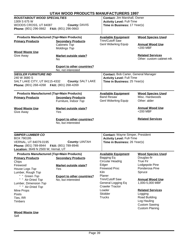|                                                                                                                                                                           | UTAN WUUD FRUDUUTS MANUFAUTURERS 1997                                                          |                                                                                                                                |                                                                                                                                 |  |
|---------------------------------------------------------------------------------------------------------------------------------------------------------------------------|------------------------------------------------------------------------------------------------|--------------------------------------------------------------------------------------------------------------------------------|---------------------------------------------------------------------------------------------------------------------------------|--|
| <b>STANDARD WOOD SUPPLY</b><br>155 1/2 W 3300 S<br>SALT LAKE CITY, UT 84115<br><b>County: SALT LAKE</b><br>Phone: (801) 485-8777  FAX:                                    |                                                                                                | Contact: Don, Jamey Gansen, Owners<br><b>Activity Level: Seasonal</b><br>Time in Business: 13 Year(s)                          |                                                                                                                                 |  |
| <b>Products Manufactured (Top=Main Products)</b><br><b>Primary Products</b><br>Chips<br>Firewood<br>Poles<br>Posts                                                        | <b>Secondary Products</b><br><b>Market outside state?</b><br>No.                               | <b>Available Equipment</b><br><b>Firewood Proc</b><br>General Logging Eq<br>Loader<br><b>Trucks</b><br>Other: wood splitters & | <b>Wood Species Used</b><br>Douglas-fir<br>Juniper<br>Lodgepole Pine<br>Pinyon Pine<br>Ponderosa Pine                           |  |
|                                                                                                                                                                           | <b>Export to other countries?</b><br>No, but interested                                        | bundlers                                                                                                                       | Misc. Softwoods<br>Misc. Hardwoods                                                                                              |  |
| <b>Wood Waste Use</b><br>Give Away                                                                                                                                        |                                                                                                |                                                                                                                                | <b>Annual Wood Use</b><br>Volume Unknown<br>Other amounts/units:<br>1,800 cords<br><b>Related Services</b>                      |  |
|                                                                                                                                                                           |                                                                                                |                                                                                                                                | Logging<br>Log Hauling<br><b>Custom Sawing</b>                                                                                  |  |
| <b>STOLTZE ASPEN MILLS</b><br>PO BOX 570237<br>SIGURD, UT 84657-0237<br>Phone: (801) 896-6402                                                                             | <b>County: SEVIER</b><br>FAX: (801) 896-6403                                                   | <b>Contact: Randy Maxwell, Manager</b><br><b>Activity Level: Full-Time</b><br>Time in Business: 60 Year(s)                     |                                                                                                                                 |  |
| Location: 5725 N Hwy 89, Sigurd, UT                                                                                                                                       |                                                                                                |                                                                                                                                |                                                                                                                                 |  |
| <b>Products Manufactured (Top=Main Products)</b><br><b>Primary Products</b><br>Chips<br>Firewood<br>Lumber, Rough<br>" " Green Top<br>" " Air-Dried Top<br><b>Timbers</b> | <b>Secondary Products</b><br>Fencing<br>Paneling<br><b>Market outside state?</b><br><b>Yes</b> | <b>Available Equipment</b><br><b>Band Resaw</b><br>Circular Headrig<br>Edger                                                   | <b>Wood Species Used</b><br>Aspen<br><b>Annual Wood Use</b><br>500-1,000 MBF<br><b>Related Services</b><br><b>Custom Sawing</b> |  |
| <b>Wood Waste Use</b><br>Sell                                                                                                                                             | <b>Export to other countries?</b><br>No, but interested                                        |                                                                                                                                |                                                                                                                                 |  |
|                                                                                                                                                                           |                                                                                                |                                                                                                                                |                                                                                                                                 |  |

# **UTAH WOOD PRODUCTS MANUEACTURERS 1997**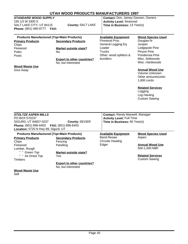|                                                                        | UTAH WUUD PRODUCTS MANUFACTURERS 1997 |                                                                                                    |                                |  |
|------------------------------------------------------------------------|---------------------------------------|----------------------------------------------------------------------------------------------------|--------------------------------|--|
| <b>TAYLOR CABINET INC</b>                                              |                                       | <b>Contact: Brent Taylor, President</b>                                                            |                                |  |
| 6440 S 3200 W                                                          |                                       | <b>Activity Level: Full-Time</b>                                                                   |                                |  |
| SPANISH FORK, UT 84660                                                 | County: UTAH                          | Time in Business: 24 Year(s)                                                                       |                                |  |
| Phone: (801) 798-2163                                                  | FAX:                                  |                                                                                                    |                                |  |
|                                                                        |                                       |                                                                                                    |                                |  |
| <b>Products Manufactured (Top=Main Products)</b>                       |                                       | <b>Available Equipment</b>                                                                         | <b>Wood Species Used</b>       |  |
| <b>Primary Products</b>                                                | <b>Secondary Products</b>             | Planer                                                                                             | Cottonwood/Poplar              |  |
|                                                                        | Cabinets Top                          | <b>Trim/Cutoff Saw</b>                                                                             | Pinyon Pine                    |  |
|                                                                        | Doors Top                             | <b>Genl Wdwrkng Equip</b>                                                                          | Misc. Softwoods                |  |
| <b>Wood Waste Use</b>                                                  | Furniture, Indoor Top                 | Other: fork lift                                                                                   | Misc. Hardwoods                |  |
|                                                                        | <b>Market outside state?</b>          |                                                                                                    | <b>Annual Wood Use</b>         |  |
|                                                                        | Yes                                   |                                                                                                    | <200 MBF                       |  |
|                                                                        | <b>Export to other countries?</b>     |                                                                                                    | <b>Related Services</b>        |  |
|                                                                        | No, not interested                    |                                                                                                    | <b>Custom Planing</b>          |  |
| <b>THOUSAND LAKE LUMBER, LOG HOME</b><br>75 E 200 S<br>LYMAN, UT 84749 | <b>County: WAYNE</b>                  | Contact: Bruce Chappell, Owner<br><b>Activity Level: Full-Time</b><br>Time in Business: 31 Year(s) |                                |  |
| Phone: (801) 836-2426                                                  | <b>FAX:</b>                           |                                                                                                    |                                |  |
| Location: S of Lyman on Hwy 24                                         |                                       |                                                                                                    |                                |  |
| <b>Products Manufactured (Top=Main Products)</b>                       |                                       | <b>Available Equipment</b>                                                                         | <b>Wood Species Used</b>       |  |
| <b>Primary Products</b>                                                | <b>Secondary Products</b>             | <b>Band Resaw</b>                                                                                  | Aspen                          |  |
| House Logs Top                                                         | Bldgs, Log/Timber                     | Circular Headrig                                                                                   | Douglas-fir<br><b>True Fir</b> |  |
| Lumber, Rough                                                          | Fencing                               | Edger<br>Planer                                                                                    | Lodgepole Pine                 |  |
| " " Air-Dried Top                                                      | Flooring                              | General Logging Eq                                                                                 | Ponderosa Pine                 |  |
| Lumber, Dimension Top                                                  | Paneling Top                          | <b>Skidder</b>                                                                                     | Spruce                         |  |
| " " Air-Dried Top                                                      |                                       | <b>Trucks</b>                                                                                      |                                |  |
| <b>Timbers</b>                                                         | <b>Market outside state?</b>          |                                                                                                    | <b>Annual Wood Use</b>         |  |
|                                                                        | Yes                                   |                                                                                                    | 200-500 MBF                    |  |
| <b>Wood Waste Use</b>                                                  | <b>Export to other countries?</b>     |                                                                                                    |                                |  |
| Sell                                                                   | No, but interested                    |                                                                                                    | <b>Related Services</b>        |  |
| Give Away                                                              |                                       |                                                                                                    | Logging                        |  |
|                                                                        |                                       |                                                                                                    | Log Hauling                    |  |
|                                                                        |                                       |                                                                                                    | <b>Custom Sawing</b>           |  |
|                                                                        |                                       |                                                                                                    | <b>Custom Planing</b>          |  |
|                                                                        |                                       |                                                                                                    | <b>Custom Drying</b>           |  |

# **MANUEACTURERS 4007**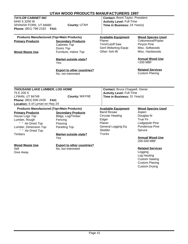# **UTAH WOOD PRODUCTS MANUFACTURERS 1997**

|                                                                                                                            | וכנו טובוטוסוס ומהווו טוטטשטו ו שטטונוסוט               |                                                                  |                                               |  |
|----------------------------------------------------------------------------------------------------------------------------|---------------------------------------------------------|------------------------------------------------------------------|-----------------------------------------------|--|
| <b>TIMBER PRODUCTS INC</b>                                                                                                 |                                                         | <b>Contact: Fred Stocks, President</b>                           |                                               |  |
| COUNTY ROAD 154, BOX 46                                                                                                    |                                                         | <b>Activity Level: Full-Time</b>                                 |                                               |  |
| LA SAL, UT 84530<br><b>County: SAN JUAN</b><br>Phone: (801) 686-2381    FAX: (801) 686-2318                                |                                                         | Time in Business: 15 Year(s)                                     |                                               |  |
|                                                                                                                            |                                                         |                                                                  |                                               |  |
|                                                                                                                            | Location: Old La Sal, UT; Hwy 46 N on County Rd 157     |                                                                  |                                               |  |
| <b>Products Manufactured (Top=Main Products)</b>                                                                           |                                                         | <b>Available Equipment</b>                                       | <b>Wood Species Used</b>                      |  |
| <b>Primary Products</b>                                                                                                    | <b>Secondary Products</b>                               | <b>Trim/Cutoff Saw</b>                                           | Aspen                                         |  |
| Firewood                                                                                                                   | Fencing                                                 | General Logging Eq                                               | True Fir                                      |  |
| House Logs                                                                                                                 | Paneling                                                | <b>Crawler Tractor</b>                                           | Ponderosa Pine                                |  |
| Lumber, Rough Top                                                                                                          |                                                         | Loader                                                           | Spruce                                        |  |
| " " Green Top                                                                                                              | <b>Market outside state?</b>                            | <b>Skidder</b>                                                   |                                               |  |
| " " Air-Dried Top                                                                                                          | Yes                                                     | <b>Trucks</b>                                                    | <b>Annual Wood Use</b>                        |  |
| Lumber, Dimension Top                                                                                                      |                                                         | Other: feller/buncher,                                           | 1,000-5,000 MBF                               |  |
| " " Green Top                                                                                                              | <b>Export to other countries?</b>                       | delimber                                                         |                                               |  |
| " " Air-Dried Top                                                                                                          | No, not interested                                      |                                                                  | <b>Related Services</b>                       |  |
| Mine Props                                                                                                                 |                                                         |                                                                  | Logging                                       |  |
| Poles                                                                                                                      |                                                         |                                                                  | Road Building                                 |  |
| Posts                                                                                                                      |                                                         |                                                                  | Log Hauling                                   |  |
| Ties, RR                                                                                                                   |                                                         |                                                                  | <b>Custom Sawing</b>                          |  |
| Timbers Top                                                                                                                |                                                         |                                                                  | <b>Custom Planing</b>                         |  |
| <b>Wood Waste Use</b><br>Sell<br>Use Internally                                                                            |                                                         |                                                                  |                                               |  |
| <b>TIMBERCRAFTS OF UTAH</b><br>2249 S 2700 W<br>WEST VALLEY CITY, UT 84119<br>Phone: (801) 972-3282    FAX: (801) 972-8157 | <b>County: SALT LAKE</b>                                | <b>Activity Level: Full-Time</b><br>Time in Business: 30 Year(s) | Contact: J. Sherman Peterson, General Manager |  |
| <b>Products Manufactured (Top=Main Products)</b>                                                                           |                                                         | <b>Available Equipment</b>                                       | <b>Wood Species Used</b>                      |  |
| <b>Primary Products</b>                                                                                                    | <b>Secondary Products</b>                               | <b>Trim/Cutoff Saw</b>                                           | Aspen                                         |  |
|                                                                                                                            | Pallets Top                                             | <b>Genl Wdwrkng Equip</b>                                        | Douglas-fir                                   |  |
|                                                                                                                            | Specialty Items: stakes, hubs,                          | Other: multicuts, sizers,                                        | True Fir                                      |  |
| <b>Wood Waste Use</b>                                                                                                      | sawdust, mulch                                          | Holtec cutoff, resaw                                             | Lodgepole Pine                                |  |
| Sell                                                                                                                       |                                                         |                                                                  | Ponderosa Pine                                |  |
|                                                                                                                            | <b>Market outside state?</b>                            |                                                                  | Spruce                                        |  |
|                                                                                                                            | Yes                                                     |                                                                  | Misc. Softwoods                               |  |
|                                                                                                                            |                                                         |                                                                  | Misc. Hardwoods                               |  |
|                                                                                                                            | <b>Export to other countries?</b><br>No, not interested |                                                                  | Other: alder, maple                           |  |
|                                                                                                                            |                                                         |                                                                  | <b>Annual Wood Use</b>                        |  |
|                                                                                                                            |                                                         |                                                                  | >5,000 MBF                                    |  |
|                                                                                                                            |                                                         |                                                                  | Other amounts/units:                          |  |
|                                                                                                                            |                                                         |                                                                  | 35-40 MMBF                                    |  |
|                                                                                                                            |                                                         |                                                                  |                                               |  |

# **Related Services**

Custom Sawing Other: stakes, hubs, pallet material mfr.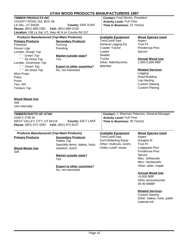| <b>UTAH WOOD PRODUCTS MANUFACTURERS 1997</b>                                                                                                                                                   |                                                                                                                                                                                                                                                             |                                                                                                                                                               |                                                                                                                                                                                                                                                                                         |  |
|------------------------------------------------------------------------------------------------------------------------------------------------------------------------------------------------|-------------------------------------------------------------------------------------------------------------------------------------------------------------------------------------------------------------------------------------------------------------|---------------------------------------------------------------------------------------------------------------------------------------------------------------|-----------------------------------------------------------------------------------------------------------------------------------------------------------------------------------------------------------------------------------------------------------------------------------------|--|
| <b>TIMBERLINE MFG INC</b><br>2421 S 2570 W<br><b>County: SALT LAKE</b><br>SALT LAKE CITY, UT 84119<br>Phone: (801) 466-1485  FAX: (801) 466-2613<br>Location: 3044 S 300 E South Salt Lake, UT |                                                                                                                                                                                                                                                             | Contact: Kolten Kener, President<br><b>Activity Level: Full-Time</b><br>Time in Business: 6 Year(s)                                                           |                                                                                                                                                                                                                                                                                         |  |
| <b>Products Manufactured (Top=Main Products)</b><br><b>Primary Products</b><br>House Logs<br>Lumber, Rough<br>Poles<br>Posts<br><b>Timbers</b><br><b>Wood Waste Use</b><br>Sell                | <b>Secondary Products</b><br>Bldgs, Log/Timber Top<br>Cabinets Top<br>Fencina<br>Furniture, Indoor Top<br>Furniture, Outdoor<br>Moldings<br>Sheds/Portable Bldgs<br>Market outside state?<br>Yes<br><b>Export to other countries?</b><br>No, but interested | <b>Available Equipment</b><br>Bandsaw Headrig<br>Planer<br>Portable Sawmill<br>Genl Wdwrkng Equip<br>General Logging Eq<br>Loader<br><b>Skidder</b><br>Trucks | <b>Wood Species Used</b><br>True Fir<br>Lodgepole Pine<br>Ponderosa Pine<br>Misc. Softwoods<br><b>Annual Wood Use</b><br>1,000-5,000 MBF<br><b>Related Services</b><br>Logging<br>Road Building<br>Log Hauling<br><b>Custom Sawing</b><br><b>Custom Planing</b><br><b>Custom Drying</b> |  |
| <b>TORGERSON TIMBER INC</b><br>PO BOX 6                                                                                                                                                        |                                                                                                                                                                                                                                                             | <b>Contact: Charles Torgerson, President</b><br><b>Activity Level: Full-Time</b>                                                                              |                                                                                                                                                                                                                                                                                         |  |

| BICKNELL, UT 84715<br><b>Phone: (801) 425-3874 FAX:</b><br>Location: 400 E Main, Bicknell, UT | <b>County: WAYNE</b>              | Time in Business: 30 Year(s) |                          |
|-----------------------------------------------------------------------------------------------|-----------------------------------|------------------------------|--------------------------|
| <b>Products Manufactured (Top=Main Products)</b>                                              |                                   | <b>Available Equipment</b>   | <b>Wood Species Used</b> |
| <b>Primary Products</b>                                                                       | <b>Secondary Products</b>         | Circular Headrig             | Douglas-fir              |
| Firewood                                                                                      | Fencing                           | Edger                        | True Fir                 |
| House Logs                                                                                    | <b>Pallets</b>                    | Trim/Cutoff Saw              | Ponderosa Pine           |
| Lumber, Rough Top                                                                             |                                   | General Logging Eq           | Spruce                   |
| " " Green Top                                                                                 | Market outside state?             | <b>Crawler Tractor</b>       |                          |
| " " Air-Dried Top                                                                             | No                                | Loader                       | <b>Annual Wood Use</b>   |
| Lumber, Dimension Top                                                                         |                                   | Skidder                      | 500-1.000 MBF            |
| " " Green Top                                                                                 | <b>Export to other countries?</b> | <b>Trucks</b>                |                          |
| " " Air-Dried Top                                                                             | No, not interested                |                              | <b>Related Services</b>  |
| Mine Props                                                                                    |                                   |                              | Logging                  |
| Poles                                                                                         |                                   |                              | Road Building            |
| <b>Timbers</b>                                                                                |                                   |                              | Log Hauling              |

Custom Sawing

# **Wood Waste Use**

Sell Give Away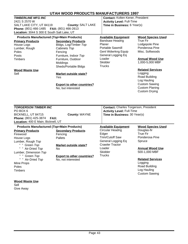|                                                                                                                                                                                             | <b>UTAH WOOD PRODUCTS MANUFACTURERS 1997</b>                                                                                |                                                                                                        |                                                                                                                                                       |  |
|---------------------------------------------------------------------------------------------------------------------------------------------------------------------------------------------|-----------------------------------------------------------------------------------------------------------------------------|--------------------------------------------------------------------------------------------------------|-------------------------------------------------------------------------------------------------------------------------------------------------------|--|
| <b>TRUSSWELL</b><br>2803 N HIGHWAY 89<br>PLEASANT VIEW, UT 84404<br>Phone: (801) 786-0540  FAX: (801) 786-1330<br>Location: Hwy 89 1 blk N of 2700 W on W side                              | <b>County: WEBER</b>                                                                                                        | Contact: Dean Odenwalder, Buyer<br><b>Activity Level: Full-Time</b><br>Time in Business: 3 Year(s)     |                                                                                                                                                       |  |
| <b>Products Manufactured (Top=Main Products)</b><br><b>Primary Products</b>                                                                                                                 | <b>Secondary Products</b><br>Trusses/Structural Top                                                                         | <b>Available Equipment</b><br><b>Trim/Cutoff Saw</b><br><b>Genl Wdwrkng Equip</b>                      | <b>Wood Species Used</b><br>Douglas-fir<br>Lodgepole Pine                                                                                             |  |
| <b>Wood Waste Use</b><br>Give Away                                                                                                                                                          | Market outside state?<br>No.                                                                                                |                                                                                                        | <b>Annual Wood Use</b><br>200-500 MBF                                                                                                                 |  |
|                                                                                                                                                                                             | <b>Export to other countries?</b><br>No, not interested                                                                     |                                                                                                        | <b>Related Services</b>                                                                                                                               |  |
| <b>UINTAH PLANING MILL</b><br><b>PO BOX 290</b><br>HEBER CITY, UT 84032<br>Phone: (801) 654-1552<br>Location: 1550 S HWY 40, Heber City                                                     | <b>County: WASATCH</b><br>FAX:                                                                                              | Contact: Gene Gardner, Foreman<br><b>Activity Level: Full-Time</b><br>Time in Business: 50 Year(s)     |                                                                                                                                                       |  |
| <b>Products Manufactured (Top=Main Products)</b><br><b>Primary Products</b><br>Lumber, Dimension Top<br>Other Primary: pattern<br>lumber<br><b>Wood Waste Use</b><br>Sell<br>Use Internally | <b>Secondary Products</b><br><b>Market outside state?</b><br>Yes<br><b>Export to other countries?</b><br>No, not interested | <b>Available Equipment</b><br><b>Band Resaw</b><br>Planer<br><b>Trim/Cutoff Saw</b>                    | <b>Wood Species Used</b><br>Lodgepole Pine<br>Spruce<br><b>Annual Wood Use</b><br>1,000-5,000 MBF<br><b>Related Services</b><br><b>Custom Planing</b> |  |
| <b>URBAN FOREST WOODWORKS</b><br>1065 W 600 N<br>LOGAN, UT 84321-8100<br>Phone: (801) 752-7268                                                                                              | <b>County: CACHE</b><br>FAX:                                                                                                | Contact: George Hessenthaler, Owner<br><b>Activity Level: Full-Time</b><br>Time in Business: 7 Year(s) |                                                                                                                                                       |  |
| <b>Products Manufactured (Top=Main Products)</b><br><b>Primary Products</b>                                                                                                                 | <b>Secondary Products</b><br>Boxes Top                                                                                      | <b>Available Equipment</b><br><b>Band Resaw</b><br>Kiln<br>Planer                                      | <b>Wood Species Used</b><br>Misc. Hardwoods<br><b>Annual Wood Use</b>                                                                                 |  |
| <b>Wood Waste Use</b><br>Give Away<br>Use Internally                                                                                                                                        | <b>Market outside state?</b><br>Yes<br><b>Export to other countries?</b><br>No, but interested                              | <b>Portable Sawmill</b><br>Genl Wdwrkng Equip<br>Other: chainsaws                                      | <200 MBF<br><b>Related Services</b>                                                                                                                   |  |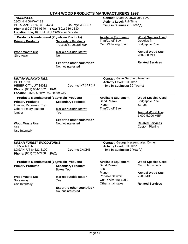|                                                                                                                                                                                                                | <b>UTAH WOOD PRODUCTS MANUFACTURERS 1997</b>                                                                                                                       |                                                                                                                    |                                                                                                                                                           |
|----------------------------------------------------------------------------------------------------------------------------------------------------------------------------------------------------------------|--------------------------------------------------------------------------------------------------------------------------------------------------------------------|--------------------------------------------------------------------------------------------------------------------|-----------------------------------------------------------------------------------------------------------------------------------------------------------|
| <b>URBAN HARDWOOD PRODUCTS</b><br>26 N 400 E<br>LOGAN, UT 84321<br>Phone: (801) 753-2530                                                                                                                       | County: CACHE<br>FAX:                                                                                                                                              | Contact: Todd Kingsford, Owner<br><b>Activity Level: Full-Time</b><br>Time in Business: 1 Year(s)                  |                                                                                                                                                           |
| <b>Products Manufactured (Top=Main Products)</b><br><b>Primary Products</b><br>Lumber, Rough<br>" " Green Top<br>" " Air-Dried Top                                                                             | <b>Secondary Products</b><br><b>Boxes</b><br>Cabinets Top<br>Doors                                                                                                 | <b>Available Equipment</b><br>Kiln<br>Planer<br><b>Portable Sawmill</b><br>Genl Wdwrkng Equip                      | <b>Wood Species Used</b><br>Cottonwood/Poplar<br>Juniper<br>Misc. Hardwoods<br>Other: locust, mulberry,                                                   |
| Lumber, Dimension<br>" " Kiln-Dried Top                                                                                                                                                                        | Furniture, Indoor Top<br>Furniture, Outdoor<br>Paneling<br>Sheds/Portable Bldgs                                                                                    |                                                                                                                    | walnut, elm, apricot<br><b>Annual Wood Use</b><br><200 MBF                                                                                                |
| <b>Wood Waste Use</b><br>Sell<br>Give Away<br>Use Internally                                                                                                                                                   | Specialty Items:<br>kaleidoscopes, newel posts<br><b>Market outside state?</b><br>No.                                                                              |                                                                                                                    | <b>Related Services</b><br><b>Custom Sawing</b><br><b>Custom Drying</b>                                                                                   |
|                                                                                                                                                                                                                | <b>Export to other countries?</b><br>No, but interested                                                                                                            |                                                                                                                    |                                                                                                                                                           |
| <b>UTAH FOREST PRODUCTS</b><br><b>BOX 379</b><br>ESCALANTE, UT 84726<br>Phone: (801) 826-4521<br>Location: 3000 E 1500 S, Escalante, UT                                                                        | <b>County: GARFIELD</b><br>FAX: (801) 826-4520                                                                                                                     | Contact: Stephen Steed, Manager<br><b>Activity Level: Full-Time</b><br>Time in Business: 3 Year(s)                 |                                                                                                                                                           |
| <b>Products Manufactured (Top=Main Products)</b><br><b>Primary Products</b><br>Chips<br>House Logs<br>Lumber, Rough Top<br>" " Green Top<br>Air-Dried Top<br>" "<br>Lumber, Dimension Top<br>" " Air-Dried Top | <b>Secondary Products</b><br>Specialty Items: bagged<br>shavings<br><b>Market outside state?</b><br>Yes<br><b>Export to other countries?</b><br>No, not interested | <b>Available Equipment</b><br>Bagging Eq<br><b>Bandsaw Headrig</b><br>Debarker<br>Edger<br>Planer<br>Sash Gang Saw | <b>Wood Species Used</b><br>Douglas-fir<br><b>True Fir</b><br>Ponderosa Pine<br>Spruce<br><b>Annual Wood Use</b><br>>5,000 MBF<br><b>Related Services</b> |
| <b>Wood Waste Use</b><br>Sell                                                                                                                                                                                  |                                                                                                                                                                    |                                                                                                                    | Logging<br>Log Hauling                                                                                                                                    |
| <b>WAHLEN MFG</b><br>6380 S 300 W<br>SALT LAKE CITY, UT 84107<br><b>County: SALT LAKE</b><br>Phone: (801) 262-4647 FAX:                                                                                        |                                                                                                                                                                    | Contact: Nolan Wahlen, President<br><b>Activity Level: Full-Time</b><br>Time in Business: 45 Year(s)               |                                                                                                                                                           |
| <b>Products Manufactured (Top=Main Products)</b><br><b>Primary Products</b>                                                                                                                                    | <b>Secondary Products</b><br>Furniture, Indoor Top                                                                                                                 | <b>Available Equipment</b><br><b>Genl Wdwrkng Equip</b>                                                            | <b>Wood Species Used</b><br>Misc. Hardwoods<br>Other: alder                                                                                               |
| <b>Wood Waste Use</b><br>Use Internally                                                                                                                                                                        | <b>Market outside state?</b><br>Yes                                                                                                                                |                                                                                                                    | <b>Annual Wood Use</b><br>200-500 MBF                                                                                                                     |
|                                                                                                                                                                                                                | <b>Export to other countries?</b><br>No, not interested                                                                                                            |                                                                                                                    | <b>Related Services</b>                                                                                                                                   |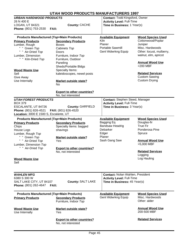| <b>UTAH WOOD PRODUCTS MANUFACTURERS 1997</b>                                                                                                                                   |                                                                                                                                                                                                          |                                                                                                                                                                                                                                                 |                                                                                                                                                         |  |
|--------------------------------------------------------------------------------------------------------------------------------------------------------------------------------|----------------------------------------------------------------------------------------------------------------------------------------------------------------------------------------------------------|-------------------------------------------------------------------------------------------------------------------------------------------------------------------------------------------------------------------------------------------------|---------------------------------------------------------------------------------------------------------------------------------------------------------|--|
| <b>WALRUS WOODWORKING</b><br>PO BOX 57<br>OAKLEY, UT 84055<br>Phone: (801) 783-5530<br>Location: 4748 N SR 32, Oakley, UT                                                      | <b>County: SUMMIT</b><br>FAX: (801) 783-5302                                                                                                                                                             | Contact: John Sundberg, Owner<br><b>Activity Level: Full-Time</b><br>Time in Business: 23 Year(s)                                                                                                                                               |                                                                                                                                                         |  |
| <b>Products Manufactured (Top=Main Products)</b><br><b>Primary Products</b><br><b>Secondary Products</b><br>Cabinets Top<br>Doors Top<br>Flooring Top<br><b>Wood Waste Use</b> |                                                                                                                                                                                                          | <b>Available Equipment</b><br>Planer<br>Genl Wdwrkng Equip                                                                                                                                                                                      | <b>Wood Species Used</b><br>Spruce<br><b>Annual Wood Use</b><br><200 MBF                                                                                |  |
| Give Away<br>Use Internally                                                                                                                                                    | <b>Market outside state?</b><br>Yes<br><b>Export to other countries?</b>                                                                                                                                 |                                                                                                                                                                                                                                                 | <b>Related Services</b><br>Other: custom furniture<br>mfr.                                                                                              |  |
| <b>WASATCH TIMBER PRODUCTS</b>                                                                                                                                                 | No, but interested                                                                                                                                                                                       | Contact: Lance Turner, Owner                                                                                                                                                                                                                    |                                                                                                                                                         |  |
| 1274 E 900 S<br>PLEASANT GROVE, UT 84062<br><b>County: WASATCH</b><br>Phone: (801) 785-9587  FAX: (801) 785-9587<br>Location: 2300 S Hwy 40, Heber City, UT 84032              |                                                                                                                                                                                                          | <b>Activity Level: Full-Time</b><br>Time in Business: 1 Year(s)                                                                                                                                                                                 |                                                                                                                                                         |  |
| <b>Primary Products</b><br>Firewood<br>House Logs Top<br>Lumber, Rough Top<br>" " Green Top<br>" " Air-Dried Top<br>Poles<br>Posts<br><b>Timbers</b>                           | <b>Products Manufactured (Top=Main Products)</b><br><b>Secondary Products</b><br>Bldgs, Log/Timber<br>Bldgs, Pole<br>Fencing<br><b>Market outside state?</b><br>Yes<br><b>Export to other countries?</b> | <b>Available Equipment</b><br><b>Band Resaw</b><br><b>Bandsaw Headrig</b><br><b>Chipper Headrig</b><br><b>Circular Headrig</b><br>Portable Sawmill<br><b>Trim/Cutoff Saw</b><br><b>Genl Wdwrkng Equip</b><br>General Logging Eq<br>Cable Yarder | <b>Wood Species Used</b><br>Aspen<br>Douglas-fir<br>True Fir<br>Lodgepole Pine<br>Ponderosa Pine<br>Spruce<br><b>Annual Wood Use</b><br>1,000-5,000 MBF |  |
| <b>Wood Waste Use</b><br>Sell                                                                                                                                                  | No, but interested                                                                                                                                                                                       | <b>Crawler Tractor</b><br>Loader<br>Skidder<br><b>Trucks</b>                                                                                                                                                                                    | <b>Related Services</b><br>Logging<br>Log Hauling<br><b>Custom Sawing</b><br>Other: log homes, log                                                      |  |

lathing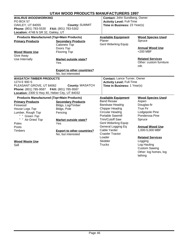# **UTAH WOOD PRODUCTS MANUFACTURERS 1997**

| <b>WELCH SAWMILL</b>                                                                                                                                                                                                    |                                                                                                                                                                                               |                                                                                                                                            |                                                                                                                                                                                                                       |
|-------------------------------------------------------------------------------------------------------------------------------------------------------------------------------------------------------------------------|-----------------------------------------------------------------------------------------------------------------------------------------------------------------------------------------------|--------------------------------------------------------------------------------------------------------------------------------------------|-----------------------------------------------------------------------------------------------------------------------------------------------------------------------------------------------------------------------|
| 48 S 100 W<br>County: CACHE<br><b>HYRUM, UT 84319</b>                                                                                                                                                                   |                                                                                                                                                                                               | Contact: Chad Welch, President, Owner<br><b>Activity Level: Seasonal</b><br>Time in Business: 25 Year(s)                                   |                                                                                                                                                                                                                       |
| Phone: (801) 245-4429                                                                                                                                                                                                   | FAX:                                                                                                                                                                                          |                                                                                                                                            |                                                                                                                                                                                                                       |
|                                                                                                                                                                                                                         | Location: 705 E 5400 S, Hyrum, UT; 3/4 mi E of Hyrum                                                                                                                                          |                                                                                                                                            |                                                                                                                                                                                                                       |
| <b>Products Manufactured (Top=Main Products)</b>                                                                                                                                                                        |                                                                                                                                                                                               | <b>Available Equipment</b>                                                                                                                 | <b>Wood Species Used</b>                                                                                                                                                                                              |
| <b>Primary Products</b><br>Firewood Top<br>House Logs<br>Lumber, Rough Top<br>" " Green Top<br>" " Air-Dried Top<br>Lumber, Dimension<br>" " Green Top<br>" " Air-Dried Top<br>Mine Props<br>Ties, RR<br><b>Timbers</b> | <b>Secondary Products</b><br>Fencing<br>Paneling<br>Sheds/Portable Bldgs<br><b>Market outside state?</b><br>Yes<br><b>Export to other countries?</b><br>No, but interested                    | Circular Headrig<br>Edger<br>Firewood Proc<br>Planer<br>General Logging Eq<br><b>Crawler Tractor</b><br>Loader<br>Skidder<br><b>Trucks</b> | Douglas-fir<br><b>True Fir</b><br>Lodgepole Pine<br>Ponderosa Pine<br>Spruce<br><b>Annual Wood Use</b><br>500-1,000 MBF<br><b>Related Services</b><br>Logging<br>Road Building<br>Log Hauling<br><b>Custom Sawing</b> |
| <b>Wood Waste Use</b><br>Sell                                                                                                                                                                                           |                                                                                                                                                                                               |                                                                                                                                            | Other: firewood sales                                                                                                                                                                                                 |
| <b>WOOD ART LLC</b>                                                                                                                                                                                                     |                                                                                                                                                                                               | Contact: David H. Devol, Owner                                                                                                             |                                                                                                                                                                                                                       |
| 560 W 24TH ST                                                                                                                                                                                                           |                                                                                                                                                                                               | <b>Activity Level: Full-Time</b>                                                                                                           |                                                                                                                                                                                                                       |
| <b>OGDEN, UT 84401</b><br>Phone: (801) 392-1267                                                                                                                                                                         | <b>County: WEBER</b><br>FAX:                                                                                                                                                                  | Time in Business: 10 Year(s)                                                                                                               |                                                                                                                                                                                                                       |
| <b>Products Manufactured (Top=Main Products)</b>                                                                                                                                                                        |                                                                                                                                                                                               | <b>Available Equipment</b>                                                                                                                 | <b>Wood Species Used</b>                                                                                                                                                                                              |
| <b>Primary Products</b><br><b>Wood Waste Use</b><br>Sell<br>Give Away                                                                                                                                                   | <b>Secondary Products</b><br>Cabinets Top<br>Doors Top<br>Furniture, Indoor Top<br>Moldings<br><b>Musical Instruments</b><br><b>Shutters</b><br>Windows<br><b>Market outside state?</b><br>No | Bagging Eq<br>Finger Jointer<br>Planer<br><b>Trim/Cutoff Saw</b><br>Genl Wdwrkng Equip                                                     | Aspen<br>Cottonwood/Poplar<br>Misc. Softwoods<br>Misc. Hardwoods<br><b>Annual Wood Use</b><br><200 MBF<br><b>Related Services</b><br>Other: custom cabinet mfr.                                                       |
|                                                                                                                                                                                                                         | <b>Export to other countries?</b><br>No, but interested                                                                                                                                       |                                                                                                                                            |                                                                                                                                                                                                                       |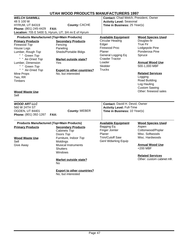|                                                                                                                                                                                | <b>UTAH WOOD PRODUCTS MANUFACTURERS 1997</b>                         |                                                                                                    |                                            |
|--------------------------------------------------------------------------------------------------------------------------------------------------------------------------------|----------------------------------------------------------------------|----------------------------------------------------------------------------------------------------|--------------------------------------------|
| <b>WOODWORKS INC, THE</b>                                                                                                                                                      |                                                                      | <b>Contact: Shawn Madsen, President</b>                                                            |                                            |
| 311 E 400 N<br>LINDON, UT 84042<br>Phone: (801) 785-9511                                                                                                                       | County: UTAH<br>FAX: (801) 785-9511                                  | <b>Activity Level: Full-Time</b><br>Time in Business: 5 Year(s)                                    |                                            |
| Location: Same as mailing                                                                                                                                                      |                                                                      |                                                                                                    |                                            |
| <b>Products Manufactured (Top=Main Products)</b>                                                                                                                               |                                                                      | <b>Available Equipment</b>                                                                         | <b>Wood Species Used</b>                   |
| <b>Primary Products</b>                                                                                                                                                        | <b>Secondary Products</b><br>Cabinets Top<br>Furniture, Indoor Top   | <b>Genl Wdwrkng Equip</b>                                                                          | Misc. Hardwoods<br>Other: oaks, maples     |
| <b>Wood Waste Use</b><br>Use Internally                                                                                                                                        | <b>Market outside state?</b>                                         |                                                                                                    | <b>Annual Wood Use</b><br><200 MBF         |
|                                                                                                                                                                                | <b>No</b><br><b>Export to other countries?</b><br>No, not interested |                                                                                                    | <b>Related Services</b><br>Other: milling  |
| <b>WORLD WIDE PACKAGING &amp; CRATING</b><br>611 S 1000 W<br>CLEARFIELD, UT 84015<br>County: DAVIS<br>Phone: (801) 773-2754   FAX: (801) 773-2758<br>Location: Same as mailing |                                                                      | Contact: Kerry Miya, President<br><b>Activity Level: Full-Time</b><br>Time in Business: 24 Year(s) |                                            |
| <b>Products Manufactured (Top=Main Products)</b>                                                                                                                               |                                                                      | <b>Available Equipment</b>                                                                         | <b>Wood Species Used</b>                   |
| <b>Primary Products</b>                                                                                                                                                        | <b>Secondary Products</b><br>Boxes Top<br>Pallets Top                | <b>Band Resaw</b><br><b>Trim/Cutoff Saw</b><br><b>Genl Wdwrkng Equip</b>                           | Aspen<br>Douglas-fir<br><b>True Fir</b>    |
| <b>Wood Waste Use</b><br>Sell                                                                                                                                                  | <b>Market outside state?</b><br>Yes                                  | Other: wood grinder                                                                                | Lodgepole Pine<br>Ponderosa Pine<br>Spruce |
|                                                                                                                                                                                | <b>Export to other countries?</b><br>No, not interested              |                                                                                                    | <b>Annual Wood Use</b><br>1,000-5,000 MBF  |
|                                                                                                                                                                                |                                                                      |                                                                                                    | <b>Related Services</b>                    |

Other: material handling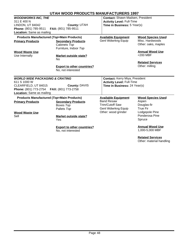|                                                                                                                                                                                                                        | ו טט ו                                                                                                                                     |                                                                                                           |                                                                                                                                                                                                                                                                              |
|------------------------------------------------------------------------------------------------------------------------------------------------------------------------------------------------------------------------|--------------------------------------------------------------------------------------------------------------------------------------------|-----------------------------------------------------------------------------------------------------------|------------------------------------------------------------------------------------------------------------------------------------------------------------------------------------------------------------------------------------------------------------------------------|
| <b>B &amp; B LUMBER PRODUCTS</b><br>5630 SUN VALLEY BLVD #25<br>SUN VALLEY, NV 89433<br><b>County: WASHOE</b><br>Phone: (702) 674-2195   FAX: (702) 674-2455<br>Location: 5740, 50, 65, & 70 Stella Dr, Sun Valley, NV |                                                                                                                                            | <b>Contact: Barney Hoffman, Owner</b><br><b>Activity Level: Full-Time</b><br>Time in Business: 10 Year(s) |                                                                                                                                                                                                                                                                              |
| <b>Products Manufactured (Top=Main Products)</b><br><b>Primary Products</b><br>Chips Top<br>Firewood Top<br><b>Wood Waste Use</b><br>Sell                                                                              | <b>Secondary Products</b><br>Pallets Top<br><b>Market outside state?</b><br>Yes<br><b>Export to other countries?</b><br>No, not interested | <b>Available Equipment</b><br><b>Chipper Headrig</b><br>Trim/Cutoff Saw<br><b>Genl Wdwrkng Equip</b>      | <b>Wood Species Used</b><br>Douglas-fir<br><b>True Fir</b><br>Ponderosa Pine<br>Spruce<br>Misc. Softwoods<br>Misc. Hardwoods<br><b>Annual Wood Use</b><br>1,000-5,000 MBF<br>Other amounts/units:<br>mostly recycled lumber<br><b>Related Services</b><br>Other: pallet mfr. |
| <b>B &amp; C CABINETS &amp; MILLWORK</b><br>1140 TELEGRAPH ST<br>RENO, NV 89502<br>Phone: (702) 322-0000  FAX: (702) 322-6905<br>Location: Behind Reno/Tahoe Airport                                                   | County: WASHOE                                                                                                                             | Contact: Alex Bullentini, President<br><b>Activity Level: Full-Time</b><br>Time in Business: 27 Year(s)   |                                                                                                                                                                                                                                                                              |
| <b>Products Manufactured (Top=Main Products)</b><br><b>Primary Products</b><br><b>Wood Waste Use</b>                                                                                                                   | <b>Secondary Products</b><br>Cabinets<br>Doors<br>Moldings                                                                                 | <b>Available Equipment</b><br>Edger<br>Planer<br><b>Trim/Cutoff Saw</b><br><b>Genl Wdwrkng Equip</b>      | <b>Wood Species Used</b><br>Misc. Hardwoods<br><b>Annual Wood Use</b><br><200 MBF                                                                                                                                                                                            |
| Give Away                                                                                                                                                                                                              | Paneling<br><b>Market outside state?</b><br>No                                                                                             |                                                                                                           | <b>Related Services</b><br>Other: custom millwork &<br>cabinets                                                                                                                                                                                                              |
| <b>B&amp;L WOOD PRODUCTS</b><br>2735 N NELLIS BLVD<br>LAS VEGAS, NV 89115<br>Phone: (702) 643-6226                                                                                                                     | <b>County: CLARK</b><br>FAX: (702) 643-3798<br>Location: Between Cheyenne Rd & Lake Mead Blvd on W side                                    | <b>Activity Level: Full-Time</b><br>Time in Business: 12 Year(s)                                          | Contact: William K. Shouse, General Manager                                                                                                                                                                                                                                  |
| <b>Products Manufactured (Top=Main Products)</b><br><b>Primary Products</b>                                                                                                                                            | <b>Secondary Products</b><br>Specialty Items: concrete stks,<br>survey lathe, mobile hm setup                                              | <b>Available Equipment</b>                                                                                | <b>Wood Species Used</b><br><b>Annual Wood Use</b><br>1,000-5,000 MBF                                                                                                                                                                                                        |
| <b>Wood Waste Use</b><br>Sell                                                                                                                                                                                          | <b>Market outside state?</b><br>No.                                                                                                        |                                                                                                           | <b>Related Services</b>                                                                                                                                                                                                                                                      |
|                                                                                                                                                                                                                        | <b>Export to other countries?</b><br>No, not interested                                                                                    |                                                                                                           |                                                                                                                                                                                                                                                                              |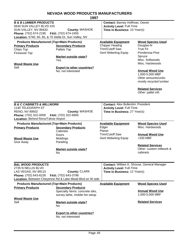|                                                                                                                                                                                                            | 1997                                                                                                 |                                                                                                                        |                                                                                                    |
|------------------------------------------------------------------------------------------------------------------------------------------------------------------------------------------------------------|------------------------------------------------------------------------------------------------------|------------------------------------------------------------------------------------------------------------------------|----------------------------------------------------------------------------------------------------|
| <b>BARRY BENNALLACK WOODWORKS</b><br>4305 W DESERT INN RD #5<br>LAS VEGAS, NV 89102<br><b>County: CLARK</b><br>Phone: (702) 364-8612<br>FAX:<br>Location: Between Valley View Blvd & Arville Rd, Las Vegas |                                                                                                      | Contact: Barry J. Bennallack, Owner<br><b>Activity Level: Full-Time</b><br>Time in Business: 9 Year(s)                 |                                                                                                    |
| <b>Products Manufactured (Top=Main Products)</b><br><b>Primary Products</b>                                                                                                                                | <b>Secondary Products</b><br><b>Boxes</b><br>Cabinets Top                                            | <b>Available Equipment</b><br>Bagging Eq<br><b>Band Resaw</b><br><b>Trim/Cutoff Saw</b>                                | <b>Wood Species Used</b><br>Cottonwood/Poplar<br>Douglas-fir<br>True Fir                           |
| <b>Wood Waste Use</b><br>Give Away                                                                                                                                                                         | Doors Top<br>Furniture, Indoor Top<br>Furniture, Outdoor<br>Moldings<br><b>Market outside state?</b> | Genl Wdwrkng Equip                                                                                                     | Lodgepole Pine<br>Pinyon Pine<br>Ponderosa Pine<br>Spruce<br>Misc. Softwoods<br>Misc. Hardwoods    |
|                                                                                                                                                                                                            | <b>No</b><br><b>Export to other countries?</b><br>No, but interested                                 |                                                                                                                        | <b>Related Services</b><br><b>Custom Sawing</b><br><b>Custom Planing</b>                           |
| <b>BURTON COMPONENTS INC</b><br>PO BOX 1859<br>FERNLEY, NV 89408<br>County: LYON<br>Phone: (702) 575-1098<br><b>FAX:</b> (702) 575-1841<br>Location: 300 W Fremont St, Fernley, NV                         |                                                                                                      | <b>Contact: Wayne Burton, President</b><br><b>Activity Level: Full-Time</b><br>Time in Business: 12 Year(s)            |                                                                                                    |
| <b>Products Manufactured (Top=Main Products)</b><br><b>Primary Products</b>                                                                                                                                | <b>Secondary Products</b><br>Trusses/Structural Top                                                  | <b>Available Equipment</b>                                                                                             | <b>Wood Species Used</b><br>Douglas-fir<br>Misc. Softwoods<br>Other: SPF, hem-fir                  |
| <b>Wood Waste Use</b><br>Give Away                                                                                                                                                                         | <b>Market outside state?</b><br>No                                                                   |                                                                                                                        | <b>Annual Wood Use</b><br>Volume Unknown                                                           |
|                                                                                                                                                                                                            | <b>Export to other countries?</b><br>No, not interested                                              |                                                                                                                        | <b>Related Services</b><br>Other: truss mfr.                                                       |
| <b>CAPITAL CABINET CORP</b><br>1435 LOSEE RD<br><b>County: CLARK</b><br>NORTH LAS VEGAS, NV 89030<br>Phone: (702) 649-8733  FAX: (702) 649-6512                                                            |                                                                                                      | <b>Contact: Marc Anderson, Purchasing Director</b><br><b>Activity Level: Full-Time</b><br>Time in Business: 14 Year(s) |                                                                                                    |
| <b>Products Manufactured (Top=Main Products)</b><br><b>Primary Products</b><br><b>Wood Waste Use</b>                                                                                                       | <b>Secondary Products</b><br>Cabinets Top<br><b>Market outside state?</b>                            | <b>Available Equipment</b><br><b>Trim/Cutoff Saw</b><br>Genl Wdwrkng Equip                                             | <b>Wood Species Used</b><br>Aspen<br>Douglas-fir<br>Misc. Hardwoods<br>Other: oak, maple           |
| Sell                                                                                                                                                                                                       | Yes<br><b>Export to other countries?</b><br>No, not interested                                       |                                                                                                                        | <b>Annual Wood Use</b><br>1,000-5,000 MBF<br><b>Related Services</b><br>Other: custom cabinet mfr. |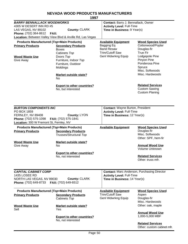| <b>CASTLE CABINETS INC</b><br>4200 W DESERT INN RD STE F<br><b>County: CLARK</b><br>LAS VEGAS, NV 89102<br>Phone: (702) 871-9883  FAX: (702) 367-9663<br>Location: Between Valley View & Arville on Desert Inn Rd.                                       |                                                                                                   | <b>Contact: Mike Henry, Vice President</b><br><b>Activity Level: Full-Time</b><br>Time in Business: 8 Year(s)                                                                                                       |  |
|----------------------------------------------------------------------------------------------------------------------------------------------------------------------------------------------------------------------------------------------------------|---------------------------------------------------------------------------------------------------|---------------------------------------------------------------------------------------------------------------------------------------------------------------------------------------------------------------------|--|
| <b>Products Manufactured (Top=Main Products)</b><br><b>Secondary Products</b><br>Cabinets Top<br>Furniture, Indoor Top<br>Moldings Top<br><b>Market outside state?</b><br><b>No</b><br><b>Export to other countries?</b><br>No, not interested           | <b>Available Equipment</b><br>Planer<br><b>Trim/Cutoff Saw</b><br>Genl Wdwrkng Equip              | <b>Wood Species Used</b><br>Douglas-fir<br>Ponderosa Pine<br>Misc. Softwoods<br>Misc. Hardwoods<br><b>Annual Wood Use</b><br>Volume Unknown<br>Other amounts/units:<br>mostly veneer/MDF<br><b>Related Services</b> |  |
| <b>CLOSET PRO OF RENO INC</b><br>1155 WATSON WAY # 2<br><b>SPARKS, NV 89431</b><br><b>County: WASHOE</b><br>Phone: (702) 356-5400<br>FAX: (702) 356-6222<br>Location: E McCarran and Glendale Ave.                                                       |                                                                                                   | Contact: Bob Pyne, President<br><b>Activity Level: Full-Time</b><br>Time in Business: 6 Year(s)                                                                                                                     |  |
| <b>Products Manufactured (Top=Main Products)</b><br><b>Secondary Products</b><br>Cabinets Top                                                                                                                                                            | <b>Available Equipment</b><br>Genl Wdwrkng Equip                                                  | <b>Wood Species Used</b><br>Other: melamine, particle<br>board                                                                                                                                                      |  |
| <b>Market outside state?</b><br>Yes                                                                                                                                                                                                                      |                                                                                                   | <b>Annual Wood Use</b><br><200 MBF                                                                                                                                                                                  |  |
| <b>Export to other countries?</b><br>No, but interested                                                                                                                                                                                                  |                                                                                                   | <b>Related Services</b><br><b>Custom Sawing</b>                                                                                                                                                                     |  |
| County: WASHOE<br>FAX: (702) 356-5569                                                                                                                                                                                                                    | Contact: Jim Littlewood, Owner<br><b>Activity Level: Seasonal</b><br>Time in Business: 10 Year(s) |                                                                                                                                                                                                                     |  |
| <b>Products Manufactured (Top=Main Products)</b><br><b>Secondary Products</b><br>Cabinets Top<br>Moldings Top<br>Other Secondary:casework,<br>fixtures<br><b>Market outside state?</b><br>No.<br><b>Export to other countries?</b><br>No, but interested | <b>Available Equipment</b><br><b>Genl Wdwrkng Equip</b>                                           | <b>Wood Species Used</b><br>Douglas-fir<br>Misc. Hardwoods<br><b>Annual Wood Use</b><br>$<$ 200 MBF<br><b>Related Services</b><br><b>Custom Sawing</b><br><b>Custom Planing</b>                                     |  |
|                                                                                                                                                                                                                                                          |                                                                                                   | 1997                                                                                                                                                                                                                |  |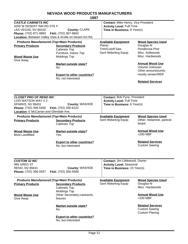|                                 | ו טט ו                                                  |                                             |                            |  |
|---------------------------------|---------------------------------------------------------|---------------------------------------------|----------------------------|--|
| <b>CUSTOM CABINET INTERIORS</b> |                                                         | Contact: Tim Johnson                        |                            |  |
| 340 WESTERN RD #4               |                                                         | <b>Activity Level: Full-Time</b>            |                            |  |
| <b>RENO, NV 89506</b>           | <b>County: WASHOE</b>                                   | Time in Business: 7 Year(s)                 |                            |  |
| Phone: (702) 329-8688           | FAX: (702) 329-8688                                     |                                             |                            |  |
|                                 | <b>Products Manufactured (Top=Main Products)</b>        | <b>Available Equipment</b>                  | <b>Wood Species Used</b>   |  |
| <b>Primary Products</b>         | <b>Secondary Products</b>                               | Planer                                      | Misc. Hardwoods            |  |
| Veneer                          | Cabinets Top                                            | <b>Trim/Cutoff Saw</b>                      |                            |  |
|                                 | Doors Top                                               | Genl Wdwrkng Equip                          | <b>Annual Wood Use</b>     |  |
|                                 | Furniture, Indoor Top                                   |                                             | <200 MBF                   |  |
| <b>Wood Waste Use</b>           | Moldings                                                |                                             |                            |  |
| Give Away                       |                                                         |                                             | <b>Related Services</b>    |  |
|                                 | <b>Market outside state?</b>                            |                                             | <b>Custom Sawing</b>       |  |
|                                 | <b>No</b>                                               |                                             | <b>Custom Planing</b>      |  |
|                                 | <b>Export to other countries?</b><br>No, not interested |                                             |                            |  |
|                                 |                                                         |                                             |                            |  |
| <b>DESERT WOODWORKING INC</b>   |                                                         | Contact: George Hall, Manager               |                            |  |
| 4680 W RUSSELL RD               |                                                         | <b>Activity Level: Full-Time</b>            |                            |  |
| LAS VEGAS, NV 89118             | <b>County: CLARK</b>                                    | Time in Business: 12 Year(s)                |                            |  |
| Phone: (702) 362-2161           | FAX: (702) 362-1295                                     |                                             |                            |  |
|                                 | <b>Products Manufactured (Top=Main Products)</b>        | <b>Available Equipment</b>                  | <b>Wood Species Used</b>   |  |
| <b>Primary Products</b>         | <b>Secondary Products</b>                               | <b>Band Resaw</b>                           | Cottonwood/Poplar          |  |
|                                 | Cabinets Top                                            | Planer                                      | Douglas-fir                |  |
|                                 | Furniture, Indoor Top                                   | <b>Trim/Cutoff Saw</b>                      | Misc. Hardwoods            |  |
| <b>Wood Waste Use</b>           |                                                         | Genl Wdwrkng Equip                          | Other: oak, walnut, maple, |  |
| Give Away                       | <b>Market outside state?</b><br>Yes                     |                                             | ash, etc.                  |  |
|                                 |                                                         |                                             | <b>Annual Wood Use</b>     |  |
|                                 | <b>Export to other countries?</b><br>Yes                |                                             | <200 MBF                   |  |
|                                 |                                                         |                                             | <b>Related Services</b>    |  |
|                                 |                                                         |                                             | Other: millwork mfr.       |  |
|                                 |                                                         |                                             |                            |  |
| <b>ELITE CABINET CO</b>         |                                                         | <b>Contact:</b> Laszlo Muskovits, President |                            |  |
| 5270 ARVILLE                    |                                                         | <b>Activity Level: Full-Time</b>            |                            |  |
| LAS VEGAS, NV 89118             | <b>County: CLARK</b>                                    | Time in Business: 8 Year(s)                 |                            |  |
| Phone: (702) 362-5449           | FAX: (702) 362-7105                                     |                                             |                            |  |
|                                 | <b>Products Manufactured (Top=Main Products)</b>        | <b>Available Equipment</b>                  | <b>Wood Species Used</b>   |  |
| <b>Primary Products</b>         | <b>Secondary Products</b>                               | Genl Wdwrkng Equip                          | Misc. Softwoods            |  |
|                                 | Cabinets Top                                            |                                             | Misc. Hardwoods            |  |
|                                 |                                                         |                                             | Other: particleboard       |  |
| <b>Wood Waste Use</b>           | <b>Market outside state?</b>                            |                                             |                            |  |
| Give Away                       | <b>No</b>                                               |                                             | <b>Annual Wood Use</b>     |  |
|                                 |                                                         |                                             | <200 MBF                   |  |
|                                 | <b>Export to other countries?</b>                       |                                             |                            |  |
|                                 | No, not interested                                      |                                             | <b>Related Services</b>    |  |
|                                 |                                                         |                                             |                            |  |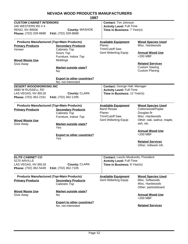|                                                                                                                 | 1997                                                                                                                                                                           |                                                                      |                                                                                                                            |
|-----------------------------------------------------------------------------------------------------------------|--------------------------------------------------------------------------------------------------------------------------------------------------------------------------------|----------------------------------------------------------------------|----------------------------------------------------------------------------------------------------------------------------|
| <b>FIRESIDE WOOD PAK</b><br>PO BOX 20033<br>SUN VALLEY, NV 89433<br>Phone: (702) 673-6708                       | County: WASHOE<br>FAX:                                                                                                                                                         | Contact: Dana L. Douville, Owner<br><b>Activity Level: Full-Time</b> |                                                                                                                            |
| Location: 2605 Comstock Dr, Reno, NV                                                                            |                                                                                                                                                                                |                                                                      |                                                                                                                            |
| <b>Primary Products</b><br>Firewood Top<br>Other Primary: 1 cu.ft.<br>firewood bundles<br><b>Wood Waste Use</b> | <b>Products Manufactured (Top=Main Products)</b><br><b>Secondary Products</b><br><b>Market outside state?</b><br>No<br><b>Export to other countries?</b><br>No, not interested | <b>Available Equipment</b><br>Bagging Eq<br>Other: 3 wood splitters  | <b>Wood Species Used</b><br>Douglas-fir<br>True Fir<br>Juniper<br>Ponderosa Pine<br>Other: cedar<br><b>Annual Wood Use</b> |
| Give Away                                                                                                       |                                                                                                                                                                                |                                                                      | Volume Unknown<br>Other amounts/units: 200<br>cords per year                                                               |
|                                                                                                                 |                                                                                                                                                                                |                                                                      | <b>Related Services</b>                                                                                                    |
| <b>FIREWOOD FARM</b>                                                                                            |                                                                                                                                                                                |                                                                      | Contact: Michael R. Schubarth, Project Manager                                                                             |
| <b>PO BOX 880</b>                                                                                               |                                                                                                                                                                                | <b>Activity Level: Seasonal</b>                                      |                                                                                                                            |
| GARDNERVILLE, NV 89410                                                                                          | <b>County: DOUGLAS</b>                                                                                                                                                         | Time in Business: 4 Year(s)                                          |                                                                                                                            |
| Phone: (702) 265-2787<br>Location: 1226 Kimmerling Rd, Gardnerville, NV                                         | FAX: (702) 782-4978                                                                                                                                                            |                                                                      |                                                                                                                            |
|                                                                                                                 |                                                                                                                                                                                |                                                                      |                                                                                                                            |
|                                                                                                                 | <b>Products Manufactured (Top=Main Products)</b>                                                                                                                               | <b>Available Equipment</b><br>Firewood Proc                          | <b>Wood Species Used</b><br>Douglas-fir                                                                                    |
| <b>Primary Products</b><br>Firewood Top                                                                         | <b>Secondary Products</b><br>Christmas Trees Top<br>Specialty Items: boxed &<br>bundled firewood                                                                               | Other: conveyor, splitters                                           | True Fir<br>Lodgepole Pine<br>Pinyon Pine                                                                                  |
| <b>Wood Waste Use</b>                                                                                           |                                                                                                                                                                                |                                                                      | Misc. Softwoods                                                                                                            |
| Give Away<br>Use Internally                                                                                     | <b>Market outside state?</b><br>Yes                                                                                                                                            |                                                                      | Misc. Hardwoods<br>Other: almond                                                                                           |
|                                                                                                                 | <b>Export to other countries?</b><br>No, but interested                                                                                                                        |                                                                      | <b>Annual Wood Use</b><br>1,000-5,000 MBF                                                                                  |
|                                                                                                                 |                                                                                                                                                                                |                                                                      | <b>Related Services</b><br>Other: firewood                                                                                 |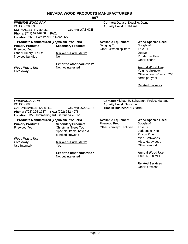|                                                                                                                                                                                                                                       | 1997                                                                                                                                                                                            |                                                                                                              |                                                                                                                                                                                                |
|---------------------------------------------------------------------------------------------------------------------------------------------------------------------------------------------------------------------------------------|-------------------------------------------------------------------------------------------------------------------------------------------------------------------------------------------------|--------------------------------------------------------------------------------------------------------------|------------------------------------------------------------------------------------------------------------------------------------------------------------------------------------------------|
| <b>GLOBAL MATERIALS</b><br>2974 S ESCONDIDO CT<br><b>RENO, NV 89502</b><br>County: WASHOE<br>Phone: (702) 826-9482<br>FAX: (702) 826-9483                                                                                             |                                                                                                                                                                                                 | Contact: Robert H. Hattrup, Treasurer<br><b>Activity Level: Full-Time</b><br>Time in Business: 6 Year(s)     |                                                                                                                                                                                                |
| <b>Products Manufactured (Top=Main Products)</b><br><b>Primary Products</b><br>Lumber, Dimension<br>" " Green Top<br>" " Air-Dried Top<br>" " Kiln-Dried Top<br>Ties, RR<br>Other Primary: Wholesale<br>Only<br><b>Wood Waste Use</b> | <b>Secondary Products</b><br>Flooring<br>Pallets<br>Other Secondary: Wholesale<br>Only<br><b>Market outside state?</b><br><b>Yes</b><br><b>Export to other countries?</b><br>No, but interested | <b>Available Equipment</b>                                                                                   | <b>Wood Species Used</b><br>Douglas-fir<br>Lodgepole Pine<br>Ponderosa Pine<br>Spruce<br>Misc. Softwoods<br>Misc. Hardwoods<br><b>Annual Wood Use</b><br>>5,000 MBF<br><b>Related Services</b> |
| <b>HARDWOOD KAFE</b><br>4755 NEVSO DR<br>LAS VEGAS, NV 89103<br>Phone: (702) 222-0432                                                                                                                                                 | <b>County: CLARK</b><br>FAX:                                                                                                                                                                    | <b>Activity Level: Full-Time</b><br>Time in Business: 6 Year(s)                                              |                                                                                                                                                                                                |
| <b>Products Manufactured (Top=Main Products)</b><br><b>Primary Products</b><br><b>Wood Waste Use</b>                                                                                                                                  | <b>Secondary Products</b><br>Cabinets Top<br>Furniture, Indoor Top<br>Moldings<br><b>Market outside state?</b><br><b>Yes</b>                                                                    | <b>Available Equipment</b><br>Planer<br><b>Trim/Cutoff Saw</b><br>Genl Wdwrkng Equip                         | <b>Wood Species Used</b><br>Cottonwood/Poplar<br>Misc. Hardwoods<br><b>Annual Wood Use</b><br><200 MBF<br><b>Related Services</b>                                                              |
|                                                                                                                                                                                                                                       | <b>Export to other countries?</b><br>No, not interested                                                                                                                                         |                                                                                                              | <b>Custom Sawing</b>                                                                                                                                                                           |
| <b>INDUSTRIAL WOOD PRODUCTS INC</b><br>PO BOX 60145<br><b>RENO, NV 89506</b><br>Phone: (702) 677-0644                                                                                                                                 | County: WASHOE<br>FAX: (702) 677-0733                                                                                                                                                           | <b>Contact: Thomas Powell, President</b><br><b>Activity Level: Full-Time</b><br>Time in Business: 17 Year(s) |                                                                                                                                                                                                |
| <b>Products Manufactured (Top=Main Products)</b><br><b>Primary Products</b><br><b>Wood Waste Use</b>                                                                                                                                  | <b>Secondary Products</b><br>Pallets Top<br><b>Market outside state?</b><br><b>No</b>                                                                                                           | <b>Available Equipment</b><br><b>Genl Wdwrkng Equip</b>                                                      | <b>Wood Species Used</b><br>Douglas-fir<br>True Fir<br>Lodgepole Pine<br>Ponderosa Pine<br>Spruce<br><b>Annual Wood Use</b><br>1,000-5,000 MBF                                                 |
|                                                                                                                                                                                                                                       |                                                                                                                                                                                                 |                                                                                                              | <b>Related Services</b><br><b>Custom Sawing</b>                                                                                                                                                |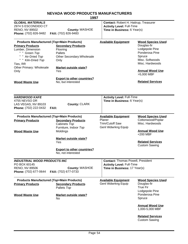|                                                  | 1 JJ 1                            |                                        |                           |
|--------------------------------------------------|-----------------------------------|----------------------------------------|---------------------------|
| <b>KEN'S FIREWOOD</b>                            |                                   | Contact: Ken Wells, Owner              |                           |
| 2580 N NELLIS BLVD                               |                                   | <b>Activity Level: Full-Time</b>       |                           |
| LAS VEGAS, NV 89115                              | <b>County: CLARK</b>              | Time in Business: 12 Year(s)           |                           |
| Phone: (702) 644-7600                            | FAX: (702) 644-7790               | E-Mail: khas@aol.com                   |                           |
| <b>Products Manufactured (Top=Main Products)</b> |                                   | <b>Available Equipment</b>             | <b>Wood Species Used</b>  |
| <b>Primary Products</b>                          | <b>Secondary Products</b>         | <b>Trim/Cutoff Saw</b>                 | Misc. Softwoods           |
|                                                  | Pallets Top                       | Genl Wdwrkng Equip                     |                           |
|                                                  |                                   |                                        | <b>Annual Wood Use</b>    |
| <b>Wood Waste Use</b>                            | <b>Market outside state?</b>      |                                        | <200 MBF                  |
| Use Internally                                   | No                                |                                        |                           |
|                                                  |                                   |                                        | <b>Related Services</b>   |
|                                                  | <b>Export to other countries?</b> |                                        | Other: custom pallet mfr. |
|                                                  | No, not interested                |                                        |                           |
| <b>KUROSH FURNITURE DESIGN &amp; MFG</b>         |                                   | Contact: Kurosh Ghoradi, Owner         |                           |
| 380 FREEPORT BLVD #18                            |                                   | <b>Activity Level: Full-Time</b>       |                           |
| <b>SPARKS, NV 89431</b>                          | County: WASHOE                    | Time in Business: 11 Year(s)           |                           |
| Phone: (702) 331-5469                            | FAX:                              |                                        |                           |
|                                                  |                                   |                                        |                           |
| <b>Products Manufactured (Top=Main Products)</b> |                                   | <b>Available Equipment</b>             | <b>Wood Species Used</b>  |
| <b>Primary Products</b>                          | <b>Secondary Products</b>         | <b>Band Resaw</b>                      | Misc. Hardwoods           |
|                                                  | Christmas Trees Top               | Planer                                 |                           |
|                                                  | Furniture, Indoor Top             | <b>Trim/Cutoff Saw</b>                 | <b>Annual Wood Use</b>    |
| <b>Wood Waste Use</b>                            |                                   | <b>Genl Wdwrkng Equip</b>              | <200 MBF                  |
| Give Away                                        | <b>Market outside state?</b>      |                                        |                           |
|                                                  | Yes                               |                                        | <b>Related Services</b>   |
|                                                  |                                   |                                        |                           |
|                                                  | <b>Export to other countries?</b> |                                        |                           |
|                                                  | No, but interested                |                                        |                           |
| <b>LOG HOMES OF THE WEST</b>                     |                                   | Contact: Ruedi K. Zimmerman, President |                           |
| PO BOX 19103                                     |                                   |                                        |                           |
| LAS VEGAS, NV 89132                              | <b>County: CLARK</b>              |                                        |                           |
| Phone: (702) 735-5647                            | FAX: (702) 875-4455               |                                        |                           |
| Location: Hwy 160, 10.5 miles W of Hwy 15 S      |                                   |                                        |                           |
| <b>Products Manufactured (Top=Main Products)</b> |                                   | <b>Available Equipment</b>             | <b>Wood Species Used</b>  |
| <b>Primary Products</b>                          | <b>Secondary Products</b>         |                                        |                           |
| House Logs                                       | Bldgs, Log/Timber                 |                                        |                           |
| Lumber, Rough                                    | Doors                             |                                        | <b>Related Services</b>   |
| " " Air-Dried Top                                | Flooring                          |                                        |                           |
| Lumber, Dimension                                | <b>Shutters</b>                   |                                        |                           |
| " " Air-Dried Top                                | Trusses/Structural                |                                        |                           |
| Poles                                            | Windows                           |                                        |                           |
| Posts                                            | Other Secondary: Wholesale        |                                        |                           |
| Other Primary: Wholesale                         | Only                              |                                        |                           |
| Only                                             |                                   |                                        |                           |

#### **Wood Waste Use**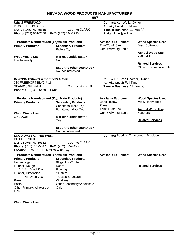|                                                                                                                                                                                          | 1997                                                                                                                                                                                                                     |                                                                                                                                                                                |                                                                                                                                                                                                                                   |
|------------------------------------------------------------------------------------------------------------------------------------------------------------------------------------------|--------------------------------------------------------------------------------------------------------------------------------------------------------------------------------------------------------------------------|--------------------------------------------------------------------------------------------------------------------------------------------------------------------------------|-----------------------------------------------------------------------------------------------------------------------------------------------------------------------------------------------------------------------------------|
| <b>MODERN CONCEPTS</b><br>71 N PECOS RD # 109<br>LAS VEGAS, NV 89101<br>Phone: (702) 459-2625                                                                                            | <b>County: CLARK</b><br>FAX: (702) 459-6365                                                                                                                                                                              | Contact: Harry Woodcock, Vice President<br><b>Activity Level: Full-Time</b><br>Time in Business: 10 Year(s)<br>E-Mail: modcon1@aol.com<br>Internet: http://www.nutone-mall.com |                                                                                                                                                                                                                                   |
| <b>Products Manufactured (Top=Main Products)</b><br><b>Primary Products</b><br><b>Wood Waste Use</b><br>Give Away                                                                        | <b>Secondary Products</b><br>Cabinets Top<br>Market outside state?<br>No.<br><b>Export to other countries?</b><br>No, not interested                                                                                     | <b>Available Equipment</b><br><b>Trim/Cutoff Saw</b><br>Genl Wdwrkng Equip                                                                                                     | <b>Wood Species Used</b><br>Douglas-fir<br>Pinyon Pine<br>Ponderosa Pine<br><b>Annual Wood Use</b><br><200 MBF<br><b>Related Services</b><br>Other: custom cabinet mfr.                                                           |
| <b>N L DIANDA &amp; SONS MFG</b><br>1050 S 21ST<br><b>SPARKS, NV 89431</b><br>Phone: (702) 786-2677                                                                                      | County: WASHOE<br>FAX: (702) 786-5136                                                                                                                                                                                    | Contact: Barry L. Phipps, Shop Manager<br><b>Activity Level: Full-Time</b>                                                                                                     |                                                                                                                                                                                                                                   |
| <b>Products Manufactured (Top=Main Products)</b><br><b>Primary Products</b><br><b>Wood Waste Use</b>                                                                                     | <b>Secondary Products</b><br>Cabinets Top<br>Doors Top<br>Moldings Top                                                                                                                                                   | <b>Available Equipment</b><br><b>Genl Wdwrkng Equip</b>                                                                                                                        | <b>Wood Species Used</b><br>Cottonwood/Poplar<br>Douglas-fir<br>Ponderosa Pine<br>Misc. Hardwoods                                                                                                                                 |
| Give Away                                                                                                                                                                                | <b>Market outside state?</b><br>No.<br><b>Export to other countries?</b><br>No, but interested                                                                                                                           |                                                                                                                                                                                | <b>Annual Wood Use</b><br><200 MBF<br><b>Related Services</b><br><b>Custom Sawing</b><br><b>Custom Planing</b><br>Other: custom millwork<br>mfr.                                                                                  |
| <b>NEVADA WOOD PRESERVING</b><br>PO BOX 350<br>SILVER SPRINGS, NV 89429<br>County: LYON<br>Phone: (702) 577-2000<br>FAX: (702) 577-9045<br>Location: 1680 Spruce Ave, Silver Springs, NV |                                                                                                                                                                                                                          | <b>Contact: Sharron Wilson, General Manager</b><br><b>Activity Level: Full-Time</b><br>Time in Business: 6 Year(s)                                                             |                                                                                                                                                                                                                                   |
| <b>Products Manufactured (Top=Main Products)</b><br><b>Primary Products</b><br>Poles<br>Posts<br>Timbers<br><b>Wood Waste Use</b><br>Sell                                                | <b>Secondary Products</b><br>Bldgs, Pole<br>Fencing<br>Treated Wood Top<br>Specialty Items: guard rail &<br>sign posts<br><b>Market outside state?</b><br>Yes<br><b>Export to other countries?</b><br>No, but interested | <b>Available Equipment</b><br>Debarker<br>Pressure Trtng Eq<br><b>Trim/Cutoff Saw</b><br><b>Genl Wdwrkng Equip</b><br>Other: forklifts                                         | <b>Wood Species Used</b><br>Douglas-fir<br>Lodgepole Pine<br>Ponderosa Pine<br>Misc. Softwoods<br><b>Annual Wood Use</b><br>1,000-5,000 MBF<br><b>Related Services</b><br><b>Custom Sawing</b><br>Other: preservative<br>treating |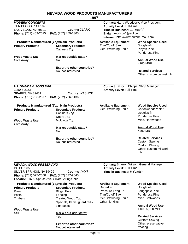|                                                                                                                                                    | 1 JJ 1                                                                                                                                                                                                                                                     |                                                                                                          |                                                                                                                                                                                                                                       |  |
|----------------------------------------------------------------------------------------------------------------------------------------------------|------------------------------------------------------------------------------------------------------------------------------------------------------------------------------------------------------------------------------------------------------------|----------------------------------------------------------------------------------------------------------|---------------------------------------------------------------------------------------------------------------------------------------------------------------------------------------------------------------------------------------|--|
| <b>NEVADA WOODWORKERS</b><br>35 N EDISON WAY #19<br><b>RENO, NV 89502</b><br>County: WASHOE<br>Phone: (702) 856-3131<br>FAX: (702) 856-3131        |                                                                                                                                                                                                                                                            | Contact: Orville Lang, Office Manager<br><b>Activity Level: Full-Time</b><br>Time in Business: 5 Year(s) |                                                                                                                                                                                                                                       |  |
| <b>Primary Products</b><br><b>Wood Waste Use</b><br><b>Most Landfilled</b>                                                                         | <b>Products Manufactured (Top=Main Products)</b><br><b>Secondary Products</b><br>Cabinets Top<br>Furniture, Indoor Top<br>Specialty Items: media centers<br><b>Market outside state?</b><br>Yes<br><b>Export to other countries?</b><br>No, not interested | <b>Available Equipment</b><br>Genl Wdwrkng Equip                                                         | <b>Wood Species Used</b><br>Cottonwood/Poplar<br>Douglas-fir<br>Ponderosa Pine<br>Misc. Softwoods<br>Misc. Hardwoods<br><b>Annual Wood Use</b><br>Volume Unknown<br>Other amounts/units: 20<br>units $(?)$<br><b>Related Services</b> |  |
| <b>NEW FACES CABINETRY INC</b><br>637 DUNN CIR<br><b>SPARKS, NV 89431</b><br><b>County: WASHOE</b><br>Phone: (702) 331-5008<br>FAX: (702) 331-5448 |                                                                                                                                                                                                                                                            | Contact: Ed Arias, Owner<br><b>Activity Level: Full-Time</b><br>Time in Business: 12 Year(s)             |                                                                                                                                                                                                                                       |  |
| <b>Primary Products</b><br><b>Wood Waste Use</b>                                                                                                   | <b>Products Manufactured (Top=Main Products)</b><br><b>Secondary Products</b><br>Cabinets Top<br>Furniture, Indoor Top<br><b>Market outside state?</b><br>No<br><b>Export to other countries?</b><br>No, not interested                                    | <b>Available Equipment</b><br>Planer<br><b>Trim/Cutoff Saw</b><br>Genl Wdwrkng Equip                     | <b>Wood Species Used</b><br>Misc. Softwoods<br>Misc. Hardwoods<br><b>Annual Wood Use</b><br>200-500 MBF<br><b>Related Services</b>                                                                                                    |  |
| <b>OUT WEST STAIR CO.</b><br>PO BOX 956<br>GARDNERVILLE, NV 89410<br>Phone: (702) 782-7821<br>Location: 2107 Fish Springs Rd, Gardnerville, NV     | <b>County: DOUGLAS</b><br>FAX: (702) 782-8371                                                                                                                                                                                                              | Contact: Dana Ayler, Owner<br><b>Activity Level: Full-Time</b><br>Time in Business: 25 Year(s)           |                                                                                                                                                                                                                                       |  |
| <b>Primary Products</b><br>Poles<br>Posts                                                                                                          | <b>Products Manufactured (Top=Main Products)</b><br><b>Secondary Products</b><br>Cabinets Top<br>Doors Top<br>Specialty Items: stairs                                                                                                                      | <b>Available Equipment</b><br><b>Band Resaw</b><br>Planer<br>Genl Wdwrkng Equip                          | <b>Wood Species Used</b><br>Lodgepole Pine<br>Misc. Softwoods<br>Misc. Hardwoods<br><b>Annual Wood Use</b>                                                                                                                            |  |
| <b>Wood Waste Use</b><br>Sell                                                                                                                      | <b>Market outside state?</b><br>Yes<br><b>Export to other countries?</b><br>No, but interested                                                                                                                                                             |                                                                                                          | <200 MBF<br><b>Related Services</b><br><b>Custom Planing</b><br>Other: custom<br>manufacturer                                                                                                                                         |  |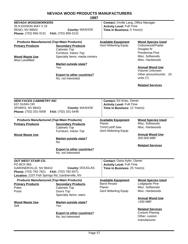|                                                                                                                                                                                                 | 1997                                                                                                              |                                                                                                              |                                                                                                    |  |
|-------------------------------------------------------------------------------------------------------------------------------------------------------------------------------------------------|-------------------------------------------------------------------------------------------------------------------|--------------------------------------------------------------------------------------------------------------|----------------------------------------------------------------------------------------------------|--|
| <b>PALLET SERVICES CO</b><br>1580 KLEPPE ST<br><b>SPARKS, NV 89431</b><br><b>County: WASHOE</b><br>FAX: (209) 562-1022<br>Phone: (800) 821-8832<br>Location: Also PO BOX 790, LINDSAY, CA 93247 |                                                                                                                   | <b>Contact: Mike Anderson, President</b><br><b>Activity Level: Full-Time</b><br>Time in Business: 15 Year(s) |                                                                                                    |  |
| <b>Products Manufactured (Top=Main Products)</b><br><b>Primary Products</b>                                                                                                                     | <b>Secondary Products</b><br>Pallets Top                                                                          | <b>Available Equipment</b><br><b>Band Resaw</b><br><b>Trim/Cutoff Saw</b><br>Genl Wdwrkng Equip              | <b>Wood Species Used</b><br>Douglas-fir<br>True Fir<br>Ponderosa Pine                              |  |
| <b>Wood Waste Use</b><br>Give Away                                                                                                                                                              | <b>Market outside state?</b><br>Yes                                                                               |                                                                                                              | Spruce<br>Misc. Hardwoods                                                                          |  |
|                                                                                                                                                                                                 | <b>Export to other countries?</b><br>No, but interested                                                           |                                                                                                              | <b>Annual Wood Use</b><br>500-1,000 MBF                                                            |  |
|                                                                                                                                                                                                 |                                                                                                                   |                                                                                                              | <b>Related Services</b><br>Other: pallet mfr.                                                      |  |
| <b>PICTON CUSTOM WOODWORKS</b>                                                                                                                                                                  |                                                                                                                   |                                                                                                              |                                                                                                    |  |
| 3170 N DEER RUN RD #4<br>CARSON CITY, NV 89701<br>Phone: (702) 883-1231                                                                                                                         | <b>County: DOUGLAS</b><br>FAX: (702) 883-1231                                                                     | Contact: E.D. Picton, Owner<br><b>Activity Level: Full-Time</b><br>Time in Business: 12 Year(s)              |                                                                                                    |  |
| <b>Products Manufactured (Top=Main Products)</b>                                                                                                                                                |                                                                                                                   | <b>Available Equipment</b>                                                                                   | <b>Wood Species Used</b>                                                                           |  |
| <b>Primary Products</b><br><b>Wood Waste Use</b><br>Give Away                                                                                                                                   | <b>Secondary Products</b><br>Cabinets Top<br>Doors Top<br>Furniture, Indoor Top<br>Furniture, Outdoor<br>Moldings | <b>Genl Wdwrkng Equip</b>                                                                                    | Cottonwood/Poplar<br>Douglas-fir<br>Misc. Hardwoods<br><b>Annual Wood Use</b><br><200 MBF          |  |
|                                                                                                                                                                                                 | <b>Market outside state?</b><br>No                                                                                |                                                                                                              | <b>Related Services</b><br><b>Custom Sawing</b><br><b>Custom Planing</b>                           |  |
|                                                                                                                                                                                                 | <b>Export to other countries?</b><br>No, not interested                                                           |                                                                                                              |                                                                                                    |  |
| <b>PUEBLOS SOUTHWEST FURNITURE</b><br>9301 HOLLYCREST DR.<br>LAS VEGAS, NV 89117<br>Phone: (702) 222-3655                                                                                       | <b>County: CLARK</b><br>FAX:                                                                                      | Contact: Erwin Paniagua, Owner<br><b>Activity Level: Full-Time</b><br>Time in Business: 2 Year(s)            |                                                                                                    |  |
| Location: 4504 W Diablo #110, Las Vegas, NV                                                                                                                                                     |                                                                                                                   |                                                                                                              |                                                                                                    |  |
| <b>Products Manufactured (Top=Main Products)</b><br><b>Primary Products</b><br>Poles<br>Veneer                                                                                                  | <b>Secondary Products</b><br>Cabinets Top<br>Furniture, Indoor Top                                                | <b>Available Equipment</b><br><b>Trim/Cutoff Saw</b><br><b>Genl Wdwrkng Equip</b>                            | <b>Wood Species Used</b><br><b>True Fir</b><br>Lodgepole Pine<br>Ponderosa Pine<br>Misc. Softwoods |  |
| <b>Wood Waste Use</b><br>Give Away                                                                                                                                                              | <b>Market outside state?</b><br>No.                                                                               |                                                                                                              | <b>Annual Wood Use</b><br><200 MBF                                                                 |  |
|                                                                                                                                                                                                 | <b>Export to other countries?</b><br>No, not interested                                                           |                                                                                                              | <b>Related Services</b><br>Other: furniture mfr.                                                   |  |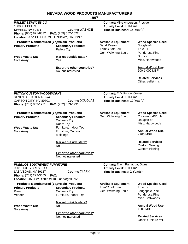|                                                                                                                                                                                                                            | 1997                                                                                                 |                                                                                                                         |                                                                                                                  |
|----------------------------------------------------------------------------------------------------------------------------------------------------------------------------------------------------------------------------|------------------------------------------------------------------------------------------------------|-------------------------------------------------------------------------------------------------------------------------|------------------------------------------------------------------------------------------------------------------|
| <b>RL TOMALAS CUSTOM CABINETS</b><br><b>1111 MILL ST</b><br><b>County: DOUGLAS</b><br>GARDNERVILLE, NV 89410<br>Phone: (702) 782-7610  FAX: (702) 782-7610<br>Location: 3 blocks W of Hwy 395 on Mill St, Gardnerville, NV |                                                                                                      | Contact: Raymond L. Tomalas, Owner<br><b>Activity Level: Full-Time</b><br>Time in Business: 8 Year(s)                   |                                                                                                                  |
| <b>Products Manufactured (Top=Main Products)</b><br><b>Primary Products</b><br><b>Wood Waste Use</b>                                                                                                                       | <b>Secondary Products</b><br>Cabinets Top<br>Doors<br>Furniture, Indoor                              | <b>Available Equipment</b><br>Planer<br><b>Trim/Cutoff Saw</b><br><b>Genl Wdwrkng Equip</b>                             | <b>Wood Species Used</b><br>Cottonwood/Poplar<br>Ponderosa Pine<br>Misc. Hardwoods                               |
| Use Internally                                                                                                                                                                                                             | Moldings                                                                                             |                                                                                                                         | <b>Annual Wood Use</b><br><200 MBF                                                                               |
|                                                                                                                                                                                                                            | <b>Market outside state?</b><br><b>No</b><br><b>Export to other countries?</b><br>No, not interested |                                                                                                                         | <b>Related Services</b>                                                                                          |
| <b>RBA CORP</b><br>2255 RENAISSANCE DR<br>LAS VEGAS, NV 89119<br><b>County: CLARK</b><br>FAX: (702) 798-4865<br>Phone: (702) 795-7945                                                                                      |                                                                                                      | <b>Contact: Richard Baade, Development Director</b><br><b>Activity Level: Full-Time</b><br>Time in Business: 50 Year(s) |                                                                                                                  |
| <b>Products Manufactured (Top=Main Products)</b>                                                                                                                                                                           |                                                                                                      | <b>Available Equipment</b>                                                                                              | <b>Wood Species Used</b>                                                                                         |
| <b>Primary Products</b><br>Lumber, Dimension<br>" " Air-Dried Top<br>" " Kiln-Dried Top<br>Veneer                                                                                                                          | <b>Secondary Products</b><br>Cabinets<br>Doors<br>Moldings<br>Paneling<br><b>Shutters</b><br>Windows | Edger<br>Finger Jointer<br>Planer<br>Genl Wdwrkng Equip                                                                 | Aspen<br>Douglas-fir<br>Ponderosa Pine<br>Spruce<br>Misc. Hardwoods<br>Other: walnut, cherry,<br>birch, mahogany |
| <b>Wood Waste Use</b>                                                                                                                                                                                                      | <b>Market outside state?</b><br>Yes                                                                  |                                                                                                                         | <b>Annual Wood Use</b><br>500-1,000 MBF                                                                          |
|                                                                                                                                                                                                                            | <b>Export to other countries?</b><br>No, not interested                                              |                                                                                                                         | <b>Related Services</b><br>Other: millwork, cabinet<br>mfr.                                                      |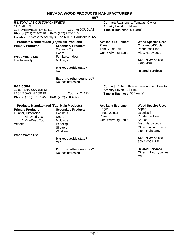| 1997                                                                                                                                                                                                    |                                                                                                                                                                                                                   |                                                                                                           |                                                                                                                                                                                                                                                                                         |  |  |
|---------------------------------------------------------------------------------------------------------------------------------------------------------------------------------------------------------|-------------------------------------------------------------------------------------------------------------------------------------------------------------------------------------------------------------------|-----------------------------------------------------------------------------------------------------------|-----------------------------------------------------------------------------------------------------------------------------------------------------------------------------------------------------------------------------------------------------------------------------------------|--|--|
| <b>RENO CUSTOM CRATING</b><br>2360 VALLEY RD<br><b>RENO, NV 89512</b><br>County: WASHOE<br>Phone: (702) 329-1500    FAX: (702) 786-8496<br>Location: Wells Ave I-80 exit, L on Sadlier Way, R on Valley |                                                                                                                                                                                                                   | Contact: Gordon F. Geffert, President<br><b>Activity Level: Full-Time</b><br>Time in Business: 22 Year(s) |                                                                                                                                                                                                                                                                                         |  |  |
| <b>Products Manufactured (Top=Main Products)</b><br><b>Primary Products</b><br><b>Wood Waste Use</b>                                                                                                    | <b>Secondary Products</b><br><b>Boxes</b><br>Pallets<br>Specialty Items: wood<br>fabrications<br>Other Secondary: crates<br><b>Market outside state?</b><br>Yes<br><b>Export to other countries?</b><br>Yes       | <b>Available Equipment</b><br><b>Genl Wdwrkng Equip</b>                                                   | <b>Wood Species Used</b><br>Douglas-fir<br>Misc. Softwoods<br>Other: oak<br><b>Annual Wood Use</b><br>Volume Unknown<br><b>Related Services</b><br><b>Custom Sawing</b><br>Other: custom crating                                                                                        |  |  |
| <b>RONEY WOODWORKING</b><br>919 INCLINE WAY # 27<br>County: WASHOE<br>INCLINE VILLAGE, NV 89451<br>Phone: (702) 831-1821<br>FAX:                                                                        |                                                                                                                                                                                                                   | <b>Contact: Emmett Roney, Owner</b><br><b>Activity Level: Full-Time</b><br>Time in Business: 6 Year(s)    |                                                                                                                                                                                                                                                                                         |  |  |
| <b>Products Manufactured (Top=Main Products)</b><br><b>Primary Products</b><br><b>Wood Waste Use</b><br>Give Away                                                                                       | <b>Secondary Products</b><br>Bldgs, Pole<br>Cabinets Top<br>Doors<br>Flooring<br>Furniture, Indoor Top<br>Furniture, Outdoor<br>Moldings<br>Specialty Items: custom<br>woodworking<br>Market outside state?<br>No | <b>Available Equipment</b><br>Planer<br><b>Trim/Cutoff Saw</b><br>Genl Wdwrkng Equip                      | <b>Wood Species Used</b><br>Douglas-fir<br><b>True Fir</b><br>Lodgepole Pine<br>Pinyon Pine<br>Ponderosa Pine<br>Misc. Softwoods<br>Misc. Hardwoods<br>Other: purpleheart,<br>exotics, etc.<br><b>Annual Wood Use</b><br><200 MBF<br><b>Related Services</b><br>Other: furniture mfr. & |  |  |
|                                                                                                                                                                                                         | <b>Export to other countries?</b><br>No, but interested                                                                                                                                                           |                                                                                                           | construction                                                                                                                                                                                                                                                                            |  |  |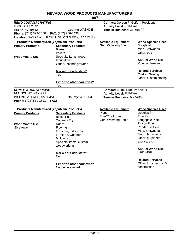| <b>SIERRA WOODWORKS</b>                           |                                                  | Contact: Rob Walsh, Owner        |                          |  |
|---------------------------------------------------|--------------------------------------------------|----------------------------------|--------------------------|--|
| 572 REACTOR WAY                                   |                                                  | <b>Activity Level: Full-Time</b> |                          |  |
| RENO, NV 89502                                    | <b>County: WASHOE</b>                            | Time in Business: 4 Year(s)      |                          |  |
| Phone: (702) 856-1415                             | FAX: (702) 856-1416                              |                                  |                          |  |
| <b>Products Manufactured (Top=Main Products)</b>  |                                                  | <b>Available Equipment</b>       | <b>Wood Species Used</b> |  |
| <b>Primary Products</b>                           | <b>Secondary Products</b>                        | <b>Trim/Cutoff Saw</b>           | Douglas-fir              |  |
|                                                   | Cabinets Top                                     | <b>Genl Wdwrkng Equip</b>        | <b>True Fir</b>          |  |
|                                                   | Doors Top                                        |                                  | Ponderosa Pine           |  |
| <b>Wood Waste Use</b>                             | Furniture, Indoor                                |                                  | Misc. Hardwoods          |  |
| <b>Most Landfilled</b>                            | Moldings Top                                     |                                  |                          |  |
|                                                   |                                                  |                                  | <b>Annual Wood Use</b>   |  |
|                                                   | <b>Market outside state?</b>                     |                                  | <200 MBF                 |  |
|                                                   | <b>No</b>                                        |                                  |                          |  |
|                                                   |                                                  |                                  | <b>Related Services</b>  |  |
|                                                   | <b>Export to other countries?</b>                |                                  | Other: cabinets          |  |
|                                                   | No, not interested                               |                                  |                          |  |
| <b>WESTERN WOOD PRODUCTS</b>                      |                                                  | Contact: Boyd Applegate, Owner   |                          |  |
| 3432 N BRUCE ST #7                                |                                                  | <b>Activity Level: Full-Time</b> |                          |  |
| NORTH LAS VEGAS, NV 89030<br><b>County: CLARK</b> |                                                  | Time in Business: 1 Year(s)      |                          |  |
| Phone: (702) 399-7346  FAX: (702) 642-4018        |                                                  |                                  |                          |  |
|                                                   | <b>Products Manufactured (Top=Main Products)</b> | <b>Available Equipment</b>       | <b>Wood Species Used</b> |  |
| <b>Primary Products</b>                           | <b>Secondary Products</b>                        | <b>Band Resaw</b>                | Aspen                    |  |
| Lumber, Rough                                     | Fencing                                          | Circular Headrig                 | Douglas-fir              |  |
| " " Green Top                                     | Pallets                                          | Portable Sawmill                 | Ponderosa Pine           |  |
| Lumber, Dimension                                 | <b>Trusses/Structural</b>                        | Sash Gang Saw                    | Spruce                   |  |
| " " Green Top                                     | Specialty Items: pipe stickers                   | <b>Trim/Cutoff Saw</b>           |                          |  |
|                                                   |                                                  |                                  | <b>Annual Wood Use</b>   |  |
|                                                   | <b>Market outside state?</b>                     |                                  | <200 MBF                 |  |
| <b>Wood Waste Use</b>                             | Yes                                              |                                  |                          |  |
|                                                   |                                                  |                                  | <b>Related Services</b>  |  |
|                                                   | <b>Export to other countries?</b>                |                                  | <b>Custom Sawing</b>     |  |
|                                                   | No, but interested                               |                                  | <b>Custom Planing</b>    |  |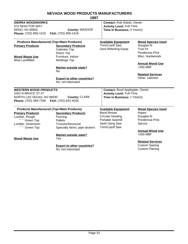**PRODUCTS MANUFACTURED** — Included below are alphabetized lists of manufacturers arranged by the products they make. Businesses are listed by state first and then alphabetically.

## **Primary Products — Chips**

B & B Lumber Products, Sun Valley, NV Cascade Mtn Resources, Wellington, UT Dingman Lumber Co, Huntington, UT Fishlake Lumber Co, Beaver, UT Frontier Lumber, Lapoint, UT James Petersen Logging Inc, Kanab, UT LMCC Inc, Centerville, UT Simper Lumber Co, Vernal, UT Standard Wood Supply, Salt Lake City, UT Stoltze Aspen Mills, Sigurd, UT Utah Forest Products, Escalante, UT

#### **Primary Products — Firewood**

B & B Lumber Products, Sun Valley, NV Fireside Wood Pak, Sun Valley, NV Firewood Farm, Gardnerville, NV Blazzard Lumber Co Inc, Kamas, UT Calders Forest Products, Vernal, UT Campfire Wood Products, Bicknell, UT Custom Firewood, Logan, UT Dingman Lumber Co, Huntington, UT Frontier Lumber, Lapoint, UT Heber Valley Log & Lumber LLC, Heber City, UT James Petersen Logging Inc, Kanab, UT LMCC Inc, Centerville, UT Northrop Log Homes, Riverton, UT Simper Lumber Co, Vernal, UT Standard Wood Supply, Salt Lake City, UT Stoltze Aspen Mills, Sigurd, UT Timber Products Inc, La Sal, UT Torgerson Timber Inc, Bicknell, UT Wasatch Timber Products, Pleasant Grove, UT Welch Sawmill, Hyrum, UT

## **Primary Products — House Logs**

Log Homes of The West, Las Vegas, NV Bear River Log Homes, Hyde Park, UT Bear River Log Homes, Ogden, UT Blazzard Lumber Co Inc, Kamas, UT Calders Forest Products, Vernal, UT Frontier Lumber, Lapoint, UT Heber Valley Log & Lumber LLC, Heber City, UT James Petersen Logging Inc, Kanab, UT Mountain Valley Log Homes Inc, Heber City, UT Mountain Woodworks, Park City, UT Northrop Log Homes, Riverton, UT Simper Lumber Co, Vernal, UT Thousand Lake Lumber, Log Home, Lyman, UT Timber Products Inc, La Sal, UT Timberline Mfg Inc, Salt Lake City, UT Torgerson Timber Inc, Bicknell, UT Utah Forest Products, Escalante, UT Wasatch Timber Products, Pleasant Grove, UT Welch Sawmill, Hyrum, UT

# **Primary Products — Lumber, Rough**

Log Homes of The West, Las Vegas, NV Western Wood Products, North Las Vegas, NV Bear River Log Homes, Ogden, UT Blazzard Lumber Co Inc, Kamas, UT Calders Forest Products, Vernal, UT Cascade Mtn Resources, Wellington, UT Custom Firewood, Logan, UT Dingman Lumber Co, Huntington, UT Fishlake Lumber Co, Beaver, UT Fit Rite Wood Products, Salem, UT Frontier Lumber, Lapoint, UT Hansen Lumber Co, Fairview, UT Heber Valley Log & Lumber LLC, Heber City, UT James Petersen Logging Inc, Kanab, UT Leavitt Lumber Co, Kamas, UT Mountain Valley Log Homes Inc, Heber City, UT Northrop Log Homes, Riverton, UT One Good Turn, Murray, UT Rex's Forest Products, Centerville, UT Simper Lumber Co, Vernal, UT Stoltze Aspen Mills, Sigurd, UT Thousand Lake Lumber, Log Home, Lyman, UT Timber Products Inc, La Sal, UT Timberline Mfg Inc, Salt Lake City, UT Torgerson Timber Inc, Bicknell, UT Urban Hardwood Products, Logan, UT Utah Forest Products, Escalante, UT Wasatch Timber Products, Pleasant Grove, UT Welch Sawmill, Hyrum, UT

## **Primary Products — Lumber, Rough, Green**

Western Wood Products, North Las Vegas, NV Blazzard Lumber Co Inc, Kamas, UT Calders Forest Products, Vernal, UT Custom Firewood, Logan, UT Dingman Lumber Co, Huntington, UT Fishlake Lumber Co, Beaver, UT Hansen Lumber Co, Fairview, UT Heber Valley Log & Lumber LLC, Heber City, UT James Petersen Logging Inc, Kanab, UT Mountain Valley Log Homes Inc, Heber City, UT Northrop Log Homes, Riverton, UT One Good Turn, Murray, UT Rex's Forest Products, Centerville, UT Simper Lumber Co, Vernal, UT Stoltze Aspen Mills, Sigurd, UT Timber Products Inc, La Sal, UT Torgerson Timber Inc, Bicknell, UT Urban Hardwood Products, Logan, UT Utah Forest Products, Escalante, UT Wasatch Timber Products, Pleasant Grove, UT Welch Sawmill, Hyrum, UT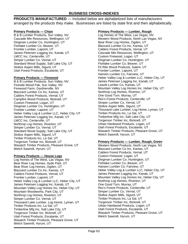# **Primary Products — Lumber, Rough, Air-Dried**

Log Homes of The West, Las Vegas, NV Blazzard Lumber Co Inc, Kamas, UT Calders Forest Products, Vernal, UT Cascade Mtn Resources, Wellington, UT Dingman Lumber Co, Huntington, UT Fishlake Lumber Co, Beaver, UT Fit Rite Wood Products, Salem, UT Frontier Lumber, Lapoint, UT Hansen Lumber Co, Fairview, UT Heber Valley Log & Lumber LLC, Heber City, UT James Petersen Logging Inc, Kanab, UT Leavitt Lumber Co, Kamas, UT Mountain Valley Log Homes Inc, Heber City, UT One Good Turn, Murray, UT Rex's Forest Products, Centerville, UT Simper Lumber Co, Vernal, UT Stoltze Aspen Mills, Sigurd, UT Thousand Lake Lumber, Log Home, Lyman, UT Timber Products Inc, La Sal, UT Torgerson Timber Inc, Bicknell, UT Urban Hardwood Products, Logan, UT Utah Forest Products, Escalante, UT Wasatch Timber Products, Pleasant Grove, UT Welch Sawmill, Hyrum, UT

#### **Primary Products — Lumber, Dimension**

Global Materials, Reno, NV Log Homes of The West, Las Vegas, NV RBA Corp, Las Vegas, NV Western Wood Products, North Las Vegas, NV Blazzard Lumber Co Inc, Kamas, UT Dingman Lumber Co, Huntington, UT Fit Rite Wood Products, Salem, UT Heber Valley Log & Lumber LLC, Heber City, UT Huetter Mill & Cabinet Co, Murray, UT James Petersen Logging Inc, Kanab, UT Leavitt Lumber Co, Kamas, UT Mountain Valley Log Homes Inc, Heber City, UT One Good Turn, Murray, UT Rex's Forest Products, Centerville, UT Simper Lumber Co, Vernal, UT Thousand Lake Lumber, Log Home, Lyman, UT Timber Products Inc, La Sal, UT Torgerson Timber Inc, Bicknell, UT Uintah Planing Mill, Heber City, UT Urban Hardwood Products, Logan, UT Utah Forest Products, Escalante, UT Welch Sawmill, Hyrum, UT

## **Primary Products — Lumber, Dimension, Green**

Global Materials, Reno, NV Western Wood Products, North Las Vegas, NV Dingman Lumber Co, Huntington, UT Heber Valley Log & Lumber LLC, Heber City, UT James Petersen Logging Inc, Kanab, UT One Good Turn, Murray, UT Rex's Forest Products, Centerville, UT Timber Products Inc, La Sal, UT

Torgerson Timber Inc, Bicknell, UT Welch Sawmill, Hyrum, UT

### **Primary Products — Lumber, Dimension, Air-Dried**

Global Materials, Reno, NV Log Homes of The West, Las Vegas, NV RBA Corp, Las Vegas, NV Blazzard Lumber Co Inc, Kamas, UT Dingman Lumber Co, Huntington, UT Heber Valley Log & Lumber LLC, Heber City, UT James Petersen Logging Inc, Kanab, UT Leavitt Lumber Co, Kamas, UT Mountain Valley Log Homes Inc, Heber City, UT One Good Turn, Murray, UT Rex's Forest Products, Centerville, UT Simper Lumber Co, Vernal, UT Thousand Lake Lumber, Log Home, Lyman, UT Timber Products Inc, La Sal, UT Torgerson Timber Inc, Bicknell, UT Utah Forest Products, Escalante, UT Welch Sawmill, Hyrum, UT

#### **Primary Products —Lumber, Dimension, Kiln-Dried**

Global Materials, Reno, NV RBA Corp, Las Vegas, NV Fit Rite Wood Products, Salem, UT Huetter Mill & Cabinet Co, Murray, UT Mountain Valley Log Homes Inc, Heber City, UT One Good Turn, Murray, UT Urban Hardwood Products, Logan, UT

## **Primary Products — Mine Props**

Blazzard Lumber Co Inc, Kamas, UT Calders Forest Products, Vernal, UT Frontier Lumber, Lapoint, UT James Petersen Logging Inc, Kanab, UT Leavitt Lumber Co, Kamas, UT Simper Lumber Co, Vernal, UT Timber Products Inc, La Sal, UT Torgerson Timber Inc, Bicknell, UT Welch Sawmill, Hyrum, UT

# **Primary Products — Poles**

Log Homes of The West, Las Vegas, NV Nevada Wood Preserving, Silver Springs, NV Out West Stair Co., Gardnerville, NV Pueblos Southwest Furniture, Las Vegas, NV Blazzard Lumber Co Inc, Kamas, UT Calders Forest Products, Vernal, UT Campfire Wood Products, Bicknell, UT Custom Firewood, Logan, UT Fishlake Lumber Co, Beaver, UT Frontier Lumber, Lapoint, UT Heber Valley Log & Lumber LLC, Heber City, UT James Petersen Logging Inc, Kanab, UT Northrop Log Homes, Riverton, UT Standard Wood Supply, Salt Lake City, UT Timber Products Inc, La Sal, UT Timberline Mfg Inc, Salt Lake City, UT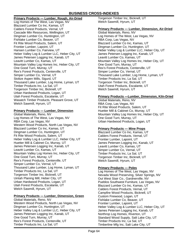Torgerson Timber Inc, Bicknell, UT Wasatch Timber Products, Pleasant Grove, UT

#### **Primary Products — Posts**

Log Homes of The West, Las Vegas, NV Nevada Wood Preserving, Silver Springs, NV Out West Stair Co., Gardnerville, NV Bear River Log Homes, Ogden, UT Blazzard Lumber Co Inc, Kamas, UT Calders Forest Products, Vernal, UT Campfire Wood Products, Bicknell, UT Custom Firewood, Logan, UT Fishlake Lumber Co, Beaver, UT Frontier Lumber, Lapoint, UT Heber Valley Log & Lumber LLC, Heber City, UT James Petersen Logging Inc, Kanab, UT Northrop Log Homes, Riverton, UT Simper Lumber Co, Vernal, UT Standard Wood Supply, Salt Lake City, UT Timber Products Inc, La Sal, UT Timberline Mfg Inc, Salt Lake City, UT Wasatch Timber Products, Pleasant Grove, UT

## **Primary Products — Ties, Railroad**

Global Materials, Reno, NV Custom Firewood, Logan, UT James Petersen Logging Inc, Kanab, UT Leavitt Lumber Co, Kamas, UT Simper Lumber Co, Vernal, UT Timber Products Inc, La Sal, UT Welch Sawmill, Hyrum, UT

## **Primary Products — Timbers**

Nevada Wood Preserving, Silver Springs, NV Bear River Log Homes, Ogden, UT Blazzard Lumber Co Inc, Kamas, UT Custom Firewood, Logan, UT Dingman Lumber Co, Huntington, UT Fishlake Lumber Co, Beaver, UT Frontier Lumber, Lapoint, UT Heber Valley Log & Lumber LLC, Heber City, UT James Petersen Logging Inc, Kanab, UT Leavitt Lumber Co, Kamas, UT Northrop Log Homes, Riverton, UT Rex's Forest Products, Centerville, UT Simper Lumber Co, Vernal, UT Stoltze Aspen Mills, Sigurd, UT Thousand Lake Lumber, Log Home, Lyman, UT Timber Products Inc, La Sal, UT Timberline Mfg Inc, Salt Lake City, UT Torgerson Timber Inc, Bicknell, UT Wasatch Timber Products, Pleasant Grove, UT Welch Sawmill, Hyrum, UT

## **Primary Products — Veneer**

Custom Cabinet Interiors, Reno, NV Pueblos Southwest Furniture, Las Vegas, NV RBA Corp, Las Vegas, NV

# **Primary Products — Other**

Fireside Wood Pak, Sun Valley, NV Fieldcrest Cabinet/White Flame, Clearfield, UT Fishlake Lumber Co, Beaver, UT Mack Roundy Logging, Glendale, UT Mountain Valley Log Homes Inc, Heber City, UT Mountain Woodworks, Park City, UT Uintah Planing Mill, Heber City, UT Wasatch Timber Products, Pleasant Grove, UT

## **Secondary Products — Boxes**

Barry Bennallack Woodworks, Las Vegas, NV Reno Custom Crating, Reno, NV Bowen Enterprises, Ogden, UT Boxer Inc, The, Salt Lake City, UT Enable Industries Inc, Ogden, UT Lane Hughes Woodworking, Salt Lake City, UT LMCC Inc, Centerville, UT Prestwich Pallet Co, Springville, UT Urban Forest Woodworks, Logan, UT Urban Hardwood Products, Logan, UT World Wide Packaging & Crating, Clearfield, UT

# **Secondary Products — Buildings, Log/Timber**

Log Homes of The West, Las Vegas, NV Alpha West Log Homes, St George, UT American Timbercraft Homes, Ogden, UT Bear River Log Homes, Hyde Park, UT Calders Forest Products, Vernal, UT Heber Valley Log & Lumber LLC, Heber City, UT J A Norton Construction, Woodland, UT Mountain Valley Log Homes Inc, Heber City, UT Mountain Woodworks, Park City, UT Northrop Log Homes, Riverton, UT Thousand Lake Lumber, Log Home, Lyman, UT Timberline Mfg Inc, Salt Lake City, UT Wasatch Timber Products, Pleasant Grove, UT

# **Secondary Products — Buildings, Pole**

Nevada Wood Preserving, Silver Springs, NV Roney Woodworking, Incline Village, NV Calders Forest Products, Vernal, UT J A Norton Construction, Woodland, UT Northrop Log Homes, Riverton, UT Wasatch Timber Products, Pleasant Grove, UT

# **Secondary Products — Cabinets**

B & C Cabinets & Millwork, Reno, NV Barry Bennallack Woodworks, Las Vegas, NV Capital Cabinet Corp, North Las Vegas, NV Castle Cabinets Inc, Las Vegas, NV Closet Pro of Reno Inc, Sparks, NV Custom 32 Inc, Reno, NV Custom Cabinet Interiors, Reno, NV Desert Woodworking Inc, Las Vegas, NV Elite Cabinet Co, Las Vegas, NV Hardwood Kafe, Las Vegas, NV Modern Concepts, Las Vegas, NV N L Dianda & Sons Mfg, Sparks, NV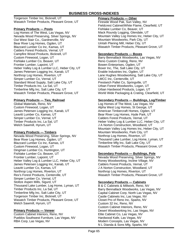Nevada Woodworkers, Reno, NV New Faces Cabinetry Inc, Sparks, NV Out West Stair Co., Gardnerville, NV Picton Custom Woodworks, Carson City, NV Pueblos Southwest Furniture, Las Vegas, NV R L Tomalas Custom Cabinets, Gardnerville, NV RBA Corp, Las Vegas, NV Roney Woodworking, Incline Village, NV Sierra Woodworks, Reno, NV Advantage Mill & Cabinets, Salt Lake City, UT Anderson Mill Inc, Salt Lake City, UT Architectural Cabinet, North Salt Lake, UT Arn's Wood Shop, Vernal, UT ASB Custom Woodshop, Bountiful, UT Bandley Cabinet, Orem, UT Bywater Products, Hyrum, UT C S Wood Industries, Salt Lake City, UT Cabinets by Giles & Sons, Heber City, UT Cabnicon, Hurricane, UT Creative Cabinets & Millwork, Hyrum, UT Custom Design Kitchens, Provo, UT Davis Brothers Cabinetmakers, Genola, UT Ellis Planing Mill, Ogden, UT Empire Mill & Cabinet, Salt Lake City, UT Fetzers' Inc, Salt Lake City, UT Fieldcrest Cabinet/White Flame, Clearfield, UT Fine Line Cabinets, Cedar City, UT Fine Woodworks, Richmond, UT Fondell Woodwork Inc, Lehi, UT Forestwood Cabinetry, Hildale, UT G C Cabinets, Spanish Fork, UT Garrett Custom Cabinets, Hurricane, UT Gearhart Woodworking Co, St George, UT Heber Wood Classics, Heber City, UT Heirloom Cabinetry, Payson, UT Huetter Mill & Cabinet Co, Murray, UT Karman Kitchens Inc, Salt Lake City, UT Klassy Wood Design, Helper, UT Lane Hughes Woodworking, Salt Lake City, UT Michael Seiter & Co Inc, Heber City, UT Midwest Cabinets, West Jordan, UT Mountain Tech Mill & Cabinet, Murray, UT Olympia Cabinet Mfg & Sales Co, Salt Lake City, UT Paul Magleby Custom Millwork, Orem, UT R D Logging Co, St George, UT Red Mountain Woodwork, St George, UT Riverhouse Design, West Jordan, UT Robertson Cabinets Inc, Cedar Hills, UT Rocky Mountain Woods, Salem, UT Roustabout Wood Specialties, Woods Cross, UT Taylor Cabinet Inc, Spanish Fork, UT Timberline Mfg Inc, Salt Lake City, UT Urban Hardwood Products, Logan, UT Walrus Woodworking, Oakley, UT Wood Art LLC, Ogden, UT Woodworks Inc, The, Lindon, UT

## **Secondary Products — Christmas Trees**

Firewood Farm, Gardnerville, NV

Kurosh Furniture Design & Mfg, Sparks, NV Custom Firewood, Logan, UT

#### **Secondary Products — Doors**

B & C Cabinets & Millwork, Reno, NV Barry Bennallack Woodworks, Las Vegas, NV Custom Cabinet Interiors, Reno, NV Log Homes of The West, Las Vegas, NV N L Dianda & Sons Mfg, Sparks, NV Out West Stair Co., Gardnerville, NV Picton Custom Woodworks, Carson City, NV R L Tomalas Custom Cabinets, Gardnerville, NV RBA Corp, Las Vegas, NV Roney Woodworking, Incline Village, NV Sierra Woodworks, Reno, NV ASB Custom Woodshop, Bountiful, UT Bowen Enterprises, Ogden, UT Cabinets by Giles & Sons, Heber City, UT Creative Cabinets & Millwork, Hyrum, UT Ellis Planing Mill, Ogden, UT Fetzers' Inc, Salt Lake City, UT Fine Woodworks, Richmond, UT Garrett Custom Cabinets, Hurricane, UT Gearhart Woodworking Co, St George, UT Huetter Mill & Cabinet Co, Murray, UT Michael Seiter & Co Inc, Heber City, UT Midwest Cabinets, West Jordan, UT Mountain Valley Log Homes Inc, Heber City, UT Riverhouse Design, West Jordan, UT Rocky Mountain Woods, Salem, UT Taylor Cabinet Inc, Spanish Fork, UT Urban Hardwood Products, Logan, UT Walrus Woodworking, Oakley, UT Wood Art LLC, Ogden, UT

## **Secondary Products — Fencing**

Nevada Wood Preserving, Silver Springs, NV Western Wood Products, North Las Vegas, NV Alpha West Log Homes, St George, UT Blazzard Lumber Co Inc, Kamas, UT Calders Forest Products, Vernal, UT Campfire Wood Products, Bicknell, UT Custom Firewood, Logan, UT Dingman Lumber Co, Huntington, UT Forest Products Sales Inc, Salt Lake City, UT Heber Valley Log & Lumber LLC, Heber City, UT J B Custom Woodworks Inc, Salt Lake City, UT James Petersen Logging Inc, Kanab, UT Log-Pole Enterprises Inc, Provo, UT Mountain Woodworks, Park City, UT Prestwich Pallet Co, Springville, UT Rex's Forest Products, Centerville, UT Stoltze Aspen Mills, Sigurd, UT Thousand Lake Lumber, Log Home, Lyman, UT Timber Products Inc, La Sal, UT Timberline Mfg Inc, Salt Lake City, UT Torgerson Timber Inc, Bicknell, UT Wasatch Timber Products, Pleasant Grove, UT Welch Sawmill, Hyrum, UT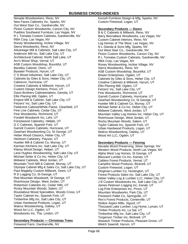#### **Secondary Products — Flooring**

Global Materials, Reno, NV Log Homes of The West, Las Vegas, NV Roney Woodworking, Incline Village, NV Ellis Planing Mill, Ogden, UT Fit Rite Wood Products, Salem, UT Heber Valley Log & Lumber LLC, Heber City, UT Mountain Valley Log Homes Inc, Heber City, UT Thousand Lake Lumber, Log Home, Lyman, UT Walrus Woodworking, Oakley, UT

#### **Secondary Products — Furniture, Indoor**

Barry Bennallack Woodworks, Las Vegas, NV Castle Cabinets Inc, Las Vegas, NV Custom Cabinet Interiors, Reno, NV Desert Woodworking Inc, Las Vegas, NV Hardwood Kafe, Las Vegas, NV Kurosh Furniture Design & Mfg, Sparks, NV Nevada Woodworkers, Reno, NV New Faces Cabinetry Inc, Sparks, NV Picton Custom Woodworks, Carson City, NV Pueblos Southwest Furniture, Las Vegas, NV R L Tomalas Custom Cabinets, Gardnerville, NV Roney Woodworking, Incline Village, NV Sierra Woodworks, Reno, NV Arn's Wood Shop, Vernal, UT ASB Custom Woodshop, Bountiful, UT Bandley Cabinet, Orem, UT Beesley Booth & Fixture Co, Sandy, UT Cabinets by Giles & Sons, Heber City, UT Cabnicon, Hurricane, UT Calders Forest Products, Vernal, UT Calls Design Inc, Salt Lake City, UT Custom Design Kitchens, Provo, UT Davis Brothers Cabinetmakers, Genola, UT Ellis Planing Mill, Ogden, UT Empire Mill & Cabinet, Salt Lake City, UT Enable Industries Inc, Ogden, UT Fetzers' Inc, Salt Lake City, UT Fine Woodworks, Richmond, UT Fondell Woodwork Inc, Lehi, UT Forestwood Cabinetry, Hildale, UT G C Cabinets, Spanish Fork, UT Garrett Custom Cabinets, Hurricane, UT Gearhart Woodworking Co, St George, UT Heritage Woodworks, Springville, UT Huetter Mill & Cabinet Co, Murray, UT Klassy Wood Design, Helper, UT Lane Hughes Woodworking, Salt Lake City, UT Log-Pole Enterprises Inc, Provo, UT Midwest Cabinets, West Jordan, UT Mountain Tech Mill & Cabinet, Murray, UT Mountain Woodworks, Park City, UT Northrop Log Homes, Riverton, UT Paul Magleby Custom Millwork, Orem, UT R D Logging Co, St George, UT Randy Sorenson & Assoc, Sandy, UT Red Mountain Woodwork, St George, UT Riverhouse Design, West Jordan, UT

Roberts Manufacturing Inc, American Fork, UT Robertson Cabinets Inc, Cedar Hills, UT Siegler Furniture Ind, Salt Lake City, UT Taylor Cabinet Inc, Spanish Fork, UT Timberline Mfg Inc, Salt Lake City, UT Urban Hardwood Products, Logan, UT Wahlen Mfg, Salt Lake City, UT Wood Art LLC, Ogden, UT Woodworks Inc, The, Lindon, UT

#### **Secondary Products — Furniture, Outdoor**

Barry Bennallack Woodworks, Las Vegas, NV Picton Custom Woodworks, Carson City, NV Roney Woodworking, Incline Village, NV Calders Forest Products, Vernal, UT J B Custom Woodworks Inc, Salt Lake City, UT Lane Hughes Woodworking, Salt Lake City, UT Log-Pole Enterprises Inc, Provo, UT Mountain Woodworks, Park City, UT Northrop Log Homes, Riverton, UT Paul Magleby Custom Millwork, Orem, UT R D Logging Co, St George, UT Randy Sorenson & Assoc, Sandy, UT Timberline Mfg Inc, Salt Lake City, UT Urban Hardwood Products, Logan, UT

#### **Secondary Products — Moldings**

B & C Cabinets & Millwork, Reno, NV Barry Bennallack Woodworks, Las Vegas, NV Castle Cabinets Inc, Las Vegas, NV Custom 32 Inc, Reno, NV Custom Cabinet Interiors, Reno, NV Hardwood Kafe, Las Vegas, NV N L Dianda & Sons Mfg, Sparks, NV Picton Custom Woodworks, Carson City, NV R L Tomalas Custom Cabinets, Gardnerville, NV RBA Corp, Las Vegas, NV Roney Woodworking, Incline Village, NV Sierra Woodworks, Reno, NV Architectural Cabinet, North Salt Lake, UT Bywater Products, Hyrum, UT C & S Millworks, Ogden, UT Cabnicon, Hurricane, UT Calders Forest Products, Vernal, UT Custom Design Kitchens, Provo, UT Davis Brothers Cabinetmakers, Genola, UT Ellis Planing Mill, Ogden, UT Empire Mill & Cabinet, Salt Lake City, UT Fetzers' Inc, Salt Lake City, UT Firm Bilt Mill & Molding, Salt Lake City, UT Fondell Woodwork Inc, Lehi, UT Forestwood Cabinetry, Hildale, UT Gearhart Woodworking Co, St George, UT Hallmark Moldings Inc, Salt Lake City, UT Heber Valley Log & Lumber LLC, Heber City, UT Huetter Mill & Cabinet Co, Murray, UT Klassy Wood Design, Helper, UT Michael Seiter & Co Inc, Heber City, UT Mountain Tech Mill & Cabinet, Murray, UT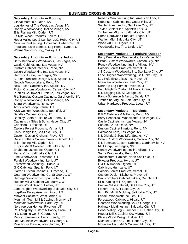Riverhouse Design, West Jordan, UT Rocky Mountain Woods, Salem, UT Roustabout Wood Specialties, Woods Cross, UT Timberline Mfg Inc, Salt Lake City, UT Wood Art LLC, Ogden, UT

**Secondary Products — Musical Instruments** Wood Art LLC, Ogden, UT

**Secondary Products — Pallets** B & B Lumber Products, Sun Valley, NV Global Materials, Reno, NV Industrial Wood Products Inc, Reno, NV Ken's Firewood, Las Vegas, NV Pallet Services Co, Sparks, NV Reno Custom Crating, Reno, NV Western Wood Products, North Las Vegas, NV Bowen Enterprises, Ogden, UT Boxer Inc, The, Salt Lake City, UT Central Pallet Co, Salt Lake City, UT Challenger Pallet & Supply Inc, Midvale, UT Enable Industries Inc, Ogden, UT Heber Valley Log & Lumber LLC, Heber City, UT Leavitt Lumber Co, Kamas, UT LMCC Inc, Centerville, UT Prestwich Pallet Co, Springville, UT Rex's Forest Products, Centerville, UT Timbercrafts of Utah, West Valley City, UT Torgerson Timber Inc, Bicknell, UT World Wide Packaging & Crating, Clearfield, UT

#### **Secondary Products — Paneling**

B & C Cabinets & Millwork, Reno, NV RBA Corp, Las Vegas, NV Blazzard Lumber Co Inc, Kamas, UT Calders Forest Products, Vernal, UT Fetzers' Inc, Salt Lake City, UT Fit Rite Wood Products, Salem, UT Huetter Mill & Cabinet Co, Murray, UT Mountain Valley Log Homes Inc, Heber City, UT Stoltze Aspen Mills, Sigurd, UT Thousand Lake Lumber, Log Home, Lyman, UT Timber Products Inc, La Sal, UT Urban Hardwood Products, Logan, UT Welch Sawmill, Hyrum, UT

#### **Secondary Products — Sheds/Portable Buildings**

Alpha West Log Homes, St George, UT J A Norton Construction, Woodland, UT Northrop Log Homes, Riverton, UT Timberline Mfg Inc, Salt Lake City, UT Urban Hardwood Products, Logan, UT Welch Sawmill, Hyrum, UT

#### **Secondary Products — Shutters**

Log Homes of The West, Las Vegas, NV RBA Corp, Las Vegas, NV Architectural Cabinet, North Salt Lake, UT Ellis Planing Mill, Ogden, UT

Wood Art LLC, Ogden, UT

#### **Secondary Products — Specialty Items**

B&L Wood Products, Las Vegas, NV Firewood Farm, Gardnerville, NV Nevada Wood Preserving, Silver Springs, NV Nevada Woodworkers, Reno, NV Out West Stair Co., Gardnerville, NV Reno Custom Crating, Reno, NV Roney Woodworking, Incline Village, NV Western Wood Products, North Las Vegas, NV ADP/Lemco, West Jordan, UT Arn's Wood Shop, Vernal, UT C S Wood Industries, Salt Lake City, UT Campfire Wood Products, Bicknell, UT Ellis Planing Mill, Ogden, UT Empire Mill & Cabinet, Salt Lake City, UT Enable Industries Inc, Ogden, UT Fetzers' Inc, Salt Lake City, UT Heritage Woodworks, Springville, UT LMCC Inc, Centerville, UT Log-Pole Enterprises Inc, Provo, UT Mountain Woodworks, Park City, UT Newman Wood Systems, Draper, UT Pioneer Sawdust, Salt Lake City, UT Rex's Forest Products, Centerville, UT Taylor Cabinet Inc, Spanish Fork, UT Timbercrafts of Utah, West Valley City, UT Urban Hardwood Products, Logan, UT Utah Forest Products, Escalante, UT

#### **Secondary Products — Treated Wood**

Nevada Wood Preserving, Silver Springs, NV Blazzard Lumber Co Inc, Kamas, UT Calders Forest Products, Vernal, UT Forest Products Sales Inc, Salt Lake City, UT Log-Pole Enterprises Inc, Provo, UT

#### **Secondary Products — Trusses/Structural**

Burton Components Inc, Fernley, NV Log Homes of The West, Las Vegas, NV Western Wood Products, North Las Vegas, NV A & Y Building Supply Inc, Provo, UT A Truss Inc, Washington, UT Alpha West Log Homes, St George, UT Dixie Component Systems Inc, St George, UT Mountain Valley Log Homes Inc, Heber City, UT Trusswell, Pleasant View, UT

#### **Secondary Products — Windows**

Log Homes of The West, Las Vegas, NV RBA Corp, Las Vegas, NV Ellis Planing Mill, Ogden, UT Firm Bilt Mill & Molding, Salt Lake City, UT Huetter Mill & Cabinet Co, Murray, UT Mountain Valley Log Homes Inc, Heber City, UT Wood Art LLC, Ogden, UT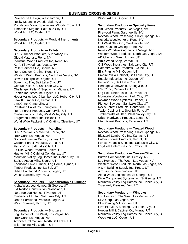#### **Secondary Products — Other**

Custom 32 Inc, Reno, NV Reno Custom Crating, Reno, NV Advantage Mill & Cabinets, Salt Lake City, UT Architectural Cabinet, North Salt Lake, UT Ball Feed & Horse Supply, Midvale, UT Boxer Inc, The, Salt Lake City, UT Cabinets by Giles & Sons, Heber City, UT Cache Valley Counter Tops Inc, Richmond, UT Fetzers' Inc, Salt Lake City, UT Fondell Woodwork Inc, Lehi, UT J B Custom Woodworks Inc, Salt Lake City, UT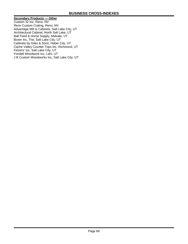# **BUSINESS CROSS-INDEXES**

**WOOD SPECIES USED** — Included below are alphabetized lists of manufacturers by wood species used in their manufacturing. Businesses are listed by state first and then alphabetically.

#### **Wood Species Used — Aspen**

Capital Cabinet Corp, North Las Vegas, NV RBA Corp, Las Vegas, NV Western Wood Products, North Las Vegas, NV American Timbercraft Homes, Ogden, UT Architectural Cabinet, North Salt Lake, UT Arn's Wood Shop, Vernal, UT ASB Custom Woodshop, Bountiful, UT Blazzard Lumber Co Inc, Kamas, UT Bowen Enterprises, Ogden, UT Calders Forest Products, Vernal, UT Campfire Wood Products, Bicknell, UT Challenger Pallet & Supply Inc, Midvale, UT Custom Firewood, Logan, UT Dingman Lumber Co, Huntington, UT Ellis Planing Mill, Ogden, UT Fishlake Lumber Co, Beaver, UT Heber Valley Log & Lumber LLC, Heber City, UT James Petersen Logging Inc, Kanab, UT Leavitt Lumber Co, Kamas, UT LMCC Inc, Centerville, UT Log-Pole Enterprises Inc, Provo, UT Mack Roundy Logging, Glendale, UT One Good Turn, Murray, UT Prestwich Pallet Co, Springville, UT Rex's Forest Products, Centerville, UT Riverhouse Design, West Jordan, UT Stoltze Aspen Mills, Sigurd, UT Thousand Lake Lumber, Log Home, Lyman, UT Timber Products Inc, La Sal, UT Timbercrafts of Utah, West Valley City, UT Wasatch Timber Products, Pleasant Grove, UT Wood Art LLC, Ogden, UT World Wide Packaging & Crating, Clearfield, UT

#### **Wood Species Used — Cottonwood/Poplar**

Barry Bennallack Woodworks, Las Vegas, NV Desert Woodworking Inc, Las Vegas, NV Hardwood Kafe, Las Vegas, NV N L Dianda & Sons Mfg, Sparks, NV Nevada Woodworkers, Reno, NV Picton Custom Woodworks, Carson City, NV R L Tomalas Custom Cabinets, Gardnerville, NV Architectural Cabinet, North Salt Lake, UT Arn's Wood Shop, Vernal, UT ASB Custom Woodshop, Bountiful, UT Blazzard Lumber Co Inc, Kamas, UT Calders Forest Products, Vernal, UT Custom Design Kitchens, Provo, UT Custom Firewood, Logan, UT Dingman Lumber Co, Huntington, UT Empire Mill & Cabinet, Salt Lake City, UT Fetzers' Inc, Salt Lake City, UT Fondell Woodwork Inc, Lehi, UT Hallmark Moldings Inc, Salt Lake City, UT

Heritage Woodworks, Springville, UT Huetter Mill & Cabinet Co, Murray, UT Lane Hughes Woodworking, Salt Lake City, UT LMCC Inc, Centerville, UT Newman Wood Systems, Draper, UT Randy Sorenson & Assoc, Sandy, UT Red Mountain Woodwork, St George, UT Rex's Forest Products, Centerville, UT Riverhouse Design, West Jordan, UT Robertson Cabinets Inc, Cedar Hills, UT Taylor Cabinet Inc, Spanish Fork, UT Urban Hardwood Products, Logan, UT Wood Art LLC, Ogden, UT

#### **Wood Species Used — Douglas-fir**

B & B Lumber Products, Sun Valley, NV Barry Bennallack Woodworks, Las Vegas, NV Burton Components Inc, Fernley, NV Capital Cabinet Corp, North Las Vegas, NV Castle Cabinets Inc, Las Vegas, NV Custom 32 Inc, Reno, NV Desert Woodworking Inc, Las Vegas, NV Fireside Wood Pak, Sun Valley, NV Firewood Farm, Gardnerville, NV Global Materials, Reno, NV Industrial Wood Products Inc, Reno, NV Modern Concepts, Las Vegas, NV N L Dianda & Sons Mfg, Sparks, NV Nevada Wood Preserving, Silver Springs, NV Nevada Woodworkers, Reno, NV Pallet Services Co, Sparks, NV Picton Custom Woodworks, Carson City, NV RBA Corp, Las Vegas, NV Reno Custom Crating, Reno, NV Roney Woodworking, Incline Village, NV Sierra Woodworks, Reno, NV Western Wood Products, North Las Vegas, NV A & Y Building Supply Inc, Provo, UT A Truss Inc, Washington, UT Alpha West Log Homes, St George, UT American Timbercraft Homes, Ogden, UT Anderson Mill Inc, Salt Lake City, UT Architectural Cabinet, North Salt Lake, UT Arn's Wood Shop, Vernal, UT ASB Custom Woodshop, Bountiful, UT Bear River Log Homes, Hyde Park, UT Bear River Log Homes, Ogden, UT Beesley Booth & Fixture Co, Sandy, UT Blazzard Lumber Co Inc, Kamas, UT Bowen Enterprises, Ogden, UT Calders Forest Products, Vernal, UT Cascade Mtn Resources, Wellington, UT Challenger Pallet & Supply Inc, Midvale, UT Custom Firewood, Logan, UT Davis Brothers Cabinetmakers, Genola, UT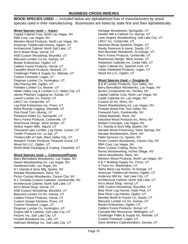# **BUSINESS CROSS-INDEXES**

Dingman Lumber Co, Huntington, UT Dixie Component Systems Inc, St George, UT Empire Mill & Cabinet, Salt Lake City, UT Enable Industries Inc, Ogden, UT Fetzers' Inc, Salt Lake City, UT Firm Bilt Mill & Molding, Salt Lake City, UT Fishlake Lumber Co, Beaver, UT Forest Products Sales Inc, Salt Lake City, UT Frontier Lumber, Lapoint, UT Heber Valley Log & Lumber LLC, Heber City, UT Heritage Woodworks, Springville, UT J A Norton Construction, Woodland, UT J B Custom Woodworks Inc, Salt Lake City, UT James Petersen Logging Inc, Kanab, UT Lane Hughes Woodworking, Salt Lake City, UT LMCC Inc, Centerville, UT Mack Roundy Logging, Glendale, UT Mountain Valley Log Homes Inc, Heber City, UT Northrop Log Homes, Riverton, UT Paul Magleby Custom Millwork, Orem, UT Prestwich Pallet Co, Springville, UT Randy Sorenson & Assoc, Sandy, UT Rex's Forest Products, Centerville, UT Simper Lumber Co, Vernal, UT Standard Wood Supply, Salt Lake City, UT Thousand Lake Lumber, Log Home, Lyman, UT Timbercrafts of Utah, West Valley City, UT Torgerson Timber Inc, Bicknell, UT Trusswell, Pleasant View, UT Utah Forest Products, Escalante, UT Wasatch Timber Products, Pleasant Grove, UT Welch Sawmill, Hyrum, UT World Wide Packaging & Crating, Clearfield, UT

#### **Wood Species Used — True Fir**

B & B Lumber Products, Sun Valley, NV Barry Bennallack Woodworks, Las Vegas, NV Fireside Wood Pak, Sun Valley, NV Firewood Farm, Gardnerville, NV Industrial Wood Products Inc, Reno, NV Pallet Services Co, Sparks, NV Pueblos Southwest Furniture, Las Vegas, NV Roney Woodworking, Incline Village, NV Sierra Woodworks, Reno, NV A Truss Inc, Washington, UT Alpha West Log Homes, St George, UT Architectural Cabinet, North Salt Lake, UT Arn's Wood Shop, Vernal, UT Bear River Log Homes, Hyde Park, UT Blazzard Lumber Co Inc, Kamas, UT Calders Forest Products, Vernal, UT Cascade Mtn Resources, Wellington, UT Custom Firewood, Logan, UT Dingman Lumber Co, Huntington, UT Enable Industries Inc, Ogden, UT Fishlake Lumber Co, Beaver, UT Heber Valley Log & Lumber LLC, Heber City, UT J B Custom Woodworks Inc, Salt Lake City, UT Leavitt Lumber Co, Kamas, UT

Mack Roundy Logging, Glendale, UT Newman Wood Systems, Draper, UT Prestwich Pallet Co, Springville, UT Rex's Forest Products, Centerville, UT Riverhouse Design, West Jordan, UT Simper Lumber Co, Vernal, UT Thousand Lake Lumber, Log Home, Lyman, UT Timber Products Inc, La Sal, UT Timbercrafts of Utah, West Valley City, UT Timberline Mfg Inc, Salt Lake City, UT Torgerson Timber Inc, Bicknell, UT Utah Forest Products, Escalante, UT Wasatch Timber Products, Pleasant Grove, UT Welch Sawmill, Hyrum, UT World Wide Packaging & Crating, Clearfield, UT

#### **Wood Species Used — Juniper**

Fireside Wood Pak, Sun Valley, NV Arn's Wood Shop, Vernal, UT Campfire Wood Products, Bicknell, UT Custom Firewood, Logan, UT Standard Wood Supply, Salt Lake City, UT Urban Hardwood Products, Logan, UT

#### **Wood Species Used — Pine, Lodgepole**

Barry Bennallack Woodworks, Las Vegas, NV Firewood Farm, Gardnerville, NV Global Materials, Reno, NV Industrial Wood Products Inc, Reno, NV Nevada Wood Preserving, Silver Springs, NV Out West Stair Co., Gardnerville, NV Pueblos Southwest Furniture, Las Vegas, NV Roney Woodworking, Incline Village, NV Alpha West Log Homes, St George, UT American Timbercraft Homes, Ogden, UT Architectural Cabinet, North Salt Lake, UT Arn's Wood Shop, Vernal, UT ASB Custom Woodshop, Bountiful, UT Bear River Log Homes, Hyde Park, UT Bear River Log Homes, Ogden, UT Blazzard Lumber Co Inc, Kamas, UT Bowen Enterprises, Ogden, UT Boxer Inc, The, Salt Lake City, UT Cabinets by Giles & Sons, Heber City, UT Calders Forest Products, Vernal, UT Cascade Mtn Resources, Wellington, UT Challenger Pallet & Supply Inc, Midvale, UT Custom Firewood, Logan, UT Empire Mill & Cabinet, Salt Lake City, UT Forest Products Sales Inc, Salt Lake City, UT Forestwood Cabinetry, Hildale, UT Frontier Lumber, Lapoint, UT Heber Valley Log & Lumber LLC, Heber City, UT Huetter Mill & Cabinet Co, Murray, UT Leavitt Lumber Co, Kamas, UT LMCC Inc, Centerville, UT Log-Pole Enterprises Inc, Provo, UT Midwest Cabinets, West Jordan, UT Mountain Valley Log Homes Inc, Heber City, UT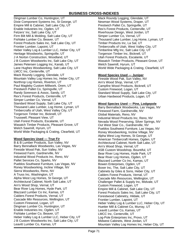# **BUSINESS CROSS-INDEXES**

Northrop Log Homes, Riverton, UT Prestwich Pallet Co, Springville, UT R D Logging Co, St George, UT Rex's Forest Products, Centerville, UT Simper Lumber Co, Vernal, UT Standard Wood Supply, Salt Lake City, UT Thousand Lake Lumber, Log Home, Lyman, UT Timbercrafts of Utah, West Valley City, UT Timberline Mfg Inc, Salt Lake City, UT Trusswell, Pleasant View, UT Uintah Planing Mill, Heber City, UT Wasatch Timber Products, Pleasant Grove, UT Welch Sawmill, Hyrum, UT World Wide Packaging & Crating, Clearfield, UT

## **Wood Species Used — Pine, Pinyon**

Barry Bennallack Woodworks, Las Vegas, NV Firewood Farm, Gardnerville, NV Modern Concepts, Las Vegas, NV Roney Woodworking, Incline Village, NV Arn's Wood Shop, Vernal, UT Bear River Log Homes, Ogden, UT Boxer Inc, The, Salt Lake City, UT Campfire Wood Products, Bicknell, UT Empire Mill & Cabinet, Salt Lake City, UT LMCC Inc, Centerville, UT Northrop Log Homes, Riverton, UT Standard Wood Supply, Salt Lake City, UT Taylor Cabinet Inc, Spanish Fork, UT

#### **Wood Species Used — Pine, Ponderosa**

B & B Lumber Products, Sun Valley, NV Barry Bennallack Woodworks, Las Vegas, NV Castle Cabinets Inc, Las Vegas, NV Fireside Wood Pak, Sun Valley, NV Global Materials, Reno, NV Industrial Wood Products Inc, Reno, NV Modern Concepts, Las Vegas, NV N L Dianda & Sons Mfg, Sparks, NV Nevada Wood Preserving, Silver Springs, NV Nevada Woodworkers, Reno, NV Pallet Services Co, Sparks, NV Pueblos Southwest Furniture, Las Vegas, NV R L Tomalas Custom Cabinets, Gardnerville, NV RBA Corp, Las Vegas, NV Roney Woodworking, Incline Village, NV Sierra Woodworks, Reno, NV Western Wood Products, North Las Vegas, NV Alpha West Log Homes, St George, UT Anderson Mill Inc, Salt Lake City, UT Architectural Cabinet, North Salt Lake, UT Arn's Wood Shop, Vernal, UT ASB Custom Woodshop, Bountiful, UT Bandley Cabinet, Orem, UT Beesley Booth & Fixture Co, Sandy, UT Blazzard Lumber Co Inc, Kamas, UT Boxer Inc, The, Salt Lake City, UT C S Wood Industries, Salt Lake City, UT Calders Forest Products, Vernal, UT

Campfire Wood Products, Bicknell, UT Challenger Pallet & Supply Inc, Midvale, UT Custom Design Kitchens, Provo, UT Davis Brothers Cabinetmakers, Genola, UT Dingman Lumber Co, Huntington, UT Empire Mill & Cabinet, Salt Lake City, UT Fetzers' Inc, Salt Lake City, UT Firm Bilt Mill & Molding, Salt Lake City, UT Fishlake Lumber Co, Beaver, UT Frontier Lumber, Lapoint, UT Heber Valley Log & Lumber LLC, Heber City, UT Heritage Woodworks, Springville, UT Huetter Mill & Cabinet Co, Murray, UT J B Custom Woodworks Inc, Salt Lake City, UT James Petersen Logging Inc, Kanab, UT Leavitt Lumber Co, Kamas, UT LMCC Inc, Centerville, UT Mack Roundy Logging, Glendale, UT Mountain Valley Log Homes Inc, Heber City, UT Northrop Log Homes, Riverton, UT Pioneer Sawdust, Salt Lake City, UT Prestwich Pallet Co, Springville, UT R D Logging Co, St George, UT Randy Sorenson & Assoc, Sandy, UT Red Mountain Woodwork, St George, UT Rex's Forest Products, Centerville, UT Riverhouse Design, West Jordan, UT Roberts Manufacturing Inc, American Fork, UT Robertson Cabinets Inc, Cedar Hills, UT Simper Lumber Co, Vernal, UT Standard Wood Supply, Salt Lake City, UT Thousand Lake Lumber, Log Home, Lyman, UT Timber Products Inc, La Sal, UT Timbercrafts of Utah, West Valley City, UT Timberline Mfg Inc, Salt Lake City, UT Torgerson Timber Inc, Bicknell, UT Utah Forest Products, Escalante, UT Wasatch Timber Products, Pleasant Grove, UT Welch Sawmill, Hyrum, UT World Wide Packaging & Crating, Clearfield, UT

## **Wood Species Used — Spruce**

B & B Lumber Products, Sun Valley, NV Barry Bennallack Woodworks, Las Vegas, NV Global Materials, Reno, NV Industrial Wood Products Inc, Reno, NV Pallet Services Co, Sparks, NV RBA Corp, Las Vegas, NV Western Wood Products, North Las Vegas, NV Architectural Cabinet, North Salt Lake, UT Arn's Wood Shop, Vernal, UT ASB Custom Woodshop, Bountiful, UT Bear River Log Homes, Ogden, UT Blazzard Lumber Co Inc, Kamas, UT Calders Forest Products, Vernal, UT Campfire Wood Products, Bicknell, UT Cascade Mtn Resources, Wellington, UT Challenger Pallet & Supply Inc, Midvale, UT Custom Design Kitchens, Provo, UT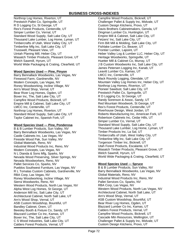Custom Firewood, Logan, UT Davis Brothers Cabinetmakers, Genola, UT Dingman Lumber Co, Huntington, UT Fishlake Lumber Co, Beaver, UT Forest Products Sales Inc, Salt Lake City, UT Frontier Lumber, Lapoint, UT Heber Valley Log & Lumber LLC, Heber City, UT James Petersen Logging Inc, Kanab, UT Leavitt Lumber Co, Kamas, UT LMCC Inc, Centerville, UT Mack Roundy Logging, Glendale, UT Mountain Valley Log Homes Inc, Heber City, UT One Good Turn, Murray, UT Prestwich Pallet Co, Springville, UT Rex's Forest Products, Centerville, UT Riverhouse Design, West Jordan, UT Simper Lumber Co, Vernal, UT Thousand Lake Lumber, Log Home, Lyman, UT Timber Products Inc, La Sal, UT Timbercrafts of Utah, West Valley City, UT Torgerson Timber Inc, Bicknell, UT Uintah Planing Mill, Heber City, UT Utah Forest Products, Escalante, UT Walrus Woodworking, Oakley, UT Wasatch Timber Products, Pleasant Grove, UT Welch Sawmill, Hyrum, UT World Wide Packaging & Crating, Clearfield, UT

## **Wood Species Used — Unknown/Mixed Softwoods**

B & B Lumber Products, Sun Valley, NV Barry Bennallack Woodworks, Las Vegas, NV Burton Components Inc, Fernley, NV Castle Cabinets Inc, Las Vegas, NV Elite Cabinet Co, Las Vegas, NV Firewood Farm, Gardnerville, NV Global Materials, Reno, NV Ken's Firewood, Las Vegas, NV Nevada Wood Preserving, Silver Springs, NV Nevada Woodworkers, Reno, NV New Faces Cabinetry Inc, Sparks, NV Out West Stair Co., Gardnerville, NV Pueblos Southwest Furniture, Las Vegas, NV Reno Custom Crating, Reno, NV Roney Woodworking, Incline Village, NV Alpha West Log Homes, St George, UT American Timbercraft Homes, Ogden, UT Architectural Cabinet, North Salt Lake, UT Arn's Wood Shop, Vernal, UT C & S Millworks, Ogden, UT Central Pallet Co, Salt Lake City, UT Creative Cabinets & Millwork, Hyrum, UT Custom Firewood, Logan, UT Ellis Planing Mill, Ogden, UT Empire Mill & Cabinet, Salt Lake City, UT Enable Industries Inc, Ogden, UT Fetzers' Inc, Salt Lake City, UT Firm Bilt Mill & Molding, Salt Lake City, UT Heber Wood Classics, Heber City, UT Heritage Woodworks, Springville, UT

J B Custom Woodworks Inc, Salt Lake City, UT Klassy Wood Design, Helper, UT Lane Hughes Woodworking, Salt Lake City, UT LMCC Inc, Centerville, UT Mountain Tech Mill & Cabinet, Murray, UT Newman Wood Systems, Draper, UT Prestwich Pallet Co, Springville, UT Randy Sorenson & Assoc, Sandy, UT Robertson Cabinets Inc, Cedar Hills, UT Standard Wood Supply, Salt Lake City, UT Taylor Cabinet Inc, Spanish Fork, UT Timbercrafts of Utah, West Valley City, UT Timberline Mfg Inc, Salt Lake City, UT Wood Art LLC, Ogden, UT

## **Wood Species Used — Unknown/Mixed Hardwoods**

B & B Lumber Products, Sun Valley, NV B & C Cabinets & Millwork, Reno, NV Barry Bennallack Woodworks, Las Vegas, NV Capital Cabinet Corp, North Las Vegas, NV Castle Cabinets Inc, Las Vegas, NV Custom 32 Inc, Reno, NV Custom Cabinet Interiors, Reno, NV Desert Woodworking Inc, Las Vegas, NV Elite Cabinet Co, Las Vegas, NV Firewood Farm, Gardnerville, NV Global Materials, Reno, NV Hardwood Kafe, Las Vegas, NV Kurosh Furniture Design & Mfg, Sparks, NV N L Dianda & Sons Mfg, Sparks, NV Nevada Woodworkers, Reno, NV New Faces Cabinetry Inc, Sparks, NV Out West Stair Co., Gardnerville, NV Pallet Services Co, Sparks, NV Picton Custom Woodworks, Carson City, NV R L Tomalas Custom Cabinets, Gardnerville, NV RBA Corp, Las Vegas, NV Roney Woodworking, Incline Village, NV Sierra Woodworks, Reno, NV ADP/Lemco, West Jordan, UT Advantage Mill & Cabinets, Salt Lake City, UT Alpha West Log Homes, St George, UT American Timbercraft Homes, Ogden, UT Architectural Cabinet, North Salt Lake, UT Arn's Wood Shop, Vernal, UT ASB Custom Woodshop, Bountiful, UT Bandley Cabinet, Orem, UT Beesley Booth & Fixture Co, Sandy, UT Bywater Products, Hyrum, UT C & S Millworks, Ogden, UT C S Wood Industries, Salt Lake City, UT Cabinets by Giles & Sons, Heber City, UT Cabnicon, Hurricane, UT Cache Valley Counter Tops Inc, Richmond, UT Calls Design Inc, Salt Lake City, UT Central Pallet Co, Salt Lake City, UT Challenger Pallet & Supply Inc, Midvale, UT Creative Cabinets & Millwork, Hyrum, UT Custom Design Kitchens, Provo, UT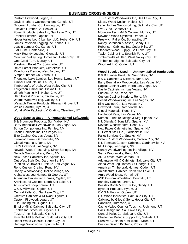Custom Firewood, Logan, UT Ellis Planing Mill, Ogden, UT Empire Mill & Cabinet, Salt Lake City, UT Enable Industries Inc, Ogden, UT Fetzers' Inc, Salt Lake City, UT Fieldcrest Cabinet/white Flame, Clearfield, UT Fine Line Cabinets, Cedar City, UT Fine Woodworks, Richmond, UT Firm Bilt Mill & Molding, Salt Lake City, UT Fit Rite Wood Products, Salem, UT Fondell Woodwork Inc, Lehi, UT Forestwood Cabinetry, Hildale, UT G C Cabinets, Spanish Fork, UT Garrett Custom Cabinets, Hurricane, UT Gearhart Woodworking Co, St George, UT Hallmark Moldings Inc, Salt Lake City, UT Heber Wood Classics, Heber City, UT Heirloom Cabinetry, Payson, UT Heritage Woodworks, Springville, UT Huetter Mill & Cabinet Co, Murray, UT Klassy Wood Design, Helper, UT Lane Hughes Woodworking, Salt Lake City, UT Log-Pole Enterprises Inc, Provo, UT Michael Seiter & Co Inc, Heber City, UT Midwest Cabinets, West Jordan, UT Mountain Tech Mill & Cabinet, Murray, UT Newman Wood Systems, Draper, UT Olympia Cabinet Mfg & Sales Co, Salt Lake City, UT One Good Turn, Murray, UT Paul Magleby Custom Millwork, Orem, UT Prestwich Pallet Co, Springville, UT R D Logging Co, St George, UT Randy Sorenson & Assoc, Sandy, UT Red Mountain Woodwork, St George, UT Rex's Forest Products, Centerville, UT Riverhouse Design, West Jordan, UT Robertson Cabinets Inc, Cedar Hills, UT Rocky Mountain Woods, Salem, UT Siegler Furniture Ind, Salt Lake City, UT Standard Wood Supply, Salt Lake City, UT Taylor Cabinet Inc, Spanish Fork, UT Timbercrafts of Utah, West Valley City, UT Urban Forest Woodworks, Logan, UT Urban Hardwood Products, Logan, UT Wahlen Mfg, Salt Lake City, UT Wood Art LLC, Ogden, UT Woodworks Inc, The, Lindon, UT

## **Wood Species Used — Other**

Burton Components Inc, Fernley, NV Capital Cabinet Corp, North Las Vegas, NV Closet Pro of Reno Inc, Sparks, NV Desert Woodworking Inc, Las Vegas, NV Elite Cabinet Co, Las Vegas, NV Fireside Wood Pak, Sun Valley, NV Firewood Farm, Gardnerville, NV RBA Corp, Las Vegas, NV Reno Custom Crating, Reno, NV Roney Woodworking, Incline Village, NV

Architectural Cabinet, North Salt Lake, UT Arn's Wood Shop, Vernal, UT Bywater Products, Hyrum, UT Cabnicon, Hurricane, UT Cache Valley Counter Tops Inc, Richmond, UT Davis Brothers Cabinetmakers, Genola, UT Fetzers' Inc, Salt Lake City, UT Fieldcrest Cabinet/white Flame, Clearfield, UT Fine Woodworks, Richmond, UT Fishlake Lumber Co, Beaver, UT Fit Rite Wood Products, Salem, UT Forest Products Sales Inc, Salt Lake City, UT Gearhart Woodworking Co, St George, UT Hallmark Moldings Inc, Salt Lake City, UT Heber Wood Classics, Heber City, UT Huetter Mill & Cabinet Co, Murray, UT J B Custom Woodworks Inc, Salt Lake City, UT Karman Kitchens Inc, Salt Lake City, UT Log-Pole Enterprises Inc, Provo, UT Midwest Cabinets, West Jordan, UT Newman Wood Systems, Draper, UT One Good Turn, Murray, UT Red Mountain Woodwork, St George, UT Roberts Manufacturing Inc, American Fork, UT Robertson Cabinets Inc, Cedar Hills, UT Siegler Furniture Ind, Salt Lake City, UT Timbercrafts of Utah, West Valley City, UT Urban Hardwood Products, Logan, UT Wahlen Mfg, Salt Lake City, UT Woodworks Inc, The, Lindon, UT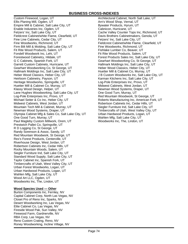**PRIMARY/SECONDARY PRODUCERS** — Included below are alphabetized lists of manufacturers who mainly manufacture primary products or secondary products. Primary products are those that are made directly from logs or roundwood, usually with minimal processing. Secondary products generally are made from primary products and involve much more processing. Many manufacturers listed as primary producers also make secondary products and vice-versa. Businesses are listed by state first and then alphabetically.

## **Primary Producers**

Fireside Wood Pak, Sun Valley, NV Firewood Farm, Gardnerville, NV Global Materials, Reno, NV Log Homes of the West, Las Vegas, NV Western Wood Products, North Las Vegas, NV Bear River Log Homes, Hyde Park, UT Bear River Log Homes, Ogden, UT Blazzard Lumber Co Inc, Kamas, UT Calders Forest Products, Vernal, UT Campfire Wood Products, Bicknell, UT Cascade Mtn Resources, Wellington, UT Custom Firewood, Logan, UT Dingman Lumber Co, Huntington, UT Fishlake Lumber Co, Beaver, UT Fit Rite Wood Products, Salem, UT Frontier Lumber, Lapoint, UT Hansen Lumber Co, Fairview, UT Heber Valley Log & Lumber LLC, Heber City, UT James Petersen Logging Inc, Kanab, UT Leavitt Lumber Co, Kamas, UT Mountain Valley Log Homes Inc, Heber City, UT Northrop Log Homes, Riverton, UT One Good Turn, Murray, UT Rex's Forest Products, Centerville, UT Simper Lumber Co, Vernal, UT Standard Wood Supply, Salt Lake City, UT Stoltze Aspen Mills, Sigurd, UT Thousand Lake Lumber, Log Home, Lyman, UT Timber Products Inc, La Sal, UT Timberline Mfg Inc, Salt Lake City, UT Torgerson Timber Inc, Bicknell, UT Uintah Planing Mill, Heber City, UT Utah Forest Products, Escalante, UT Wasatch Timber Products, Pleasant Grove, UT Welch Sawmill, Hyrum, UT

## **Secondary Producers**

B & B Lumber Products, Sun Valley, NV B & C Cabinets & Millwork, Reno, NV B&L Wood Products, Las Vegas, NV Barry Bennallack Woodworks, Las Vegas, NV Burton Components Inc, Fernley, NV Capital Cabinet Corp, North Las Vegas, NV Castle Cabinets Inc, Las Vegas, NV Closet Pro of Reno Inc, Sparks, NV Custom 32 Inc, Reno, NV Custom Cabinet Interiors, Reno, NV Desert Woodworking Inc, Las Vegas, NV Elite Cabinet Co, Las Vegas, NV

Hardwood Kafe, Las Vegas, NV Industrial Wood Products Inc, Reno, NV Ken's Firewood, Las Vegas, NV Kurosh Furniture Design & Mfg, Sparks, NV Modern Concepts, Las Vegas, NV N L Dianda & Sons Mfg, Sparks, NV Nevada Wood Preserving, Silver Springs, NV Nevada Woodworkers, Reno, NV New Faces Cabinetry Inc, Sparks, NV Out West Stair Co., Gardnerville, NV Pallet Services Co, Sparks, NV Picton Custom Woodworks, Carson City, NV Pueblos Southwest Furniture, Las Vegas, NV R L Tomalas Custom Cabinets, Gardnerville, NV RBA Corp, Las Vegas, NV Reno Custom Crating, Reno, NV Roney Woodworking, Incline Village, NV Sierra Woodworks, Reno, NV A & Y Building Supply Inc, Provo, UT A Truss Inc, Washington, UT ADP/Lemco, West Jordan, UT Advantage Mill & Cabinets, Salt Lake City, UT Alpha West Log Homes, St George, UT American Timbercraft Homes, Ogden, UT Anderson Mill Inc, Salt Lake City, UT Architectural Cabinet, North Salt Lake, UT Arn's Wood Shop, Vernal, UT ASB Custom Woodshop, Bountiful, UT Ball Feed & Horse Supply, Midvale, UT Bandley Cabinet, Orem, UT Beesley Booth & Fixture Co, Sandy, UT Bowen Enterprises, Ogden, UT Boxer Inc, The, Salt Lake City, UT Bywater Products, Hyrum, UT C & S Millworks, Ogden, UT C S Wood Industries, Salt Lake City, UT Cabinet Co by L & L, Heber City, UT Cabinets by Giles & Sons, Heber City, UT Cabnicon, Hurricane, UT Cache Valley Counter Tops Inc, Richmond, UT Calls Design Inc, Salt Lake City, UT Central Pallet Co, Salt Lake City, UT Challenger Pallet & Supply Inc, Midvale, UT Creative Cabinets & Millwork, Hyrum, UT Custom Design Kitchens, Provo, UT Davis Brothers Cabinetmakers, Genola, UT Dixie Component Systems Inc, St George, UT Ellis Planing Mill, Ogden, UT Empire Mill & Cabinet, Salt Lake City, UT Enable Industries Inc, Ogden, UT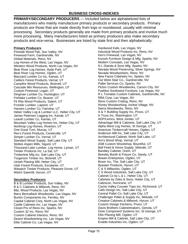Fetzers' Inc, Salt Lake City, UT Fieldcrest Cabinet/White Flame, Clearfield, UT Fine Line Cabinets, Cedar City, UT Fine Woodworks, Richmond, UT Firm Bilt Mill & Molding, Salt Lake City, UT Fondell Woodwork Inc, Lehi, UT Forest Products Sales Inc, Salt Lake City, UT Forestwood Cabinetry, Hildale, UT G C Cabinets, Spanish Fork, UT Garrett Custom Cabinets, Hurricane, UT Gearhart Woodworking Co, St George, UT Hallmark Moldings Inc, Salt Lake City, UT Heber Wood Classics, Heber City, UT Heirloom Cabinetry, Payson, UT Heritage Woodworks, Springville, UT Huetter Mill & Cabinet Co, Murray, UT J A Norton Construction, Woodland, UT J B Custom Woodworks Inc, Salt Lake City, UT Karman Kitchens Inc, Salt Lake City, UT Klassy Wood Design, Helper, UT Lane Hughes Woodworking, Salt Lake City, UT LMCC Inc, Centerville, UT Log-Pole Enterprises Inc, Provo, UT Michael Seiter & Co Inc, Heber City, UT Midwest Cabinets, West Jordan, UT Mountain Tech Mill & Cabinet, Murray, UT Mountain Woodworks, Park City, UT Newman Wood Systems, Draper, UT Olympia Cabinet Mfg & Sales Co, Salt Lake City, UT Paul Magleby Custom Millwork, Orem, UT Pioneer Sawdust, Salt Lake City, UT Prestwich Pallet Co, Springville, UT R D Logging Co, St George, UT Randy Sorenson & Assoc, Sandy, UT Red Mountain Woodwork, St George, UT Riverhouse Design, West Jordan, UT Roberts Manufacturing Inc, American Fork, UT Robertson Cabinets Inc, Cedar Hills, UT Rocky Mountain Woods, Salem, UT Roustabout Wood Specialties, Woods Cross, UT Siegler Furniture Ind, Salt Lake City, UT Taylor Cabinet Inc, Spanish Fork, UT Timbercrafts of Utah, West Valley City, UT Trusswell, Pleasant View, UT Urban Forest Woodworks, Logan, UT Urban Hardwood Products, Logan, UT Wahlen Mfg, Salt Lake City, UT Walrus Woodworking, Oakley, UT Wood Art LLC, Ogden, UT Woodworks Inc, The, Lindon, UT World Wide Packaging & Crating, Clearfield, UT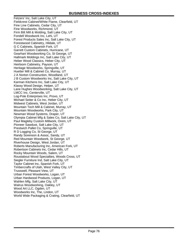**EXPORTERS** — Included below are alphabetized lists of manufacturers who export products to other countries, or who do not export but are interested.

## **Export to Other Countries**

Desert Woodworking Inc, Las Vegas, NV Reno Custom Crating, Reno, NV Alpha West Log Homes, St George, UT Bear River Log Homes, Hyde Park, UT Fetzers' Inc, Salt Lake City, UT Fieldcrest Cabinet/White Flame, Clearfield, UT Newman Wood Systems, Draper, UT One Good Turn, Murray, UT

## **Interested in Exporting**

Barry Bennallack Woodworks, Las Vegas, NV Closet Pro of Reno Inc, Sparks, NV Custom 32 Inc, Reno, NV Firewood Farm, Gardnerville, NV Global Materials, Reno, NV Kurosh Furniture Design & Mfg, Sparks, NV N L Dianda & Sons Mfg, Sparks, NV Nevada Wood Preserving, Silver Springs, NV Out West Stair Co., Gardnerville, NV Pallet Services Co, Sparks, NV Roney Woodworking, Incline Village, NV Western Wood Products, North Las Vegas, NV American Timbercraft Homes, Ogden, UT Arn's Wood Shop, Vernal, UT Bandley Cabinet, Orem, UT Bear River Log Homes, Ogden, UT Blazzard Lumber Co Inc, Kamas, UT Bowen Enterprises, Ogden, UT Cabinet Co by L & L, Heber City, UT Calders Forest Products, Vernal, UT Campfire Wood Products, Bicknell, UT Cascade Mtn Resources, Wellington, UT Central Pallet Co, Salt Lake City, UT Challenger Pallet & Supply Inc, Midvale, UT Davis Brothers Cabinetmakers, Genola, UT Dingman Lumber Co, Huntington, UT Enable Industries Inc, Ogden, UT Fishlake Lumber Co, Beaver, UT Fondell Woodwork Inc, Lehi, UT Frontier Lumber, Lapoint, UT Garrett Custom Cabinets, Hurricane, UT Hallmark Moldings Inc, Salt Lake City, UT Heritage Woodworks, Springville, UT Huetter Mill & Cabinet Co, Murray, UT Karman Kitchens Inc, Salt Lake City, UT LMCC Inc, Centerville, UT Log-pole Enterprises Inc, Provo, UT Mack Roundy Logging, Glendale, UT Michael Seiter & Co Inc, Heber City, UT Midwest Cabinets, West Jordan, UT Mountain Valley Log Homes Inc, Heber City, UT Paul Magleby Custom Millwork, Orem, UT Prestwich Pallet Co, Springville, UT R D Logging Co, St George, UT

Red Mountain Woodwork, St George, UT Riverhouse Design, West Jordan, UT Roberts Manufacturing Inc, American Fork, UT Rocky Mountain Woods, Salem, UT Siegler Furniture Ind, Salt Lake City, UT Simper Lumber Co, Vernal, UT Standard Wood Supply, Salt Lake City, UT Stoltze Aspen Mills, Sigurd, UT Thousand Lake Lumber, Log Home, Lyman, UT Timberline Mfg Inc, Salt Lake City, UT Urban Forest Woodworks, Logan, UT Urban Hardwood Products, Logan, UT Walrus Woodworking, Oakley, UT Wasatch Timber Products, Pleasant Grove, UT Welch Sawmill, Hyrum, UT Wood Art LLC, Ogden, UT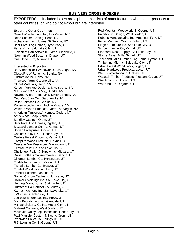## **COUNTIES** — Included below are alphabetized lists of manufacturers by county.

# **Nevada Counties**

## **Clark County, Nevada**

B&L Wood Products, Las Vegas, NV Barry Bennallack Woodworks, Las Vegas, NV Capital Cabinet Corp, North Las Vegas, NV Castle Cabinets Inc, Las Vegas, NV Desert Woodworking Inc, Las Vegas, NV Elite Cabinet Co, Las Vegas, NV Hardwood Kafe, Las Vegas, NV Ken's Firewood, Las Vegas, NV Log Homes of the West, Las Vegas, NV Modern Concepts, Las Vegas, NV Pueblos Southwest Furniture, Las Vegas, NV RBA Corp, Las Vegas, NV Western Wood Products, North Las Vegas, NV

## **Douglas County, Nevada**

Firewood Farm, Gardnerville, NV Out West Stair Co., Gardnerville, NV Picton Custom Woodworks, Carson City, NV R L Tomalas Custom Cabinets, Gardnerville, NV

## **Lyon County, Nevada**

Burton Components Inc, Fernley, NV Nevada Wood Preserving, Silver Springs, NV

## **Washoe County, Nevada**

B & B Lumber Products, Sun Valley, NV B & C Cabinets & Millwork, Reno, NV Closet Pro of Reno Inc, Sparks, NV Custom 32 Inc, Reno, NV Custom Cabinet Interiors, Reno, NV Fireside Wood Pak, Sun Valley, NV Global Materials, Reno, NV Industrial Wood Products Inc, Reno, NV Kurosh Furniture Design & Mfg, Sparks, NV N L Dianda & Sons Mfg, Sparks, NV Nevada Woodworkers, Reno, NV New Faces Cabinetry Inc, Sparks, NV Pallet Services Co, Sparks, NV Reno Custom Crating, Reno, NV Roney Woodworking, Incline Village, NV Sierra Woodworks, Reno, NV

# **Utah Counties**

**Beaver County, Utah** Fishlake Lumber Co, Beaver, UT

## **Cache County, Utah**

Bear River Log Homes, Hyde Park, UT Bywater Products, Hyrum, UT Cache Valley Counter Tops Inc, Richmond, UT Creative Cabinets & Millwork, Hyrum, UT Custom Firewood, Logan, UT Fine Woodworks, Richmond, UT Urban Forest Woodworks, Logan, UT Urban Hardwood Products, Logan, UT Welch Sawmill, Hyrum, UT

## **Carbon County, Utah**

Cascade Mtn Resources, Wellington, UT Klassy Wood Design, Helper, UT

## **Davis County, Utah**

Architectural Cabinet, North Salt Lake, UT ASB Custom Woodshop, Bountiful, UT Fieldcrest Cabinet/White Flame, Clearfield, UT LMCC Inc, Centerville, UT Roustabout Wood Specialties, Woods Cross, UT World Wide Packaging & Crating, Clearfield, UT

**Emery County, Utah** Dingman Lumber Co, Huntington, UT

#### **Garfield County, Utah** Utah Forest Products, Escalante, UT

**Iron County, Utah** Fine Line Cabinets, Cedar City, UT

#### **Kane County, Utah** James Petersen Logging Inc, Kanab, UT Mack Roundy Logging, Glendale, UT

## **Salt Lake County, Utah**

ADP/Lemco, West Jordan, UT Advantage Mill & Cabinets, Salt Lake City, UT Anderson Mill Inc, Salt Lake City, UT Ball Feed & Horse Supply, Midvale, UT Beesley Booth & Fixture Co, Sandy, UT Boxer Inc, The, Salt Lake City, UT C S Wood Industries, Salt Lake City, UT Calls Design Inc, Salt Lake City, UT Central Pallet Co, Salt Lake City, UT Challenger Pallet & Supply Inc, Midvale, UT Empire Mill & Cabinet, Salt Lake City, UT Fetzers' Inc, Salt Lake City, UT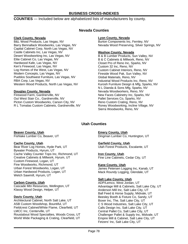# **BUSINESS CROSS-INDEXES**

Firm Bilt Mill & Molding, Salt Lake City, UT Forest Products Sales Inc, Salt Lake City, UT Hallmark Moldings Inc, Salt Lake City, UT Huetter Mill & Cabinet Co, Murray, UT J B Custom Woodworks Inc, Salt Lake City, UT Karman Kitchens Inc, Salt Lake City, UT Lane Hughes Woodworking, Salt Lake City, UT Midwest Cabinets, West Jordan, UT Mountain Tech Mill & Cabinet, Murray, UT Newman Wood Systems, Draper, UT Northrop Log Homes, Riverton, UT Olympia Cabinet Mfg & Sales Co, Salt Lake City, UT One Good Turn, Murray, UT Pioneer Sawdust, Salt Lake City, UT Randy Sorenson & Assoc, Sandy, UT Rex's Forest Products, Centerville, UT Riverhouse Design, West Jordan, UT Siegler Furniture Ind, Salt Lake City, UT Standard Wood Supply, Salt Lake City, UT Timbercrafts of Utah, West Valley City, UT Timberline Mfg Inc, Salt Lake City, UT Wahlen Mfg, Salt Lake City, UT

## **San Juan County, Utah**

Timber Products Inc, La Sal, UT

## **Sanpete County, Utah**

Hansen Lumber Co, Fairview, UT

### **Sevier County, Utah**

Stoltze Aspen Mills, Sigurd, UT

#### **Summit County, Utah**

Blazzard Lumber Co Inc, Kamas, UT J A Norton Construction, Woodland, UT Leavitt Lumber Co, Kamas, UT Mountain Woodworks, Park City, UT Walrus Woodworking, Oakley, UT

#### **Uintah County, Utah**

Arn's Wood Shop, Vernal, UT Calders Forest Products, Vernal, UT Frontier Lumber, Lapoint, UT Simper Lumber Co, Vernal, UT

## **Utah County, Utah**

A & Y Building Supply Inc, Provo, UT Bandley Cabinet, Orem, UT Custom Design Kitchens, Provo, UT Davis Brothers Cabinetmakers, Genola, UT Fit Rite Wood Products, Salem, UT Fondell Woodwork Inc, Lehi, UT G C Cabinets, Spanish Fork, UT Heirloom Cabinetry, Payson, UT Heritage Woodworks, Springville, UT Log-Pole Enterprises Inc, Provo, UT Paul Magleby Custom Millwork, Orem, UT Prestwich Pallet Co, Springville, UT

Roberts Manufacturing Inc, American Fork, UT Robertson Cabinets Inc, Cedar Hills, UT Rocky Mountain Woods, Salem, UT Taylor Cabinet Inc, Spanish Fork, UT Woodworks Inc, The, Lindon, UT

### **Wasatch County, Utah**

Cabinets by Giles & Sons, Heber City, UT Heber Valley Log & Lumber LLC, Heber City, UT Heber Wood Classics, Heber City, UT Michael Seiter & Co Inc, Heber City, UT Mountain Valley Log Homes Inc, Heber City, UT Uintah Planing Mill, Heber City, UT Wasatch Timber Products, Pleasant Grove, UT

### **Washington County, Utah**

A Truss Inc, Washington, UT Alpha West Log Homes, St George, UT Cabnicon, Hurricane, UT Dixie Component Systems Inc, St George, UT Forestwood Cabinetry, Hildale, UT Garrett Custom Cabinets, Hurricane, UT Gearhart Woodworking Co, St George, UT R D Logging Co, St George, UT Red Mountain Woodwork, St George, UT

### **Wayne County, Utah**

Campfire Wood Products, Bicknell, UT Thousand Lake Lumber, Log Home, Lyman, UT Torgerson Timber Inc, Bicknell, UT

## **Weber County, Utah**

American Timbercraft Homes, Ogden, UT Bear River Log Homes, Ogden, UT Bowen Enterprises, Ogden, UT C & S Millworks, Ogden, UT Ellis Planing Mill, Ogden, UT Enable Industries Inc, Ogden, UT Trusswell, Pleasant View, UT Wood Art LLC, Ogden, UT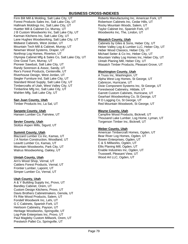**Appendix A — Survey Methodology and Sample Survey**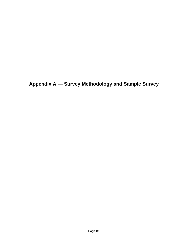# **SURVEY METHODOLOGY**

A list of businesses to be surveyed was generated by including all wood-related businesses in Utah and Nevada from the American Business Information database (ABI, 5711 South 86th Circle, Omaha, NE 68127; phone (402)596-7575). Other businesses were added by checking USDA-Forest Service bidder lists from national forests in or near the two states, a Utah Forest Industry Directory produced by the Utah Division of State Lands and Forestry in 1980, a current Utah Directory of Business and Industry obtained from the Utah Department of Employment Security, and by checking Nevada's Labor Market Information System available through the Nevada Department of Employment, Training, and Rehabilitation.

These sources resulted in a list of 828 likely wood products-related businesses to be surveyed, 254 in Nevada and 574 in Utah. Surveys were sent to each business in early October 1996, a reminder postcard was sent in mid-October, and another copy of the survey was sent to nonrespondents in early November 1996. Most completed surveys were returned before the end of 1996. Many surveys were returned by the post office as undeliverable. These businesses were contacted by phone to get current addresses, although in some cases the business were no longer active. To boost response from primary manufacturers (mainly mills), a third copy of the survey was sent to 26 non-responding primary manufacturers in February 1997, resulting in an additional 6 businesses responding.

Of the 828 businesses included in the mailings, 287 responded and confirmed that they were involved in either wood products manufacturing or wholesaling (207 from Utah and 80 from Nevada). An additional 17 were confirmed as out-of-business by mail or a phone conversation; 80 were assumed to be out-of-business because of a bad address and disconnected phone; 21 were thrown out as duplicates, a location not in Utah or Nevada, or for other reasons; and 15 were undeliverable and a current address could not be obtained. Finally, 320 did not respond either due to lack of interest or because the survey never reached them; presumably some of these businesses were no longer active.

Responding businesses were asked in the survey whether or not they wanted to be included in this directory, and the directory only includes those who answered yes. Of the 287 manufacturers and wholesalers who responded, 148 chose to be included in the directory — 113 from Utah (108 manufacturers and 5 wholesalers) and 35 from Nevada (33 manufacturers and 2 wholesalers).

# **SAMPLE SURVEY**

The following pages include a sample of the survey used to collect data for this directory. If you would like your business included in future editions, or to update your listing, copy and fill out the survey and mail to the indicated address.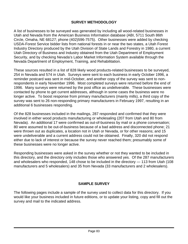## **UTAH and NEVADA WOOD INDUSTRY SURVEY Utah State University Forest Resources Department, USDA Forest Service State and Private Forestry, Utah Division of Forestry, Fire & State Lands, and Nevada Division of Forestry**

**Instructions:** Utah State University's Forest Resources Department, in cooperation with USDA Forest Service State Forestry; the Utah Division of Forestry, Fire & State Lands; and the Nevada Division of Forestry, is gathering inform helping to develop wood products markets. We are surveying companies like yours to assess the status of Utah's an products industries and to stimulate activity in these industries by producing an up-to-date wood industry trade dire

We have identified your company as possibly being involved in a wood products-related business. Please complete survey in the enclosed postage-paid envelope. We need your response even if you feel you have been incorrectly in update our database. If someone else in your company is more qualified to answer this survey feel free to forward it request otherwise most information may be included in your company's trade directory entry, though income and er confidential and will only be used for statistical purposes.

Complete questions by circling or filling in the correct answer, or checking the correct box. If a question does not p business just move on to the next question. Thank you.

----------------------------------------------------------------------------------------------------------------------------------- 1. How would you describe your company's business? Check only one.

- $\Box$  Manufacture of one or more products partially or completely made from wood. $\rightarrow$ Go to Question 2
- □ Wood products wholesale or retail; no manufacturing.→**Please answer question 6 (indicate products you sell) and questions 15 through 25 and return survey. Thank you.**
- □ Not involved in wood products manufacture or sale.→**Thank you. Please return the survey**
- 2. How active is your manufacturing business through the year? \_\_\_\_Full time \_\_\_\_Seasonal \_\_\_\_Idle (no near-term plans to re-activate)

3. How many years has your company been in business? \_\_\_\_\_\_Years

4. What wood products related services, if any, does your company offer? Check all that apply.

| __Logging (Falling and Yarding) | Custom Planing  |
|---------------------------------|-----------------|
| <b>Road Building</b>            | __Custom Drying |
| ___Log Hauling                  | Other, list:    |
| Custom Sawing                   |                 |

# 5. What wood species do you use in your manufacturing? Check all that apply.

| Aspen                                           | Pine, Ponderosa                                       |
|-------------------------------------------------|-------------------------------------------------------|
| Cottonwood                                      | Spruce (Engelmann or blue)                            |
| Douglas-fir (also called red fir, red pine)     | <b>Unknown Softwoods (Pines, Spruces, Firs, Redwc</b> |
| Fir, True (Subalpine or Alpine, White; does not | Redcedar, etc.)                                       |
| include Douglas-fir)                            | Unknown Hardwoods (Oaks, Maples, Ashes, etc.)         |
| Juniper (Utah or Rocky Mountain)                | Other; specify if known:                              |
| Pine, Lodgepole                                 |                                                       |
| Pine, Pinyon                                    |                                                       |

6. What products do you manufacture? Check all that apply, *only including products you manufacture (or wholesa you're a wholesaler)*. Then **circle your top three products** in terms of dollar value produced.

Primary products \_\_\_\_Chips

\_\_\_\_Excelsior Firewood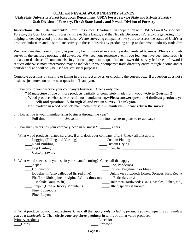| House Logs                  |       | Secondary products                        |
|-----------------------------|-------|-------------------------------------------|
| Lumber, Rough               |       | <b>Boxes</b>                              |
| Green $\qquad$<br>Air-Dried |       | Buildings, Log or Timber Frame            |
| Lumber, Dimension           |       | Buildings, Pole                           |
| Air-Dried<br>Green          | Kiln- | Cabinets                                  |
|                             | Dried | <b>Christmas Trees</b>                    |
| Mine Props                  |       | Doors                                     |
| Poles                       |       | Fencing                                   |
| Posts                       |       | <b>Flooring</b>                           |
| Shingles                    |       | Furniture, Indoor                         |
| Ties, Railroad              |       | Furniture, Outdoor                        |
| <b>Timbers</b>              |       | <b>Moldings</b>                           |
| Veneer                      |       | <b>Musical Instruments</b>                |
| Other, list:                |       | Pallets                                   |
|                             |       | Paneling                                  |
|                             |       | <b>Sheds or Portable Buildings</b>        |
|                             |       | <b>Shutters</b>                           |
|                             |       | Specialty Items; list:                    |
|                             |       | <b>Treated Wood</b>                       |
|                             |       | Trusses/Structural Wood Members (includes |
|                             |       | I-beams, engineered wood products, etc.)  |
|                             |       | Windows                                   |
|                             |       | Other; list:                              |

7. How much wood volume do you use each year on average in your manufacturing? If this volume fluctuates wide recent year's volume. Check only one.

- Less than 200,000 Board Feet
- \_\_\_\_200,000 to 500,000 Board Feet
- \_\_\_\_500,000 to 1 Million Board Feet
- \_\_\_\_1 Million to 5 Million Board Feet
- \_\_\_\_Over 5 Million Board Feet

Don't know board foot volume. List amount and known units:\_\_\_\_\_\_\_\_\_\_\_\_\_\_\_\_\_\_\_\_\_\_\_

- 8. How far away does the majority of the wood you use come from (road miles one direction)? Check one. Less than 50 miles \_\_\_50 to 100 miles \_\_\_\_100 to 300 miles \_\_\_\_Over 300 miles
- 9. Who do you get your wood from? Check all that apply.
	- \_\_\_\_Private Forest Landowners
	- \_\_\_\_U.S. Forest Service
	- \_\_\_\_Bureau of Land Management (BLM)
	- \_\_\_\_State Land
	- \_\_\_\_Log Broker/Dealer
	- \_\_\_\_Wood Products Wholesaler
	- Other, List:
- 10. Does your company market products outside its home state?

 $Yes$  No

- 11. Do you export products to other countries, or are you interested in marketing products outside the U.S.? \_\_\_\_Yes, we currently export products
	- \_\_\_\_No, we do not export products and are not interested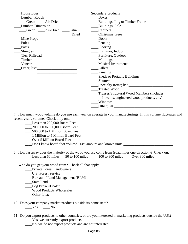\_\_\_\_No, we do not export products, but we are interested

12. What does your business do with wood residues? Check all that apply.  $_{\rm tot}$  to landfill (still check other that

|                   | Most waste sent to fandfull (still check others that apply) |                 |
|-------------------|-------------------------------------------------------------|-----------------|
| Sell to Others    | Give to Others                                              | Use Internally  |
| Sawdust           | Sawdust                                                     | Sawdust         |
| <b>Bark</b>       | <b>Bark</b>                                                 | <b>Bark</b>     |
| Slabs and edgings | Slabs and edges                                             | Slabs and edges |
| Trim ends         | Trim ends                                                   | Trim ends       |
| Shavings          | Shavings                                                    | Shavings        |
| Chips             | Chips                                                       | Chips           |

13. What equipment do you have in your mill/business? Check all that apply.

| <b>Bagging Equipment</b>           | Trim, Cutoff Saw                      |
|------------------------------------|---------------------------------------|
| <b>Band Resaw</b>                  | Veneer Lathe                          |
| <b>Bandsaw Headrig</b>             | <b>Woodworking Equipment, General</b> |
| Chipper Headrig                    | (shaper, lathe, table saw, etc.)      |
| Circular Saw Headrig               | Logging Equipment:                    |
| Debarker                           | Cable Yarder                          |
| Edger                              | <b>Crawler Tractor</b>                |
| Finger Jointer                     | Forwarder                             |
| <b>Firewood Processor</b>          | Horses                                |
| Kiln                               | Loader                                |
| Planer                             | Skidder                               |
| Portable Sawmill                   | Trucks                                |
| <b>Pressure Treating Equipment</b> | Other; list:                          |
| Sash Gang Saw                      |                                       |

14. Do you use contractors for the following activities? Check all that apply.

| Falling/Bucking             |  |  |
|-----------------------------|--|--|
| _Road Building              |  |  |
| ___Log Hauling              |  |  |
| <b>Product Distribution</b> |  |  |
| Other; list:                |  |  |

Your responses to questions 15 and 16 will be kept confidential and will only be used for statistical purposes.

15. How many employees do you currently have (include yourself)? (will be kept strictly confidential)

| $FII11$ t |  |
|-----------|--|
|           |  |

16. What is your company's annual sales revenue? (this information will be kept strictly confidential)

| Less than \$25,000                                                                            |
|-----------------------------------------------------------------------------------------------|
| \$25,000 to \$50,000                                                                          |
| \$50,000 to \$100,000                                                                         |
| \$100,000 to \$250,000                                                                        |
| $\mathbf{A} \bullet \mathbf{B} \bullet \mathbf{A} \bullet \mathbf{A} \bullet \mathbf{A}$<br>. |

\_\_\_\_\$500,000 to \$1,000,000 \_\_\_\_\$1,000,000 to \$2,500,000 \_\_\_\_\$2,500,000 to \$5,000,000 \_\_\_\_Over \$5,000,000

\_\_\_\_\$250,000 to \$500,000

17. Are you interested in the establishment of a wood industry cooperative to pursue new markets and provide mem assistance? Check one.

\_\_\_\_Yes, I am interested \_\_\_\_Might be interested \_\_\_\_Not interested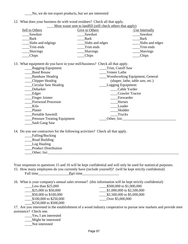18. Do you wish to have your business included in our wood processor's directory free-of-charge (no employment of included in your listing)?  $Y$ es  $N_0$ 

| 20. Business mailing address:                                                  | Address                                                                                                                                                                                                                                                                                                                                                                                   |
|--------------------------------------------------------------------------------|-------------------------------------------------------------------------------------------------------------------------------------------------------------------------------------------------------------------------------------------------------------------------------------------------------------------------------------------------------------------------------------------|
|                                                                                | City State Zip                                                                                                                                                                                                                                                                                                                                                                            |
|                                                                                | 21. Business location(s). Be specific--indicate street address, rural road intersections, or other information useful for                                                                                                                                                                                                                                                                 |
|                                                                                | ,我们就会在这里的人,我们就会在这里的人,我们就会在这里的人,我们就会在这里的人,我们就会在这里的人,我们就会在这里的人,我们就会在这里的人,我们就会在这里的人                                                                                                                                                                                                                                                                                                          |
| 23. Business phone numbers, etc.:<br><b>E-Mail Address</b><br>Web Page Address | Telephone with Area Code<br><u> 1999 - Johann Harry Harry Harry Harry Harry Harry Harry Harry Harry Harry Harry Harry Harry Harry Harry Harry Harry Harry Harry Harry Harry Harry Harry Harry Harry Harry Harry Harry Harry Harry Harry Harry Harry Harry Ha</u><br><u> 1989 - Johann Harry Harry Harry Harry Harry Harry Harry Harry Harry Harry Harry Harry Harry Harry Harry Harry</u> |
| Title                                                                          | 24. Name and title of primary contact person at your business:                                                                                                                                                                                                                                                                                                                            |
| $\overline{\text{No}}$                                                         | 25. Would you like to receive a copy of the wood industry trade directory when it is complete?<br>___Yes, send me a copy (address included above)                                                                                                                                                                                                                                         |

## **Thank you for participating in this survey!**

Please feel free to write additional comments on the back of this page. If you have marketing brochures or similar materials on your company or products that you would like to share, please feel free to send them with your response or under separate cover. Again, thank you. Mail the completed survey to:

> Wood Industry Survey Department of Forest Resources Utah State University Logan, UT 84322-5215